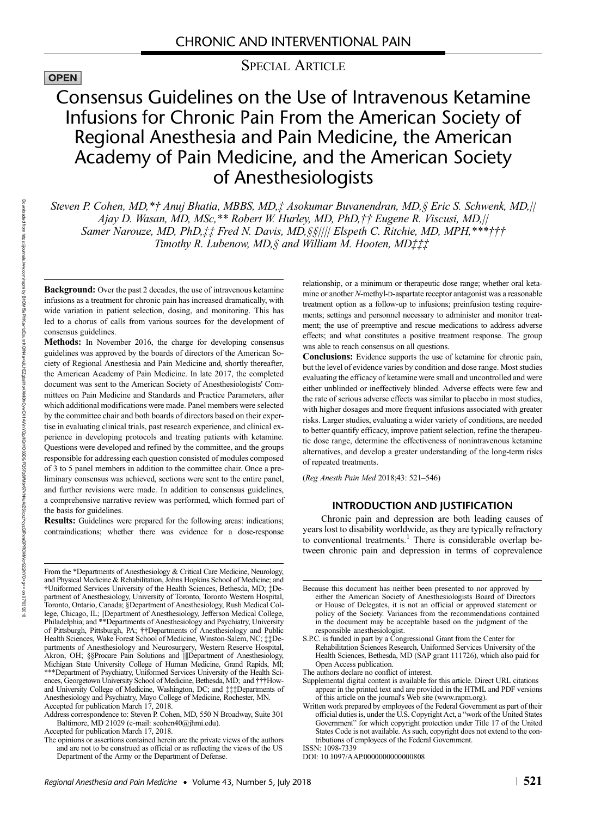# OPEN

SPECIAL ARTICLE

# Consensus Guidelines on the Use of Intravenous Ketamine Infusions for Chronic Pain From the American Society of Regional Anesthesia and Pain Medicine, the American Academy of Pain Medicine, and the American Society of Anesthesiologists

Steven P. Cohen, MD,\*† Anuj Bhatia, MBBS, MD,‡ Asokumar Buvanendran, MD,§ Eric S. Schwenk, MD,|| Ajay D. Wasan, MD, MSc,\*\* Robert W. Hurley, MD, PhD,†† Eugene R. Viscusi, MD,|| Samer Narouze, MD, PhD, ## Fred N. Davis, MD, §§|||| Elspeth C. Ritchie, MD, MPH, \*\*\* ††† Timothy R. Lubenow, MD, § and William M. Hooten, MD‡‡‡

Background: Over the past 2 decades, the use of intravenous ketamine infusions as a treatment for chronic pain has increased dramatically, with wide variation in patient selection, dosing, and monitoring. This has led to a chorus of calls from various sources for the development of consensus guidelines.

Methods: In November 2016, the charge for developing consensus guidelines was approved by the boards of directors of the American Society of Regional Anesthesia and Pain Medicine and, shortly thereafter, the American Academy of Pain Medicine. In late 2017, the completed document was sent to the American Society of Anesthesiologists' Committees on Pain Medicine and Standards and Practice Parameters, after which additional modifications were made. Panel members were selected by the committee chair and both boards of directors based on their expertise in evaluating clinical trials, past research experience, and clinical experience in developing protocols and treating patients with ketamine. Questions were developed and refined by the committee, and the groups responsible for addressing each question consisted of modules composed of 3 to 5 panel members in addition to the committee chair. Once a preliminary consensus was achieved, sections were sent to the entire panel, and further revisions were made. In addition to consensus guidelines, a comprehensive narrative review was performed, which formed part of the basis for guidelines.

Results: Guidelines were prepared for the following areas: indications; contraindications; whether there was evidence for a dose-response

From the \*Departments of Anesthesiology & Critical Care Medicine, Neurology, and Physical Medicine & Rehabilitation, Johns Hopkins School of Medicine; and †Uniformed Services University of the Health Sciences, Bethesda, MD; ‡Department of Anesthesiology, University of Toronto, Toronto Western Hospital, Toronto, Ontario, Canada; §Department of Anesthesiology, Rush Medical College, Chicago, IL; ||Department of Anesthesiology, Jefferson Medical College, Philadelphia; and \*\*Departments of Anesthesiology and Psychiatry, University of Pittsburgh, Pittsburgh, PA; ††Departments of Anesthesiology and Public Health Sciences, Wake Forest School of Medicine, Winston-Salem, NC; ‡‡Departments of Anesthesiology and Neurosurgery, Western Reserve Hospital, Akron, OH; §§Procare Pain Solutions and *||||Department* of Anesthesiology, Michigan State University College of Human Medicine, Grand Rapids, MI; \*\*\*Department of Psychiatry, Uniformed Services University of the Health Sciences, Georgetown University School of Medicine, Bethesda, MD; and †††Howard University College of Medicine, Washington, DC; and ‡‡‡Departments of Anesthesiology and Psychiatry, Mayo College of Medicine, Rochester, MN. Accepted for publication March 17, 2018.

Accepted for publication March 17, 2018.

relationship, or a minimum or therapeutic dose range; whether oral ketamine or another N-methyl-D-aspartate receptor antagonist was a reasonable treatment option as a follow-up to infusions; preinfusion testing requirements; settings and personnel necessary to administer and monitor treatment; the use of preemptive and rescue medications to address adverse effects; and what constitutes a positive treatment response. The group was able to reach consensus on all questions.

Conclusions: Evidence supports the use of ketamine for chronic pain, but the level of evidence varies by condition and dose range. Most studies evaluating the efficacy of ketamine were small and uncontrolled and were either unblinded or ineffectively blinded. Adverse effects were few and the rate of serious adverse effects was similar to placebo in most studies, with higher dosages and more frequent infusions associated with greater risks. Larger studies, evaluating a wider variety of conditions, are needed to better quantify efficacy, improve patient selection, refine the therapeutic dose range, determine the effectiveness of nonintravenous ketamine alternatives, and develop a greater understanding of the long-term risks of repeated treatments.

(Reg Anesth Pain Med 2018;43: 521–546)

# INTRODUCTION AND JUSTIFICATION

Chronic pain and depression are both leading causes of years lost to disability worldwide, as they are typically refractory to conventional treatments.<sup>1</sup> There is considerable overlap between chronic pain and depression in terms of coprevalence

- Supplemental digital content is available for this article. Direct URL citations appear in the printed text and are provided in the HTML and PDF versions of this article on the journal's Web site [\(www.rapm.org\)](http://www.rapm.org).
- Written work prepared by employees of the Federal Government as part of their official duties is, under the U.S. Copyright Act, a "work of the United States Government" for which copyright protection under Title 17 of the United States Code is not available. As such, copyright does not extend to the contributions of employees of the Federal Government.

ISSN: 1098-7339

Address correspondence to: Steven P. Cohen, MD, 550 N Broadway, Suite 301 Baltimore, MD 21029 (e‐mail: [scohen40@jhmi.edu\)](mailto:scohen40@jhmi.edu).

The opinions or assertions contained herein are the private views of the authors and are not to be construed as official or as reflecting the views of the US Department of the Army or the Department of Defense.

Because this document has neither been presented to nor approved by either the American Society of Anesthesiologists Board of Directors or House of Delegates, it is not an official or approved statement or policy of the Society. Variances from the recommendations contained in the document may be acceptable based on the judgment of the responsible anesthesiologist.

S.P.C. is funded in part by a Congressional Grant from the Center for Rehabilitation Sciences Research, Uniformed Services University of the Health Sciences, Bethesda, MD (SAP grant 111726), which also paid for Open Access publication.

The authors declare no conflict of interest.

DOI: 10.1097/AAP.0000000000000808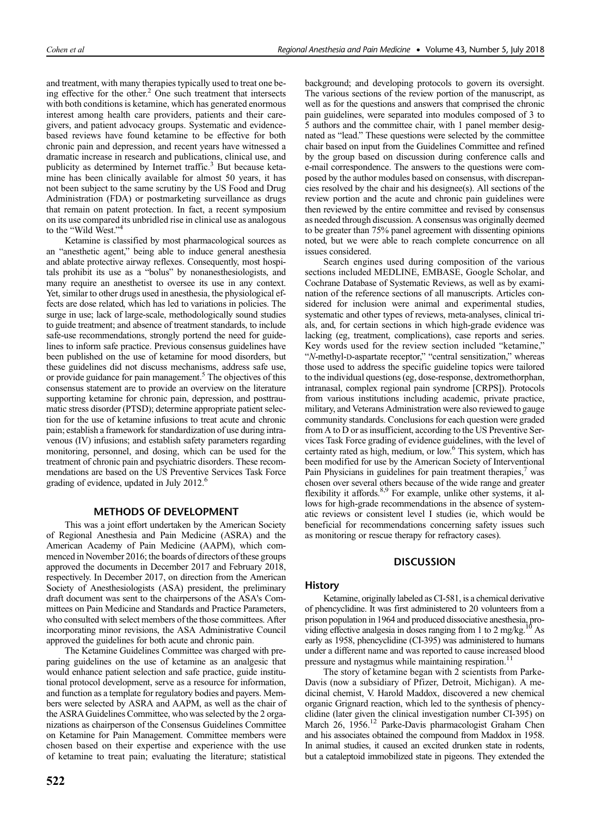and treatment, with many therapies typically used to treat one being effective for the other. $<sup>2</sup>$  One such treatment that intersects</sup> with both conditions is ketamine, which has generated enormous interest among health care providers, patients and their caregivers, and patient advocacy groups. Systematic and evidencebased reviews have found ketamine to be effective for both chronic pain and depression, and recent years have witnessed a dramatic increase in research and publications, clinical use, and publicity as determined by Internet traffic.<sup>3</sup> But because ketamine has been clinically available for almost 50 years, it has not been subject to the same scrutiny by the US Food and Drug Administration (FDA) or postmarketing surveillance as drugs that remain on patent protection. In fact, a recent symposium on its use compared its unbridled rise in clinical use as analogous to the "Wild West."<sup>4</sup>

Ketamine is classified by most pharmacological sources as an "anesthetic agent," being able to induce general anesthesia and ablate protective airway reflexes. Consequently, most hospitals prohibit its use as a "bolus" by nonanesthesiologists, and many require an anesthetist to oversee its use in any context. Yet, similar to other drugs used in anesthesia, the physiological effects are dose related, which has led to variations in policies. The surge in use; lack of large-scale, methodologically sound studies to guide treatment; and absence of treatment standards, to include safe-use recommendations, strongly portend the need for guidelines to inform safe practice. Previous consensus guidelines have been published on the use of ketamine for mood disorders, but these guidelines did not discuss mechanisms, address safe use, or provide guidance for pain management.<sup>5</sup> The objectives of this consensus statement are to provide an overview on the literature supporting ketamine for chronic pain, depression, and posttraumatic stress disorder (PTSD); determine appropriate patient selection for the use of ketamine infusions to treat acute and chronic pain; establish a framework for standardization of use during intravenous (IV) infusions; and establish safety parameters regarding monitoring, personnel, and dosing, which can be used for the treatment of chronic pain and psychiatric disorders. These recommendations are based on the US Preventive Services Task Force grading of evidence, updated in July 2012.6

# METHODS OF DEVELOPMENT

This was a joint effort undertaken by the American Society of Regional Anesthesia and Pain Medicine (ASRA) and the American Academy of Pain Medicine (AAPM), which commenced in November 2016; the boards of directors of these groups approved the documents in December 2017 and February 2018, respectively. In December 2017, on direction from the American Society of Anesthesiologists (ASA) president, the preliminary draft document was sent to the chairpersons of the ASA's Committees on Pain Medicine and Standards and Practice Parameters, who consulted with select members of the those committees. After incorporating minor revisions, the ASA Administrative Council approved the guidelines for both acute and chronic pain.

The Ketamine Guidelines Committee was charged with preparing guidelines on the use of ketamine as an analgesic that would enhance patient selection and safe practice, guide institutional protocol development, serve as a resource for information, and function as a template for regulatory bodies and payers. Members were selected by ASRA and AAPM, as well as the chair of the ASRA Guidelines Committee, who was selected by the 2 organizations as chairperson of the Consensus Guidelines Committee on Ketamine for Pain Management. Committee members were chosen based on their expertise and experience with the use of ketamine to treat pain; evaluating the literature; statistical

522

background; and developing protocols to govern its oversight. The various sections of the review portion of the manuscript, as well as for the questions and answers that comprised the chronic pain guidelines, were separated into modules composed of 3 to 5 authors and the committee chair, with 1 panel member designated as "lead." These questions were selected by the committee chair based on input from the Guidelines Committee and refined by the group based on discussion during conference calls and e-mail correspondence. The answers to the questions were composed by the author modules based on consensus, with discrepancies resolved by the chair and his designee(s). All sections of the review portion and the acute and chronic pain guidelines were then reviewed by the entire committee and revised by consensus as needed through discussion. A consensus was originally deemed to be greater than 75% panel agreement with dissenting opinions noted, but we were able to reach complete concurrence on all issues considered.

Search engines used during composition of the various sections included MEDLINE, EMBASE, Google Scholar, and Cochrane Database of Systematic Reviews, as well as by examination of the reference sections of all manuscripts. Articles considered for inclusion were animal and experimental studies, systematic and other types of reviews, meta-analyses, clinical trials, and, for certain sections in which high-grade evidence was lacking (eg, treatment, complications), case reports and series. Key words used for the review section included "ketamine," "N-methyl-D-aspartate receptor," "central sensitization," whereas those used to address the specific guideline topics were tailored to the individual questions (eg, dose-response, dextromethorphan, intranasal, complex regional pain syndrome [CRPS]). Protocols from various institutions including academic, private practice, military, and Veterans Administration were also reviewed to gauge community standards. Conclusions for each question were graded from A to D or as insufficient, according to the US Preventive Services Task Force grading of evidence guidelines, with the level of certainty rated as high, medium, or low.6 This system, which has been modified for use by the American Society of Interventional Pain Physicians in guidelines for pain treatment therapies, $\prime$  was chosen over several others because of the wide range and greater flexibility it affords.<sup>8,9</sup> For example, unlike other systems, it allows for high-grade recommendations in the absence of systematic reviews or consistent level I studies (ie, which would be beneficial for recommendations concerning safety issues such as monitoring or rescue therapy for refractory cases).

# DISCUSSION

## **History**

Ketamine, originally labeled as CI-581, is a chemical derivative of phencyclidine. It was first administered to 20 volunteers from a prison population in 1964 and produced dissociative anesthesia, providing effective analgesia in doses ranging from 1 to 2 mg/kg.<sup>10</sup> As early as 1958, phencyclidine (CI-395) was administered to humans under a different name and was reported to cause increased blood pressure and nystagmus while maintaining respiration.<sup>11</sup>

The story of ketamine began with 2 scientists from Parke-Davis (now a subsidiary of Pfizer, Detroit, Michigan). A medicinal chemist, V. Harold Maddox, discovered a new chemical organic Grignard reaction, which led to the synthesis of phencyclidine (later given the clinical investigation number CI-395) on March 26, 1956.<sup>12</sup> Parke-Davis pharmacologist Graham Chen and his associates obtained the compound from Maddox in 1958. In animal studies, it caused an excited drunken state in rodents, but a cataleptoid immobilized state in pigeons. They extended the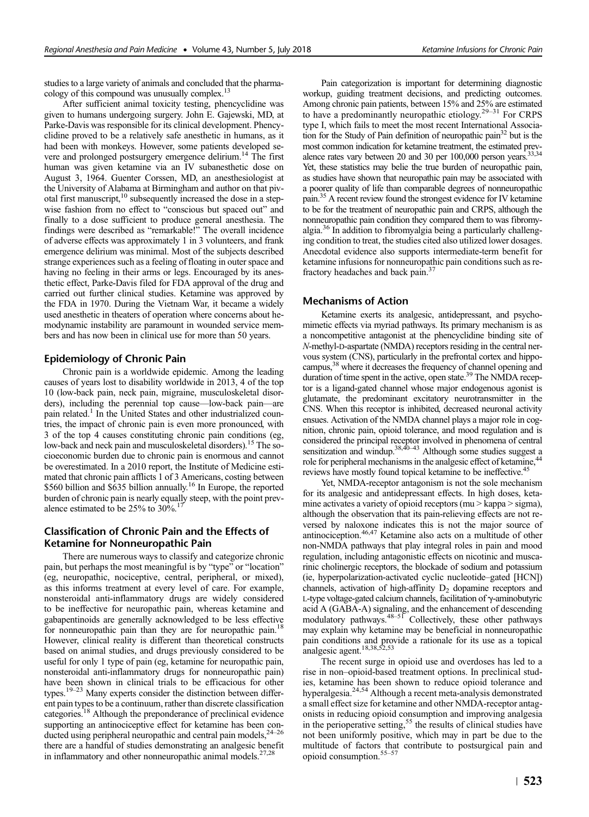studies to a large variety of animals and concluded that the pharmacology of this compound was unusually complex.13

After sufficient animal toxicity testing, phencyclidine was given to humans undergoing surgery. John E. Gajewski, MD, at Parke-Davis was responsible for its clinical development. Phencyclidine proved to be a relatively safe anesthetic in humans, as it had been with monkeys. However, some patients developed severe and prolonged postsurgery emergence delirium.14 The first human was given ketamine via an IV subanesthetic dose on August 3, 1964. Guenter Corssen, MD, an anesthesiologist at the University of Alabama at Birmingham and author on that pivotal first manuscript, $10$  subsequently increased the dose in a stepwise fashion from no effect to "conscious but spaced out" and finally to a dose sufficient to produce general anesthesia. The findings were described as "remarkable!" The overall incidence of adverse effects was approximately 1 in 3 volunteers, and frank emergence delirium was minimal. Most of the subjects described strange experiences such as a feeling of floating in outer space and having no feeling in their arms or legs. Encouraged by its anesthetic effect, Parke-Davis filed for FDA approval of the drug and carried out further clinical studies. Ketamine was approved by the FDA in 1970. During the Vietnam War, it became a widely used anesthetic in theaters of operation where concerns about hemodynamic instability are paramount in wounded service members and has now been in clinical use for more than 50 years.

# Epidemiology of Chronic Pain

Chronic pain is a worldwide epidemic. Among the leading causes of years lost to disability worldwide in 2013, 4 of the top 10 (low-back pain, neck pain, migraine, musculoskeletal disorders), including the perennial top cause—low-back pain—are pain related.<sup>1</sup> In the United States and other industrialized countries, the impact of chronic pain is even more pronounced, with 3 of the top 4 causes constituting chronic pain conditions (eg, low-back and neck pain and musculoskeletal disorders).<sup>15</sup> The socioeconomic burden due to chronic pain is enormous and cannot be overestimated. In a 2010 report, the Institute of Medicine estimated that chronic pain afflicts 1 of 3 Americans, costing between \$560 billion and \$635 billion annually.<sup>16</sup> In Europe, the reported burden of chronic pain is nearly equally steep, with the point prevalence estimated to be  $25%$  to  $30\%$ .<sup>17</sup>

# Classification of Chronic Pain and the Effects of Ketamine for Nonneuropathic Pain

There are numerous ways to classify and categorize chronic pain, but perhaps the most meaningful is by "type" or "location" (eg, neuropathic, nociceptive, central, peripheral, or mixed), as this informs treatment at every level of care. For example, nonsteroidal anti-inflammatory drugs are widely considered to be ineffective for neuropathic pain, whereas ketamine and gabapentinoids are generally acknowledged to be less effective for nonneuropathic pain than they are for neuropathic pain.<sup>18</sup> However, clinical reality is different than theoretical constructs based on animal studies, and drugs previously considered to be useful for only 1 type of pain (eg, ketamine for neuropathic pain, nonsteroidal anti-inflammatory drugs for nonneuropathic pain) have been shown in clinical trials to be efficacious for other types.19–<sup>23</sup> Many experts consider the distinction between different pain types to be a continuum, rather than discrete classification categories.18 Although the preponderance of preclinical evidence supporting an antinociceptive effect for ketamine has been conducted using peripheral neuropathic and central pain models, $<sup>2</sup>$ </sup> there are a handful of studies demonstrating an analgesic benefit in inflammatory and other nonneuropathic animal models.<sup>27,28</sup>

Pain categorization is important for determining diagnostic workup, guiding treatment decisions, and predicting outcomes. Among chronic pain patients, between 15% and 25% are estimated to have a predominantly neuropathic etiology.29–<sup>31</sup> For CRPS type I, which fails to meet the most recent International Association for the Study of Pain definition of neuropathic pain<sup>32</sup> but is the most common indication for ketamine treatment, the estimated prevalence rates vary between 20 and 30 per 100,000 person years.<sup>33,34</sup> Yet, these statistics may belie the true burden of neuropathic pain, as studies have shown that neuropathic pain may be associated with a poorer quality of life than comparable degrees of nonneuropathic pain.35 A recent review found the strongest evidence for IV ketamine to be for the treatment of neuropathic pain and CRPS, although the nonneuropathic pain condition they compared them to was fibromyalgia.36 In addition to fibromyalgia being a particularly challenging condition to treat, the studies cited also utilized lower dosages. Anecdotal evidence also supports intermediate-term benefit for ketamine infusions for nonneuropathic pain conditions such as refractory headaches and back pain.37

# Mechanisms of Action

Ketamine exerts its analgesic, antidepressant, and psychomimetic effects via myriad pathways. Its primary mechanism is as a noncompetitive antagonist at the phencyclidine binding site of N-methyl-D-aspartate (NMDA) receptors residing in the central nervous system (CNS), particularly in the prefrontal cortex and hippocampus,<sup>38</sup> where it decreases the frequency of channel opening and duration of time spent in the active, open state.<sup>39</sup> The NMDA receptor is a ligand-gated channel whose major endogenous agonist is glutamate, the predominant excitatory neurotransmitter in the CNS. When this receptor is inhibited, decreased neuronal activity ensues. Activation of the NMDA channel plays a major role in cognition, chronic pain, opioid tolerance, and mood regulation and is considered the principal receptor involved in phenomena of central sensitization and windup.<sup>38,40–43</sup> Although some studies suggest a role for peripheral mechanisms in the analgesic effect of ketamine, reviews have mostly found topical ketamine to be ineffective.<sup>45</sup>

Yet, NMDA-receptor antagonism is not the sole mechanism for its analgesic and antidepressant effects. In high doses, ketamine activates a variety of opioid receptors (mu > kappa > sigma), although the observation that its pain-relieving effects are not reversed by naloxone indicates this is not the major source of antinociception.46,47 Ketamine also acts on a multitude of other non-NMDA pathways that play integral roles in pain and mood regulation, including antagonistic effects on nicotinic and muscarinic cholinergic receptors, the blockade of sodium and potassium (ie, hyperpolarization-activated cyclic nucleotide–gated [HCN]) channels, activation of high-affinity  $D_2$  dopamine receptors and L-type voltage-gated calcium channels, facilitation of γ-aminobutyric acid A (GABA-A) signaling, and the enhancement of descending modulatory pathways. $48-51$  Collectively, these other pathways may explain why ketamine may be beneficial in nonneuropathic pain conditions and provide a rationale for its use as a topical analgesic agent.<sup>18,38,52,53</sup>

The recent surge in opioid use and overdoses has led to a rise in non–opioid-based treatment options. In preclinical studies, ketamine has been shown to reduce opioid tolerance and hyperalgesia.24,54 Although a recent meta-analysis demonstrated a small effect size for ketamine and other NMDA-receptor antagonists in reducing opioid consumption and improving analgesia in the perioperative setting,<sup>55</sup> the results of clinical studies have not been uniformly positive, which may in part be due to the multitude of factors that contribute to postsurgical pain and opioid consumption.55–<sup>57</sup>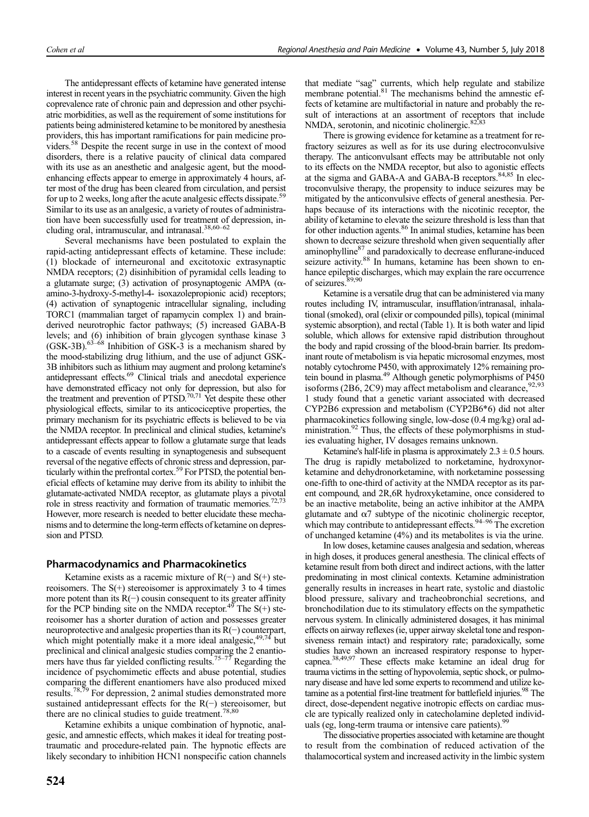The antidepressant effects of ketamine have generated intense interest in recent years in the psychiatric community. Given the high coprevalence rate of chronic pain and depression and other psychiatric morbidities, as well as the requirement of some institutions for patients being administered ketamine to be monitored by anesthesia providers, this has important ramifications for pain medicine providers.58 Despite the recent surge in use in the context of mood disorders, there is a relative paucity of clinical data compared with its use as an anesthetic and analgesic agent, but the moodenhancing effects appear to emerge in approximately 4 hours, after most of the drug has been cleared from circulation, and persist for up to 2 weeks, long after the acute analgesic effects dissipate.<sup>59</sup> Similar to its use as an analgesic, a variety of routes of administration have been successfully used for treatment of depression, including oral, intramuscular, and intranasal.38,60–<sup>62</sup>

Several mechanisms have been postulated to explain the rapid-acting antidepressant effects of ketamine. These include: (1) blockade of interneuronal and excitotoxic extrasynaptic NMDA receptors; (2) disinhibition of pyramidal cells leading to a glutamate surge; (3) activation of prosynaptogenic AMPA (αamino-3-hydroxy-5-methyl-4- isoxazolepropionic acid) receptors; (4) activation of synaptogenic intracellular signaling, including TORC1 (mammalian target of rapamycin complex 1) and brainderived neurotrophic factor pathways; (5) increased GABA-B levels; and (6) inhibition of brain glycogen synthase kinase 3  $(GSK-3B)$ .<sup>63–68</sup> Inhibition of GSK-3 is a mechanism shared by the mood-stabilizing drug lithium, and the use of adjunct GSK-3B inhibitors such as lithium may augment and prolong ketamine's antidepressant effects.69 Clinical trials and anecdotal experience have demonstrated efficacy not only for depression, but also for the treatment and prevention of  $PTSD$ ,<sup>70,71</sup> Yet despite these other physiological effects, similar to its anticociceptive properties, the primary mechanism for its psychiatric effects is believed to be via the NMDA receptor. In preclinical and clinical studies, ketamine's antidepressant effects appear to follow a glutamate surge that leads to a cascade of events resulting in synaptogenesis and subsequent reversal of the negative effects of chronic stress and depression, particularly within the prefrontal cortex.<sup>59</sup> For PTSD, the potential beneficial effects of ketamine may derive from its ability to inhibit the glutamate-activated NMDA receptor, as glutamate plays a pivotal role in stress reactivity and formation of traumatic memories.<sup>72,73</sup> However, more research is needed to better elucidate these mechanisms and to determine the long-term effects of ketamine on depression and PTSD.

# Pharmacodynamics and Pharmacokinetics

Ketamine exists as a racemic mixture of  $R(-)$  and  $S(+)$  stereoisomers. The  $S(+)$  stereoisomer is approximately 3 to 4 times more potent than its R(−) cousin consequent to its greater affinity for the PCP binding site on the NMDA receptor.<sup>49</sup> The S(+) stereoisomer has a shorter duration of action and possesses greater neuroprotective and analgesic properties than its R(−) counterpart, which might potentially make it a more ideal analgesic,  $49,74$  but preclinical and clinical analgesic studies comparing the 2 enantiomers have thus far yielded conflicting results.<sup>75–77</sup> Regarding the incidence of psychomimetic effects and abuse potential, studies comparing the different enantiomers have also produced mixed results.<sup>78,79</sup> For depression, 2 animal studies demonstrated more sustained antidepressant effects for the R(−) stereoisomer, but there are no clinical studies to guide treatment.<sup>78,80</sup>

Ketamine exhibits a unique combination of hypnotic, analgesic, and amnestic effects, which makes it ideal for treating posttraumatic and procedure-related pain. The hypnotic effects are likely secondary to inhibition HCN1 nonspecific cation channels that mediate "sag" currents, which help regulate and stabilize membrane potential.<sup>81</sup> The mechanisms behind the amnestic effects of ketamine are multifactorial in nature and probably the result of interactions at an assortment of receptors that include NMDA, serotonin, and nicotinic cholinergic.<sup>82,83</sup>

There is growing evidence for ketamine as a treatment for refractory seizures as well as for its use during electroconvulsive therapy. The anticonvulsant effects may be attributable not only to its effects on the NMDA receptor, but also to agonistic effects at the sigma and GABA-A and GABA-B receptors.<sup>84,85</sup> In electroconvulsive therapy, the propensity to induce seizures may be mitigated by the anticonvulsive effects of general anesthesia. Perhaps because of its interactions with the nicotinic receptor, the ability of ketamine to elevate the seizure threshold is less than that for other induction agents.<sup>86</sup> In animal studies, ketamine has been shown to decrease seizure threshold when given sequentially after aminophylline<sup>87</sup> and paradoxically to decrease enflurane-induced seizure activity.<sup>88</sup> In humans, ketamine has been shown to enhance epileptic discharges, which may explain the rare occurrence of seizures.<sup>89,90</sup>

Ketamine is a versatile drug that can be administered via many routes including IV, intramuscular, insufflation/intranasal, inhalational (smoked), oral (elixir or compounded pills), topical (minimal systemic absorption), and rectal (Table 1). It is both water and lipid soluble, which allows for extensive rapid distribution throughout the body and rapid crossing of the blood-brain barrier. Its predominant route of metabolism is via hepatic microsomal enzymes, most notably cytochrome P450, with approximately 12% remaining protein bound in plasma.<sup>49</sup> Although genetic polymorphisms of P450 isoforms (2B6, 2C9) may affect metabolism and clearance,  $92,93$ 1 study found that a genetic variant associated with decreased CYP2B6 expression and metabolism (CYP2B6\*6) did not alter pharmacokinetics following single, low-dose (0.4 mg/kg) oral administration.<sup>92</sup> Thus, the effects of these polymorphisms in studies evaluating higher, IV dosages remains unknown.

Ketamine's half-life in plasma is approximately  $2.3 \pm 0.5$  hours. The drug is rapidly metabolized to norketamine, hydroxynorketamine and dehydronorketamine, with norketamine possessing one-fifth to one-third of activity at the NMDA receptor as its parent compound, and 2R,6R hydroxyketamine, once considered to be an inactive metabolite, being an active inhibitor at the AMPA glutamate and  $\alpha$ 7 subtype of the nicotinic cholinergic receptor, which may contribute to antidepressant effects.<sup>94–96</sup> The excretion of unchanged ketamine (4%) and its metabolites is via the urine.

In low doses, ketamine causes analgesia and sedation, whereas in high doses, it produces general anesthesia. The clinical effects of ketamine result from both direct and indirect actions, with the latter predominating in most clinical contexts. Ketamine administration generally results in increases in heart rate, systolic and diastolic blood pressure, salivary and tracheobronchial secretions, and bronchodilation due to its stimulatory effects on the sympathetic nervous system. In clinically administered dosages, it has minimal effects on airway reflexes (ie, upper airway skeletal tone and responsiveness remain intact) and respiratory rate; paradoxically, some studies have shown an increased respiratory response to hypercapnea.38,49,97 These effects make ketamine an ideal drug for trauma victims in the setting of hypovolemia, septic shock, or pulmonary disease and have led some experts to recommend and utilize ketamine as a potential first-line treatment for battlefield injuries.<sup>98</sup> The direct, dose-dependent negative inotropic effects on cardiac muscle are typically realized only in catecholamine depleted individuals (eg, long-term trauma or intensive care patients).<sup>9</sup>

The dissociative properties associated with ketamine are thought to result from the combination of reduced activation of the thalamocortical system and increased activity in the limbic system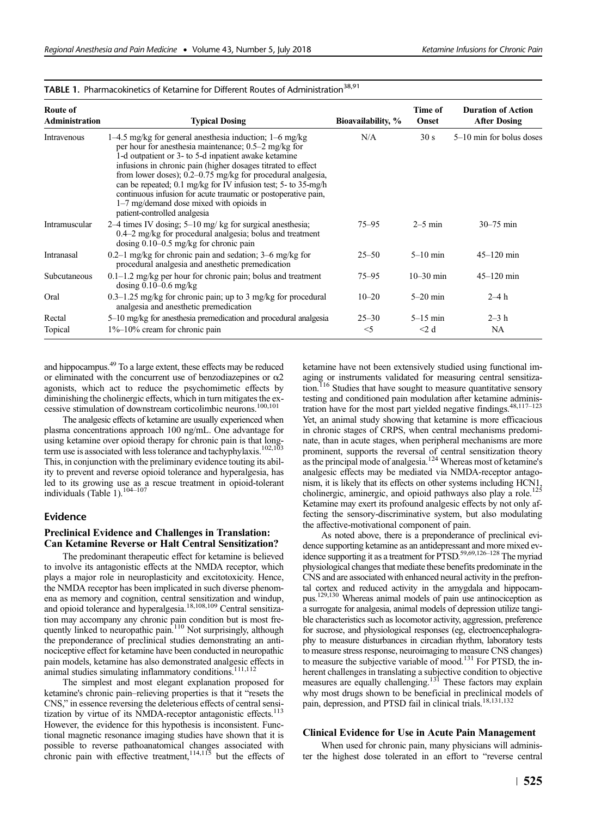| Route of<br>Administration | <b>Typical Dosing</b>                                                                                                                                                                                                                                                                                                                                                                                                                                                                                                             | Bioavailability, % | Time of<br>Onset | <b>Duration of Action</b><br><b>After Dosing</b> |
|----------------------------|-----------------------------------------------------------------------------------------------------------------------------------------------------------------------------------------------------------------------------------------------------------------------------------------------------------------------------------------------------------------------------------------------------------------------------------------------------------------------------------------------------------------------------------|--------------------|------------------|--------------------------------------------------|
| Intravenous                | $1-4.5$ mg/kg for general anesthesia induction; $1-6$ mg/kg<br>per hour for an esthesia maintenance; $0.5-2$ mg/kg for<br>1-d outpatient or 3- to 5-d inpatient awake ketamine<br>infusions in chronic pain (higher dosages titrated to effect<br>from lower doses); $0.2-0.75$ mg/kg for procedural analgesia,<br>can be repeated; 0.1 mg/kg for IV infusion test; 5- to 35-mg/h<br>continuous infusion for acute traumatic or postoperative pain,<br>$1-7$ mg/demand dose mixed with opioids in<br>patient-controlled analgesia | N/A                | 30 s             | $5-10$ min for bolus doses                       |
| Intramuscular              | 2–4 times IV dosing; $5-10$ mg/kg for surgical anesthesia;<br>$0.4-2$ mg/kg for procedural analgesia; bolus and treatment<br>dosing $0.10-0.5$ mg/kg for chronic pain                                                                                                                                                                                                                                                                                                                                                             | 75–95              | $2-5$ min        | $30 - 75$ min                                    |
| Intranasal                 | 0.2–1 mg/kg for chronic pain and sedation; $3-6$ mg/kg for<br>procedural analgesia and anesthetic premedication                                                                                                                                                                                                                                                                                                                                                                                                                   | $25 - 50$          | $5-10$ min       | $45 - 120$ min                                   |
| Subcutaneous               | $0.1-1.2$ mg/kg per hour for chronic pain; bolus and treatment<br>dosing $0.10-0.6$ mg/kg                                                                                                                                                                                                                                                                                                                                                                                                                                         | 75–95              | $10 - 30$ min    | $45 - 120$ min                                   |
| Oral                       | $0.3-1.25$ mg/kg for chronic pain; up to 3 mg/kg for procedural<br>analgesia and anesthetic premedication                                                                                                                                                                                                                                                                                                                                                                                                                         | $10 - 20$          | $5-20$ min       | $2-4h$                                           |
| Rectal                     | 5–10 mg/kg for anesthesia premedication and procedural analgesia                                                                                                                                                                                                                                                                                                                                                                                                                                                                  | $25 - 30$          | $5-15$ min       | $2-3h$                                           |
| Topical                    | $1\%$ –10% cream for chronic pain                                                                                                                                                                                                                                                                                                                                                                                                                                                                                                 | $<$ 5              | $<$ 2 d          | <b>NA</b>                                        |

# TABLE 1. Pharmacokinetics of Ketamine for Different Routes of Administration<sup>38,91</sup>

and hippocampus.49 To a large extent, these effects may be reduced or eliminated with the concurrent use of benzodiazepines or  $\alpha$ 2 agonists, which act to reduce the psychomimetic effects by diminishing the cholinergic effects, which in turn mitigates the excessive stimulation of downstream corticolimbic neurons.100,101

The analgesic effects of ketamine are usually experienced when plasma concentrations approach 100 ng/mL. One advantage for using ketamine over opioid therapy for chronic pain is that long-<br>term use is associated with less tolerance and tachyphylaxis.<sup>102,103</sup> This, in conjunction with the preliminary evidence touting its ability to prevent and reverse opioid tolerance and hyperalgesia, has led to its growing use as a rescue treatment in opioid-tolerant individuals (Table 1).<sup>104–107</sup>

# Evidence

#### Preclinical Evidence and Challenges in Translation: Can Ketamine Reverse or Halt Central Sensitization?

The predominant therapeutic effect for ketamine is believed to involve its antagonistic effects at the NMDA receptor, which plays a major role in neuroplasticity and excitotoxicity. Hence, the NMDA receptor has been implicated in such diverse phenomena as memory and cognition, central sensitization and windup, and opioid tolerance and hyperalgesia.<sup>18,108,109</sup> Central sensitization may accompany any chronic pain condition but is most frequently linked to neuropathic pain.<sup>110</sup> Not surprisingly, although the preponderance of preclinical studies demonstrating an antinociceptive effect for ketamine have been conducted in neuropathic pain models, ketamine has also demonstrated analgesic effects in animal studies simulating inflammatory conditions.<sup>111,112</sup>

The simplest and most elegant explanation proposed for ketamine's chronic pain–relieving properties is that it "resets the CNS," in essence reversing the deleterious effects of central sensitization by virtue of its NMDA-receptor antagonistic effects.<sup>113</sup> However, the evidence for this hypothesis is inconsistent. Functional magnetic resonance imaging studies have shown that it is possible to reverse pathoanatomical changes associated with chronic pain with effective treatment,<sup>114,115</sup> but the effects of

ketamine have not been extensively studied using functional imaging or instruments validated for measuring central sensitization.<sup>116</sup> Studies that have sought to measure quantitative sensory testing and conditioned pain modulation after ketamine administration have for the most part yielded negative findings. $48,117-123$ Yet, an animal study showing that ketamine is more efficacious in chronic stages of CRPS, when central mechanisms predominate, than in acute stages, when peripheral mechanisms are more prominent, supports the reversal of central sensitization theory as the principal mode of analgesia.<sup>124</sup> Whereas most of ketamine's analgesic effects may be mediated via NMDA-receptor antagonism, it is likely that its effects on other systems including HCN1, cholinergic, aminergic, and opioid pathways also play a role.<sup>125</sup> Ketamine may exert its profound analgesic effects by not only affecting the sensory-discriminative system, but also modulating the affective-motivational component of pain.

As noted above, there is a preponderance of preclinical evidence supporting ketamine as an antidepressant and more mixed evidence supporting it as a treatment for PTSD.<sup>59,69,126–128</sup> The myriad physiological changes that mediate these benefits predominate in the CNS and are associated with enhanced neural activity in the prefrontal cortex and reduced activity in the amygdala and hippocampus.129,130 Whereas animal models of pain use antinociception as a surrogate for analgesia, animal models of depression utilize tangible characteristics such as locomotor activity, aggression, preference for sucrose, and physiological responses (eg, electroencephalography to measure disturbances in circadian rhythm, laboratory tests to measure stress response, neuroimaging to measure CNS changes) to measure the subjective variable of mood.<sup>131</sup> For PTSD, the inherent challenges in translating a subjective condition to objective measures are equally challenging.<sup>131</sup> These factors may explain why most drugs shown to be beneficial in preclinical models of pain, depression, and PTSD fail in clinical trials.<sup>18,131,132</sup>

#### Clinical Evidence for Use in Acute Pain Management

When used for chronic pain, many physicians will administer the highest dose tolerated in an effort to "reverse central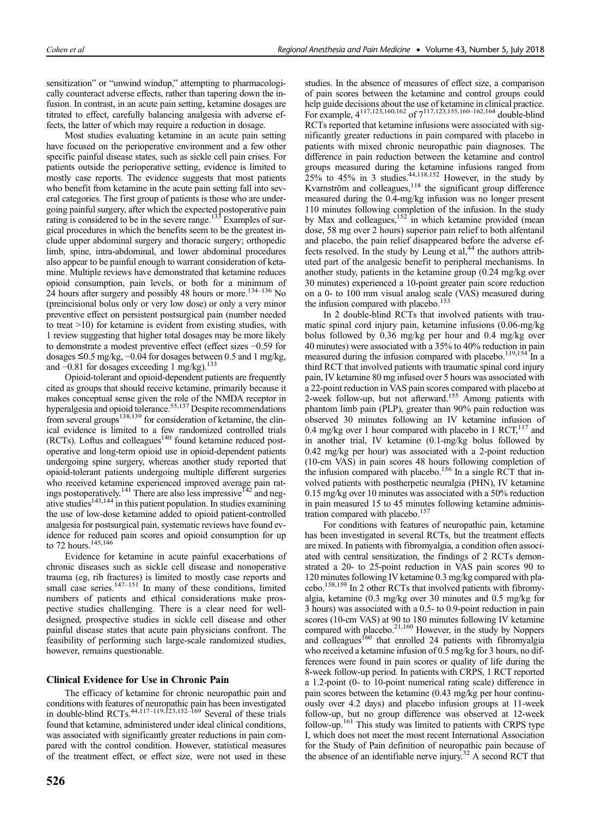sensitization" or "unwind windup," attempting to pharmacologically counteract adverse effects, rather than tapering down the infusion. In contrast, in an acute pain setting, ketamine dosages are titrated to effect, carefully balancing analgesia with adverse effects, the latter of which may require a reduction in dosage.

Most studies evaluating ketamine in an acute pain setting have focused on the perioperative environment and a few other specific painful disease states, such as sickle cell pain crises. For patients outside the perioperative setting, evidence is limited to mostly case reports. The evidence suggests that most patients who benefit from ketamine in the acute pain setting fall into several categories. The first group of patients is those who are undergoing painful surgery, after which the expected postoperative pain rating is considered to be in the severe range.<sup>133</sup> Examples of surgical procedures in which the benefits seem to be the greatest include upper abdominal surgery and thoracic surgery; orthopedic limb, spine, intra-abdominal, and lower abdominal procedures also appear to be painful enough to warrant consideration of ketamine. Multiple reviews have demonstrated that ketamine reduces opioid consumption, pain levels, or both for a minimum of 24 hours after surgery and possibly 48 hours or more.<sup>134–136</sup> No (preincisional bolus only or very low dose) or only a very minor preventive effect on persistent postsurgical pain (number needed to treat >10) for ketamine is evident from existing studies, with 1 review suggesting that higher total dosages may be more likely to demonstrate a modest preventive effect (effect sizes −0.59 for dosages  $≤0.5$  mg/kg,  $-0.04$  for dosages between 0.5 and 1 mg/kg, and −0.81 for dosages exceeding 1 mg/kg).<sup>133</sup>

Opioid-tolerant and opioid-dependent patients are frequently cited as groups that should receive ketamine, primarily because it makes conceptual sense given the role of the NMDA receptor in hyperalgesia and opioid tolerance.<sup>55,137</sup> Despite recommendations from several groups<sup>138,139</sup> for consideration of ketamine, the clinical evidence is limited to a few randomized controlled trials  $(RCTs)$ . Loftus and colleagues<sup>140</sup> found ketamine reduced postoperative and long-term opioid use in opioid-dependent patients undergoing spine surgery, whereas another study reported that opioid-tolerant patients undergoing multiple different surgeries who received ketamine experienced improved average pain ratings postoperatively.<sup>141</sup> There are also less impressive  $142$  and negative studies<sup>143,144</sup> in this patient population. In studies examining the use of low-dose ketamine added to opioid patient-controlled analgesia for postsurgical pain, systematic reviews have found evidence for reduced pain scores and opioid consumption for up to 72 hours.<sup>145,146</sup>

Evidence for ketamine in acute painful exacerbations of chronic diseases such as sickle cell disease and nonoperative trauma (eg, rib fractures) is limited to mostly case reports and small case series. $147-151$  In many of these conditions, limited numbers of patients and ethical considerations make prospective studies challenging. There is a clear need for welldesigned, prospective studies in sickle cell disease and other painful disease states that acute pain physicians confront. The feasibility of performing such large-scale randomized studies, however, remains questionable.

# Clinical Evidence for Use in Chronic Pain

The efficacy of ketamine for chronic neuropathic pain and conditions with features of neuropathic pain has been investigated in double-blind RCTs.44,117–119,123,152–<sup>169</sup> Several of these trials found that ketamine, administered under ideal clinical conditions, was associated with significantly greater reductions in pain compared with the control condition. However, statistical measures of the treatment effect, or effect size, were not used in these studies. In the absence of measures of effect size, a comparison of pain scores between the ketamine and control groups could help guide decisions about the use of ketamine in clinical practice. For example,  $4^{117,123,160,162}$  of  $7^{117,123,155,160-162,164}$  double-blind RCTs reported that ketamine infusions were associated with significantly greater reductions in pain compared with placebo in patients with mixed chronic neuropathic pain diagnoses. The difference in pain reduction between the ketamine and control groups measured during the ketamine infusions ranged from 25% to 45% in 3 studies.44,118,152 However, in the study by Kvarnström and colleagues, $118$  the significant group difference measured during the 0.4-mg/kg infusion was no longer present 110 minutes following completion of the infusion. In the study by Max and colleagues, $152 \text{ in which ketamine provided (mean)}$ dose, 58 mg over 2 hours) superior pain relief to both alfentanil and placebo, the pain relief disappeared before the adverse effects resolved. In the study by Leung et al, $44$  the authors attributed part of the analgesic benefit to peripheral mechanisms. In another study, patients in the ketamine group (0.24 mg/kg over 30 minutes) experienced a 10-point greater pain score reduction on a 0- to 100 mm visual analog scale (VAS) measured during the infusion compared with placebo.<sup>153</sup>

In 2 double-blind RCTs that involved patients with traumatic spinal cord injury pain, ketamine infusions (0.06-mg/kg bolus followed by 0.36 mg/kg per hour and 0.4 mg/kg over 40 minutes) were associated with a 35% to 40% reduction in pain measured during the infusion compared with placebo.<sup>119,154</sup> In a third RCT that involved patients with traumatic spinal cord injury pain, IV ketamine 80 mg infused over 5 hours was associated with a 22-point reduction in VAS pain scores compared with placebo at 2-week follow-up, but not afterward.<sup>155</sup> Among patients with phantom limb pain (PLP), greater than 90% pain reduction was observed 30 minutes following an IV ketamine infusion of 0.4 mg/kg over 1 hour compared with placebo in 1  $RCT<sub>117</sub>$  and in another trial, IV ketamine (0.1-mg/kg bolus followed by 0.42 mg/kg per hour) was associated with a 2-point reduction (10-cm VAS) in pain scores 48 hours following completion of the infusion compared with placebo.<sup>156</sup> In a single RCT that involved patients with postherpetic neuralgia (PHN), IV ketamine 0.15 mg/kg over 10 minutes was associated with a 50% reduction in pain measured 15 to 45 minutes following ketamine administration compared with placebo.<sup>157</sup>

For conditions with features of neuropathic pain, ketamine has been investigated in several RCTs, but the treatment effects are mixed. In patients with fibromyalgia, a condition often associated with central sensitization, the findings of 2 RCTs demonstrated a 20- to 25-point reduction in VAS pain scores 90 to 120 minutes following IV ketamine 0.3 mg/kg compared with placebo.158,159 In 2 other RCTs that involved patients with fibromyalgia, ketamine (0.3 mg/kg over 30 minutes and 0.5 mg/kg for 3 hours) was associated with a 0.5- to 0.9-point reduction in pain scores (10-cm VAS) at 90 to 180 minutes following IV ketamine compared with placebo.<sup>21,160</sup> However, in the study by Noppers and colleagues<sup>160</sup> that enrolled 24 patients with fibromyalgia who received a ketamine infusion of 0.5 mg/kg for 3 hours, no differences were found in pain scores or quality of life during the 8-week follow-up period. In patients with CRPS, 1 RCT reported a 1.2-point (0- to 10-point numerical rating scale) difference in pain scores between the ketamine (0.43 mg/kg per hour continuously over 4.2 days) and placebo infusion groups at 11-week follow-up, but no group difference was observed at 12-week follow-up.<sup>161</sup> This study was limited to patients with CRPS type I, which does not meet the most recent International Association for the Study of Pain definition of neuropathic pain because of the absence of an identifiable nerve injury.<sup>32</sup> A second RCT that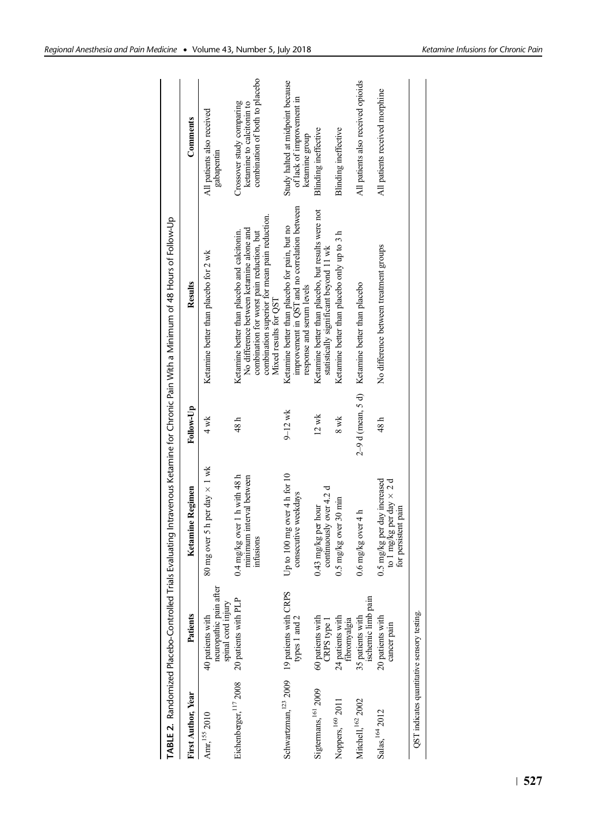|                                             |                                                                         |                                                                                       |                 | TABLE 2. Randomized Placebo-Controlled Trials Evaluating Intravenous Ketamine for Chronic Pain With a Minimum of 48 Hours of Follow-Up                                                                          |                                                                                          |
|---------------------------------------------|-------------------------------------------------------------------------|---------------------------------------------------------------------------------------|-----------------|-----------------------------------------------------------------------------------------------------------------------------------------------------------------------------------------------------------------|------------------------------------------------------------------------------------------|
| First Author, Year                          | Patients                                                                | <b>Ketamine Regimen</b>                                                               | Follow-Up       | Results                                                                                                                                                                                                         | Comments                                                                                 |
| $\mbox{Amr}, ^{155}$ 2010                   | neuropathic pain after<br>spinal cord injury<br>40 patients with        | 80 mg over 5 h per day $\times$ 1 wk                                                  | $4 \text{ wk}$  | Ketamine better than placebo for 2 wk                                                                                                                                                                           | All patients also received<br>gabapentin                                                 |
| Eichenberger, $^{117}$ 2008                 | 20 patients with PLP                                                    | $0.4$ mg/kg over 1 h with 48 h<br>minimum interval between<br>infusions               | 48 h            | combination superior for mean pain reduction.<br>No difference between ketamine alone and<br>Ketamine better than placebo and calcitonin.<br>combination for worst pain reduction, but<br>Mixed results for QST | combination of both to placebo<br>ketamine to calcitonin to<br>Crossover study comparing |
|                                             | Schwartzman, <sup>123</sup> 2009 19 patients with CRPS<br>types 1 and 2 | Up to $100$ mg over $4 h$ for $10$<br>consecutive weekdays                            | $9 - 12$ wk     | improvement in QST and no correlation between<br>Ketamine better than placebo for pain, but no<br>response and serum levels                                                                                     | Study halted at midpoint because<br>of lack of improvement in<br>ketamine group          |
| Sigtermans, 161 2009                        | 60 patients with<br>CRPS type 1                                         | continuously over 4.2 d<br>$0.43$ mg/kg per hour                                      | $12 \text{ wk}$ | Ketamine better than placebo, but results were not<br>statistically significant beyond 11 wk                                                                                                                    | Blinding ineffective                                                                     |
| Noppers, 160 2011                           | 24 patients with<br>fibromyalgia                                        | $0.5$ mg/kg over 30 min                                                               | 8 wk            | Ketamine better than placebo only up to 3 h                                                                                                                                                                     | Blinding ineffective                                                                     |
| Mitchell, $^{162}$ 2002                     | ischemic limb pain<br>35 patients with                                  | $0.6$ mg/kg over 4 h                                                                  |                 | $2-9$ d (mean, 5 d) Ketamine better than placebo                                                                                                                                                                | All patients also received opioids                                                       |
| Salas, 164 2012                             | 20 patients with<br>cancer pain                                         | 0.5 mg/kg per day increased<br>to 1 mg/kg per day $\times$ 2 d<br>for persistent pain | 48 h            | No difference between treatment groups                                                                                                                                                                          | All patients received morphine                                                           |
| QST indicates quantitative sensory testing. |                                                                         |                                                                                       |                 |                                                                                                                                                                                                                 |                                                                                          |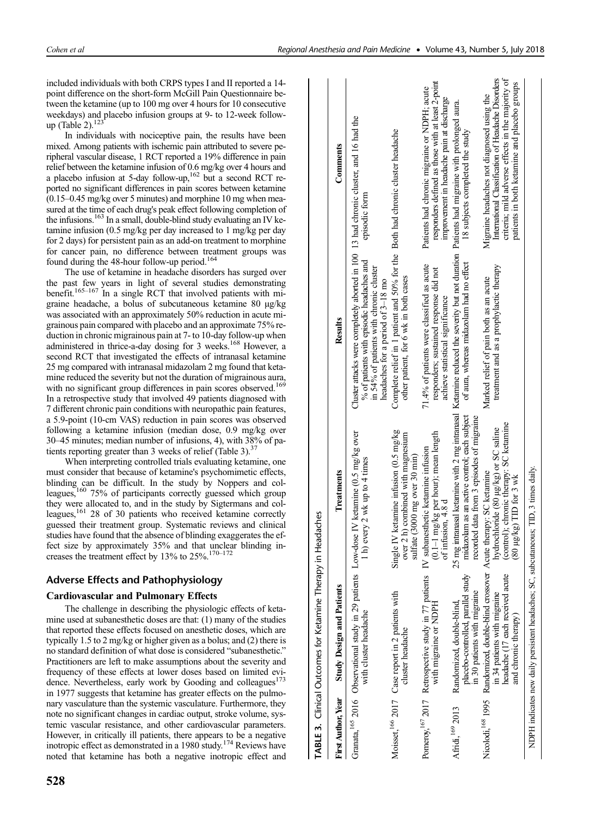included individuals with both CRPS types I and II reported a 14 point difference on the short-form McGill Pain Questionnaire between the ketamine (up to 100 mg over 4 hours for 10 consecutive weekdays) and placebo infusion groups at 9- to 12-week followup (Table 2). $123$ 

In individuals with nociceptive pain, the results have been mixed. Among patients with ischemic pain attributed to severe peripheral vascular disease, 1 RCT reported a 19% difference in pain relief between the ketamine infusion of 0.6 mg/kg over 4 hours and a placebo infusion at  $5$ -day follow-up,<sup>162</sup> but a second RCT reported no significant differences in pain scores between ketamine (0.15–0.45 mg/kg over 5 minutes) and morphine 10 mg when measured at the time of each drug's peak effect following completion of the infusions.<sup>163</sup> In a small, double-blind study evaluating an IV ketamine infusion (0.5 mg/kg per day increased to 1 mg/kg per day for 2 days) for persistent pain as an add-on treatment to morphine for cancer pain, no difference between treatment groups was found during the 48-hour follow-up period.<sup>164</sup>

The use of ketamine in headache disorders has surged over past few years in light of several studies demonstrating benefit.<sup>165–167</sup> In a single RCT that involved patients with migraine headache, a bolus of subcutaneous ketamine 80 μg/kg was associated with an approximately 50% reduction in acute migrainous pain compared with placebo and an approximate 75% reduction in chronic migrainous pain at 7- to 10-day follow-up when administered in thrice-a-day dosing for 3 weeks.<sup>168</sup> However, a second RCT that investigated the effects of intranasal ketamine 25 mg compared with intranasal midazolam 2 mg found that ketamine reduced the severity but not the duration of migrainous aura, with no significant group differences in pain scores observed.<sup>169</sup> In a retrospective study that involved 49 patients diagnosed with 7 different chronic pain conditions with neuropathic pain features, a 5.9-point (10-cm VAS) reduction in pain scores was observed following a ketamine infusion (median dose, 0.9 mg/kg over 30–45 minutes; median number of infusions, 4), with 38% of patients reporting greater than 3 weeks of relief (Table 3). $37$ 

When interpreting controlled trials evaluating ketamine, one must consider that because of ketamine's psychomimetic effects, blinding can be difficult. In the study by Noppers and colleagues,<sup>160</sup> 75% of participants correctly guessed which group they were allocated to, and in the study by Sigtermans and colleagues,<sup>161</sup> 28 of 30 patients who received ketamine correctly guessed their treatment group. Systematic reviews and clinical studies have found that the absence of blinding exaggerates the effect size by approximately 35% and that unclear blinding increases the treatment effect by  $13\%$  to  $25\%$ .<sup>170–172</sup>

# Adverse Effects and Pathophysiology

# Cardiovascular and Pulmonary Effects

The challenge in describing the physiologic effects of ketamine used at subanesthetic doses are that: (1) many of the studies that reported these effects focused on anesthetic doses, which are typically 1.5 to 2 mg/kg or higher given as a bolus; and (2) there is no standard definition of what dose is considered "subanesthetic." Practitioners are left to make assumptions about the severity and frequency of these effects at lower doses based on limited evidence. Nevertheless, early work by Gooding and colleagues<sup>173</sup> in 1977 suggests that ketamine has greater effects on the pulmonary vasculature than the systemic vasculature. Furthermore, they note no significant changes in cardiac output, stroke volume, systemic vascular resistance, and other cardiovascular parameters. However, in critically ill patients, there appears to be a negative inotropic effect as demonstrated in a 1980 study.174 Reviews have noted that ketamine has both a negative inotropic effect and

|                           | <b>TABLE 3.</b> Clinical Outcomes for Ketamine Therapy in                                                                                                                               | Headaches                                                                                                                                                                          |                                                                                                                                                                                                                    |                                                                                                                                                                                                       |
|---------------------------|-----------------------------------------------------------------------------------------------------------------------------------------------------------------------------------------|------------------------------------------------------------------------------------------------------------------------------------------------------------------------------------|--------------------------------------------------------------------------------------------------------------------------------------------------------------------------------------------------------------------|-------------------------------------------------------------------------------------------------------------------------------------------------------------------------------------------------------|
| <b>First Author, Year</b> | <b>Study Design and Patients</b>                                                                                                                                                        | Treatments                                                                                                                                                                         | Results                                                                                                                                                                                                            | Comments                                                                                                                                                                                              |
|                           | with cluster headache                                                                                                                                                                   | Granata, <sup>165</sup> 2016 Observational study in 29 patients Low-dose IV ketamine (0.5 mg/kg over<br>h) every $2$ wk up to $4$ times                                            | Cluster attacks were completely aborted in 100 13 had chronic cluster, and 16 had the<br>% of patients with episodic headaches and<br>in 54% of patients with chronic cluster<br>headaches for a period of 3–18 mo | episodic form                                                                                                                                                                                         |
|                           | Moisset, <sup>166</sup> 2017 Case report in 2 patients with<br>cluster headache                                                                                                         | Single IV ketamine infusion (0.5 mg/kg<br>over 2 h) combined with magnesium<br>sulfate (3000 mg over 30 min)                                                                       | Complete relief in 1 patient and 50% for the Both had chronic cluster headache<br>other patient, for 6 wk in both cases                                                                                            |                                                                                                                                                                                                       |
|                           | with migraine or NDPH                                                                                                                                                                   | $(0.1-1 \text{ mg/kg} \text{ per hour})$ ; mean length<br>Pomeroy, <sup>167</sup> 2017 Retrospective study in 77 patients IV subanesthetic ketamine infusion<br>of infusion, 4.8 d | 71.4% of patients were classified as acute<br>responders; sustained response did not<br>achieve statistical significance                                                                                           | responders defined as those with at least 2-point<br>Patients had chronic migraine or NDPH; acute<br>improvement in headache pain at discharge                                                        |
| Afridi, 169 2013          | placebo-controlled, parallel study<br>in 30 patients with migraine<br>Randomized, double-blind,                                                                                         | midazolam as an active control; each subject<br>recorded data from 3 episodes of migraine                                                                                          | 25 mg intranasal ketamine with 2 mg intranasal Ketamine reduced the severity but not duration Patients had migraine with prolonged aura.<br>of aura, whereas midazolam had no effect                               | 18 subjects completed the study                                                                                                                                                                       |
|                           | Nicolodi, <sup>168</sup> 1995 Randomized, double-blind crossover Acute therapy: SC ketamine<br>headache (17 each received acute<br>in 34 patients with migraine<br>and chronic therapy) | (control); chronic therapy: SC ketamine<br>hydrochloride (80 µg/kg) or SC saline<br>$(80 \mu g/kg)$ TID for 3 wk                                                                   | treatment and as a prophylactic therapy<br>Marked relief of pain both as an acute                                                                                                                                  | International Classification of Headache Disorders<br>criteria; mild adverse effects in the majority of<br>patients in both ketamine and placebo groups<br>Migraine headaches not diagnosed using the |
|                           | NDPH indicates new daily persistent headaches; SC, subcutaneous; TID, 3 times daily.                                                                                                    |                                                                                                                                                                                    |                                                                                                                                                                                                                    |                                                                                                                                                                                                       |

Ī

ï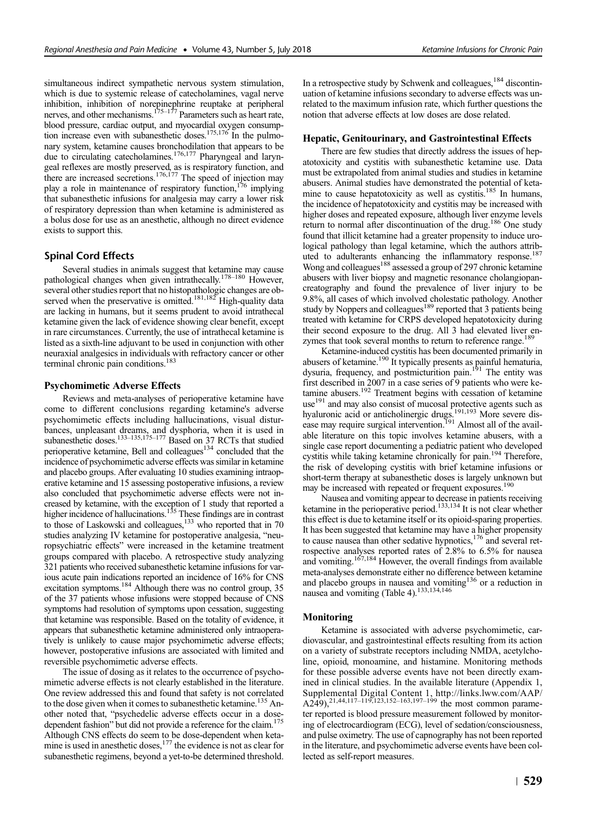simultaneous indirect sympathetic nervous system stimulation, which is due to systemic release of catecholamines, vagal nerve inhibition, inhibition of norepinephrine reuptake at peripheral nerves, and other mechanisms.<sup>175–177</sup> Parameters such as heart rate, blood pressure, cardiac output, and myocardial oxygen consumption increase even with subanesthetic doses.<sup>175,176</sup> In the pulmonary system, ketamine causes bronchodilation that appears to be due to circulating catecholamines.176,177 Pharyngeal and laryngeal reflexes are mostly preserved, as is respiratory function, and there are increased secretions.<sup>176,177</sup> The speed of injection may play a role in maintenance of respiratory function,  $176$  implying that subanesthetic infusions for analgesia may carry a lower risk of respiratory depression than when ketamine is administered as a bolus dose for use as an anesthetic, although no direct evidence exists to support this.

## Spinal Cord Effects

Several studies in animals suggest that ketamine may cause pathological changes when given intrathecally.<sup>178–180</sup> However, several other studies report that no histopathologic changes are observed when the preservative is omitted.<sup>181,182</sup> High-quality data are lacking in humans, but it seems prudent to avoid intrathecal ketamine given the lack of evidence showing clear benefit, except in rare circumstances. Currently, the use of intrathecal ketamine is listed as a sixth-line adjuvant to be used in conjunction with other neuraxial analgesics in individuals with refractory cancer or other terminal chronic pain conditions.<sup>183</sup>

#### Psychomimetic Adverse Effects

Reviews and meta-analyses of perioperative ketamine have come to different conclusions regarding ketamine's adverse psychomimetic effects including hallucinations, visual disturbances, unpleasant dreams, and dysphoria, when it is used in subanesthetic doses.<sup>133–135,175–177</sup> Based on 37 RCTs that studied perioperative ketamine, Bell and colleagues<sup>134</sup> concluded that the incidence of psychomimetic adverse effects was similar in ketamine and placebo groups. After evaluating 10 studies examining intraoperative ketamine and 15 assessing postoperative infusions, a review also concluded that psychomimetic adverse effects were not increased by ketamine, with the exception of 1 study that reported a higher incidence of hallucinations.<sup>135</sup> These findings are in contrast to those of Laskowski and colleagues,<sup>133</sup> who reported that in 70 studies analyzing IV ketamine for postoperative analgesia, "neuropsychiatric effects" were increased in the ketamine treatment groups compared with placebo. A retrospective study analyzing 321 patients who received subanesthetic ketamine infusions for various acute pain indications reported an incidence of 16% for CNS excitation symptoms.<sup>184</sup> Although there was no control group, 35 of the 37 patients whose infusions were stopped because of CNS symptoms had resolution of symptoms upon cessation, suggesting that ketamine was responsible. Based on the totality of evidence, it appears that subanesthetic ketamine administered only intraoperatively is unlikely to cause major psychomimetic adverse effects; however, postoperative infusions are associated with limited and reversible psychomimetic adverse effects.

The issue of dosing as it relates to the occurrence of psychomimetic adverse effects is not clearly established in the literature. One review addressed this and found that safety is not correlated to the dose given when it comes to subanesthetic ketamine.<sup>135</sup> Another noted that, "psychedelic adverse effects occur in a dosedependent fashion" but did not provide a reference for the claim.175 Although CNS effects do seem to be dose-dependent when ketamine is used in anesthetic doses,<sup>177</sup> the evidence is not as clear for subanesthetic regimens, beyond a yet-to-be determined threshold.

In a retrospective study by Schwenk and colleagues, $184$  discontinuation of ketamine infusions secondary to adverse effects was unrelated to the maximum infusion rate, which further questions the notion that adverse effects at low doses are dose related.

#### Hepatic, Genitourinary, and Gastrointestinal Effects

There are few studies that directly address the issues of hepatotoxicity and cystitis with subanesthetic ketamine use. Data must be extrapolated from animal studies and studies in ketamine abusers. Animal studies have demonstrated the potential of ketamine to cause hepatotoxicity as well as cystitis.<sup>185</sup> In humans, the incidence of hepatotoxicity and cystitis may be increased with higher doses and repeated exposure, although liver enzyme levels return to normal after discontinuation of the drug.186 One study found that illicit ketamine had a greater propensity to induce urological pathology than legal ketamine, which the authors attributed to adulterants enhancing the inflammatory response.<sup>187</sup> Wong and colleagues<sup>188</sup> assessed a group of 297 chronic ketamine abusers with liver biopsy and magnetic resonance cholangiopancreatography and found the prevalence of liver injury to be 9.8%, all cases of which involved cholestatic pathology. Another study by Noppers and colleagues<sup>189</sup> reported that 3 patients being treated with ketamine for CRPS developed hepatotoxicity during their second exposure to the drug. All 3 had elevated liver enzymes that took several months to return to reference range.<sup>189</sup>

Ketamine-induced cystitis has been documented primarily in abusers of ketamine.190 It typically presents as painful hematuria, dysuria, frequency, and postmicturition pain.<sup>191</sup> The entity was first described in 2007 in a case series of 9 patients who were ketamine abusers.<sup>192</sup> Treatment begins with cessation of ketamine use<sup>191</sup> and may also consist of mucosal protective agents such as hyaluronic acid or anticholinergic drugs.<sup>191,193</sup> More severe disease may require surgical intervention.<sup>191</sup> Almost all of the available literature on this topic involves ketamine abusers, with a single case report documenting a pediatric patient who developed cystitis while taking ketamine chronically for pain.<sup>194</sup> Therefore, the risk of developing cystitis with brief ketamine infusions or short-term therapy at subanesthetic doses is largely unknown but may be increased with repeated or frequent exposures.<sup>190</sup>

Nausea and vomiting appear to decrease in patients receiving ketamine in the perioperative period.<sup>133,134</sup> It is not clear whether this effect is due to ketamine itself or its opioid-sparing properties. It has been suggested that ketamine may have a higher propensity to cause nausea than other sedative hypnotics, $176$  and several retrospective analyses reported rates of 2.8% to 6.5% for nausea<br>and vomiting.<sup>167,184</sup> However, the overall findings from available meta-analyses demonstrate either no difference between ketamine and placebo groups in nausea and vomiting<sup>136</sup> or a reduction in nausea and vomiting (Table 4).<sup>133,134,146</sup>

#### Monitoring

Ketamine is associated with adverse psychomimetic, cardiovascular, and gastrointestinal effects resulting from its action on a variety of substrate receptors including NMDA, acetylcholine, opioid, monoamine, and histamine. Monitoring methods for these possible adverse events have not been directly examined in clinical studies. In the available literature (Appendix 1, Supplemental Digital Content 1, [http://links.lww.com/AAP/](http://links.lww.com/AAP/A249)<br>[A249\)](http://links.lww.com/AAP/A249),<sup>21,44,117–119,123,152–163,197–199</sup> the most common parameter reported is blood pressure measurement followed by monitoring of electrocardiogram (ECG), level of sedation/consciousness, and pulse oximetry. The use of capnography has not been reported in the literature, and psychomimetic adverse events have been collected as self-report measures.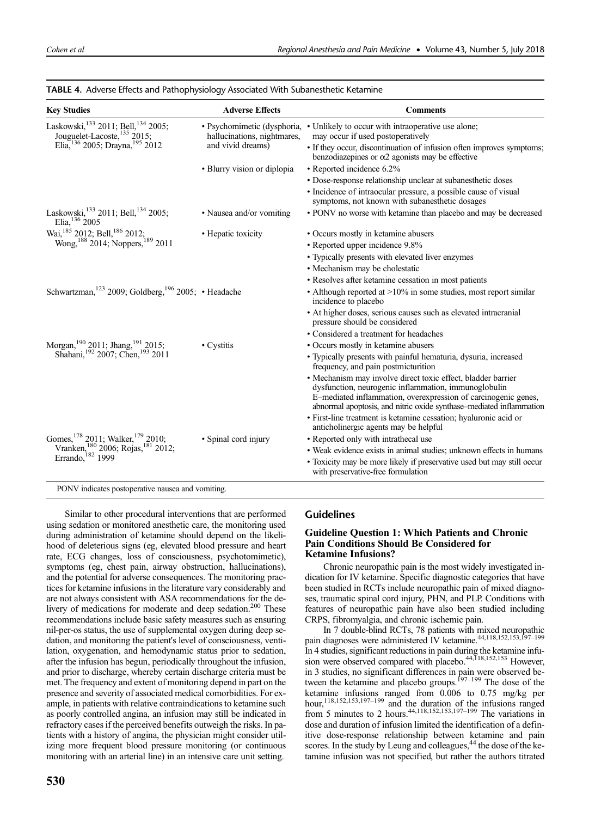| <b>Key Studies</b>                                                                                                    | <b>Adverse Effects</b>                                     | <b>Comments</b>                                                                                                                                                                                                                                               |
|-----------------------------------------------------------------------------------------------------------------------|------------------------------------------------------------|---------------------------------------------------------------------------------------------------------------------------------------------------------------------------------------------------------------------------------------------------------------|
| Laskowski, 133 2011; Bell, 134 2005;<br>Jouguelet-Lacoste, 135 2015;                                                  | • Psychomimetic (dysphoria,<br>hallucinations, nightmares, | • Unlikely to occur with intraoperative use alone;<br>may occur if used postoperatively                                                                                                                                                                       |
| Elia, 136 2005; Drayna, 195 2012                                                                                      | and vivid dreams)                                          | • If they occur, discontinuation of infusion often improves symptoms;<br>benzodiazepines or $\alpha$ 2 agonists may be effective                                                                                                                              |
|                                                                                                                       | • Blurry vision or diplopia                                | • Reported incidence 6.2%                                                                                                                                                                                                                                     |
|                                                                                                                       |                                                            | · Dose-response relationship unclear at subanesthetic doses                                                                                                                                                                                                   |
|                                                                                                                       |                                                            | • Incidence of intraocular pressure, a possible cause of visual<br>symptoms, not known with subanesthetic dosages                                                                                                                                             |
| Laskowski, <sup>133</sup> 2011; Bell, <sup>134</sup> 2005;<br>Elia, $136\,2005$                                       | • Nausea and/or vomiting                                   | • PONV no worse with ketamine than placebo and may be decreased                                                                                                                                                                                               |
| Wai, <sup>185</sup> 2012; Bell, <sup>186</sup> 2012;<br>Wong, <sup>188</sup> 2014; Noppers, <sup>189</sup> 2011       | • Hepatic toxicity                                         | • Occurs mostly in ketamine abusers                                                                                                                                                                                                                           |
|                                                                                                                       |                                                            | • Reported upper incidence 9.8%                                                                                                                                                                                                                               |
|                                                                                                                       |                                                            | • Typically presents with elevated liver enzymes                                                                                                                                                                                                              |
|                                                                                                                       |                                                            | • Mechanism may be cholestatic                                                                                                                                                                                                                                |
|                                                                                                                       |                                                            | • Resolves after ketamine cessation in most patients                                                                                                                                                                                                          |
| Schwartzman, <sup>123</sup> 2009; Goldberg, <sup>196</sup> 2005; • Headache                                           |                                                            | • Although reported at $>10\%$ in some studies, most report similar<br>incidence to placebo                                                                                                                                                                   |
|                                                                                                                       |                                                            | • At higher doses, serious causes such as elevated intracranial<br>pressure should be considered                                                                                                                                                              |
|                                                                                                                       |                                                            | • Considered a treatment for headaches                                                                                                                                                                                                                        |
| Morgan, <sup>190</sup> 2011; Jhang, <sup>191</sup> 2015;<br>Shahani, <sup>192</sup> 2007; Chen, <sup>193</sup> 2011   | • Cystitis                                                 | • Occurs mostly in ketamine abusers                                                                                                                                                                                                                           |
|                                                                                                                       |                                                            | • Typically presents with painful hematuria, dysuria, increased<br>frequency, and pain postmicturition                                                                                                                                                        |
|                                                                                                                       |                                                            | • Mechanism may involve direct toxic effect, bladder barrier<br>dysfunction, neurogenic inflammation, immunoglobulin<br>E-mediated inflammation, overexpression of carcinogenic genes,<br>abnormal apoptosis, and nitric oxide synthase–mediated inflammation |
|                                                                                                                       |                                                            | · First-line treatment is ketamine cessation; hyaluronic acid or<br>anticholinergic agents may be helpful                                                                                                                                                     |
| Gomes, <sup>178</sup> 2011; Walker, <sup>179</sup> 2010;<br>Vranken, <sub>180</sub> 2006; Rojas, <sup>181</sup> 2012; | • Spinal cord injury                                       | • Reported only with intrathecal use                                                                                                                                                                                                                          |
|                                                                                                                       |                                                            | • Weak evidence exists in animal studies; unknown effects in humans                                                                                                                                                                                           |
| Errando, 182 1999                                                                                                     |                                                            | • Toxicity may be more likely if preservative used but may still occur<br>with preservative-free formulation                                                                                                                                                  |

# TABLE 4. Adverse Effects and Pathophysiology Associated With Subanesthetic Ketamine

Similar to other procedural interventions that are performed using sedation or monitored anesthetic care, the monitoring used during administration of ketamine should depend on the likelihood of deleterious signs (eg, elevated blood pressure and heart rate, ECG changes, loss of consciousness, psychotomimetic), symptoms (eg, chest pain, airway obstruction, hallucinations), and the potential for adverse consequences. The monitoring practices for ketamine infusions in the literature vary considerably and are not always consistent with ASA recommendations for the delivery of medications for moderate and deep sedation.<sup>200</sup> These recommendations include basic safety measures such as ensuring nil-per-os status, the use of supplemental oxygen during deep sedation, and monitoring the patient's level of consciousness, ventilation, oxygenation, and hemodynamic status prior to sedation, after the infusion has begun, periodically throughout the infusion, and prior to discharge, whereby certain discharge criteria must be met. The frequency and extent of monitoring depend in part on the presence and severity of associated medical comorbidities. For example, in patients with relative contraindications to ketamine such as poorly controlled angina, an infusion may still be indicated in refractory cases if the perceived benefits outweigh the risks. In patients with a history of angina, the physician might consider utilizing more frequent blood pressure monitoring (or continuous monitoring with an arterial line) in an intensive care unit setting.

# Guidelines

# Guideline Question 1: Which Patients and Chronic Pain Conditions Should Be Considered for Ketamine Infusions?

Chronic neuropathic pain is the most widely investigated indication for IV ketamine. Specific diagnostic categories that have been studied in RCTs include neuropathic pain of mixed diagnoses, traumatic spinal cord injury, PHN, and PLP. Conditions with features of neuropathic pain have also been studied including CRPS, fibromyalgia, and chronic ischemic pain.

In 7 double-blind RCTs, 78 patients with mixed neuropathic pain diagnoses were administered IV ketamine.<sup>44,118,152,153,197–199</sup> In 4 studies, significant reductions in pain during the ketamine infu-sion were observed compared with placebo.44,118,152,153 However, in 3 studies, no significant differences in pain were observed be-<br>tween the ketamine and placebo groups.<sup>197–199</sup> The dose of the ketamine infusions ranged from 0.006 to 0.75 mg/kg per hour,<sup>118,152,153,197–199</sup> and the duration of the infusions ranged from 5 minutes to 2 hours.<sup>44,118,152,153,197-199</sup> The variations in dose and duration of infusion limited the identification of a definitive dose-response relationship between ketamine and pain scores. In the study by Leung and colleagues,  $44$  the dose of the ketamine infusion was not specified, but rather the authors titrated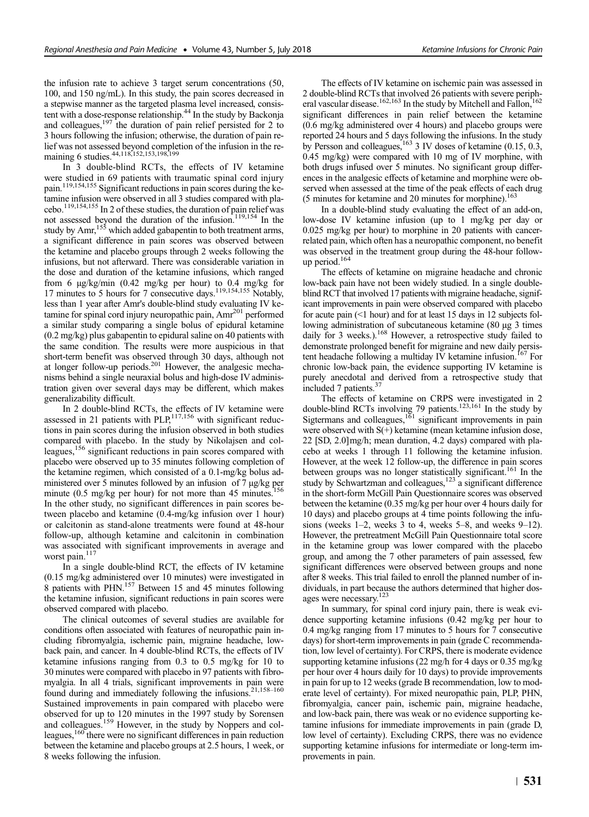the infusion rate to achieve 3 target serum concentrations (50, 100, and 150 ng/mL). In this study, the pain scores decreased in a stepwise manner as the targeted plasma level increased, consistent with a dose-response relationship.<sup>44</sup> In the study by Backonja and colleagues, $197$  the duration of pain relief persisted for 2 to 3 hours following the infusion; otherwise, the duration of pain relief was not assessed beyond completion of the infusion in the remaining 6 studies.<sup>44,118,152,153,198,199</sup>

In 3 double-blind RCTs, the effects of IV ketamine were studied in 69 patients with traumatic spinal cord injury pain.119,154,155 Significant reductions in pain scores during the ketamine infusion were observed in all 3 studies compared with placebo.119,154,155 In 2 of these studies, the duration of pain relief was not assessed beyond the duration of the infusion.119,154 In the study by  $\text{Amr}^{15\overline{5}}$  which added gabapentin to both treatment arms, a significant difference in pain scores was observed between the ketamine and placebo groups through 2 weeks following the infusions, but not afterward. There was considerable variation in the dose and duration of the ketamine infusions, which ranged from 6  $\mu$ g/kg/min (0.42 mg/kg per hour) to 0.4 mg/kg for 17 minutes to 5 hours for 7 consecutive days.<sup>119,154,155</sup> Notably, less than 1 year after Amr's double-blind study evaluating IV ketamine for spinal cord injury neuropathic pain, Amr<sup>201</sup> performed a similar study comparing a single bolus of epidural ketamine (0.2 mg/kg) plus gabapentin to epidural saline on 40 patients with the same condition. The results were more auspicious in that short-term benefit was observed through 30 days, although not at longer follow-up periods.<sup>201</sup> However, the analgesic mechanisms behind a single neuraxial bolus and high-dose IV administration given over several days may be different, which makes generalizability difficult.

In 2 double-blind RCTs, the effects of IV ketamine were assessed in 21 patients with  $PLP<sub>1</sub><sup>117,156</sup>$  with significant reductions in pain scores during the infusion observed in both studies compared with placebo. In the study by Nikolajsen and colleagues,156 significant reductions in pain scores compared with placebo were observed up to 35 minutes following completion of the ketamine regimen, which consisted of a 0.1-mg/kg bolus administered over 5 minutes followed by an infusion of 7 μg/kg per minute (0.5 mg/kg per hour) for not more than 45 minutes.<sup>156</sup> In the other study, no significant differences in pain scores between placebo and ketamine (0.4-mg/kg infusion over 1 hour) or calcitonin as stand-alone treatments were found at 48-hour follow-up, although ketamine and calcitonin in combination was associated with significant improvements in average and worst pain. $117$ 

In a single double-blind RCT, the effects of IV ketamine (0.15 mg/kg administered over 10 minutes) were investigated in  $\frac{1}{8}$  patients with PHN.<sup>157</sup> Between 15 and 45 minutes following the ketamine infusion, significant reductions in pain scores were observed compared with placebo.

The clinical outcomes of several studies are available for conditions often associated with features of neuropathic pain including fibromyalgia, ischemic pain, migraine headache, lowback pain, and cancer. In 4 double-blind RCTs, the effects of IV ketamine infusions ranging from 0.3 to 0.5 mg/kg for 10 to 30 minutes were compared with placebo in 97 patients with fibromyalgia. In all 4 trials, significant improvements in pain were found during and immediately following the infusions.21,158–<sup>160</sup> Sustained improvements in pain compared with placebo were observed for up to 120 minutes in the 1997 study by Sorensen and colleagues.<sup>159</sup> However, in the study by Noppers and colleagues, $160$  there were no significant differences in pain reduction between the ketamine and placebo groups at 2.5 hours, 1 week, or 8 weeks following the infusion.

The effects of IV ketamine on ischemic pain was assessed in 2 double-blind RCTs that involved 26 patients with severe peripheral vascular disease.<sup>162,163</sup> In the study by Mitchell and Fallon,<sup>162</sup> significant differences in pain relief between the ketamine (0.6 mg/kg administered over 4 hours) and placebo groups were reported 24 hours and 5 days following the infusions. In the study by Persson and colleagues,<sup>163</sup> 3 IV doses of ketamine  $(0.15, 0.3, 0.5)$ 0.45 mg/kg) were compared with 10 mg of IV morphine, with both drugs infused over 5 minutes. No significant group differences in the analgesic effects of ketamine and morphine were observed when assessed at the time of the peak effects of each drug (5 minutes for ketamine and 20 minutes for morphine). $163$ 

In a double-blind study evaluating the effect of an add-on, low-dose IV ketamine infusion (up to 1 mg/kg per day or 0.025 mg/kg per hour) to morphine in 20 patients with cancerrelated pain, which often has a neuropathic component, no benefit was observed in the treatment group during the 48-hour followup period.164

The effects of ketamine on migraine headache and chronic low-back pain have not been widely studied. In a single doubleblind RCT that involved 17 patients with migraine headache, significant improvements in pain were observed compared with placebo for acute pain (<1 hour) and for at least 15 days in 12 subjects following administration of subcutaneous ketamine (80 μg 3 times daily for 3 weeks.).<sup>168</sup> However, a retrospective study failed to demonstrate prolonged benefit for migraine and new daily persistent headache following a multiday IV ketamine infusion.<sup>167</sup> For chronic low-back pain, the evidence supporting IV ketamine is purely anecdotal and derived from a retrospective study that included 7 patients.37

The effects of ketamine on CRPS were investigated in 2 double-blind RCTs involving 79 patients.<sup>123,161</sup> In the study by Sigtermans and colleagues,  $161$  significant improvements in pain were observed with S(+) ketamine (mean ketamine infusion dose, 22 [SD, 2.0]mg/h; mean duration, 4.2 days) compared with placebo at weeks 1 through 11 following the ketamine infusion. However, at the week 12 follow-up, the difference in pain scores between groups was no longer statistically significant.<sup>161</sup> In the study by Schwartzman and colleagues,<sup>123</sup> a significant difference in the short-form McGill Pain Questionnaire scores was observed between the ketamine (0.35 mg/kg per hour over 4 hours daily for 10 days) and placebo groups at 4 time points following the infusions (weeks 1–2, weeks 3 to 4, weeks 5–8, and weeks 9–12). However, the pretreatment McGill Pain Questionnaire total score in the ketamine group was lower compared with the placebo group, and among the 7 other parameters of pain assessed, few significant differences were observed between groups and none after 8 weeks. This trial failed to enroll the planned number of individuals, in part because the authors determined that higher dosages were necessary.<sup>123</sup>

In summary, for spinal cord injury pain, there is weak evidence supporting ketamine infusions (0.42 mg/kg per hour to 0.4 mg/kg ranging from 17 minutes to 5 hours for 7 consecutive days) for short-term improvements in pain (grade C recommendation, low level of certainty). For CRPS, there is moderate evidence supporting ketamine infusions (22 mg/h for 4 days or 0.35 mg/kg per hour over 4 hours daily for 10 days) to provide improvements in pain for up to 12 weeks (grade B recommendation, low to moderate level of certainty). For mixed neuropathic pain, PLP, PHN, fibromyalgia, cancer pain, ischemic pain, migraine headache, and low-back pain, there was weak or no evidence supporting ketamine infusions for immediate improvements in pain (grade D, low level of certainty). Excluding CRPS, there was no evidence supporting ketamine infusions for intermediate or long-term improvements in pain.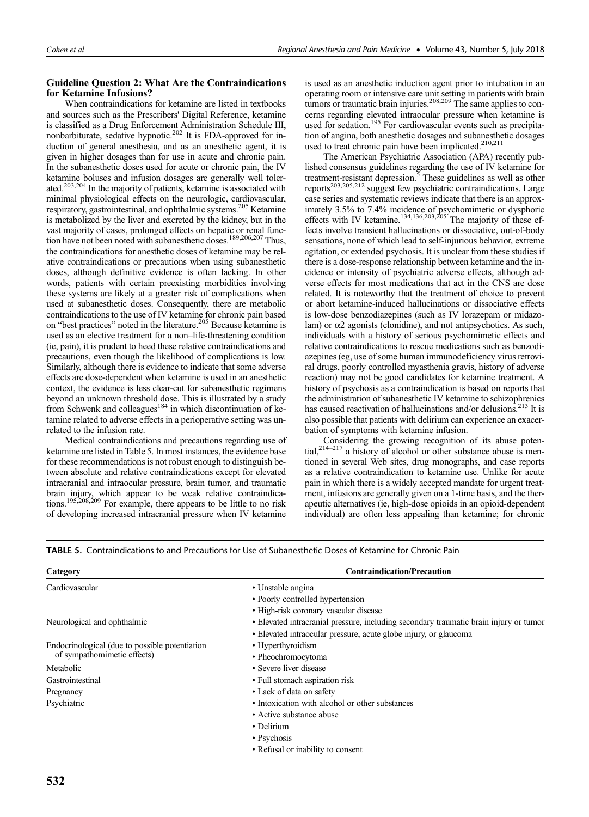# Guideline Question 2: What Are the Contraindications for Ketamine Infusions?

When contraindications for ketamine are listed in textbooks and sources such as the Prescribers' Digital Reference, ketamine is classified as a Drug Enforcement Administration Schedule III, nonbarbiturate, sedative hypnotic.<sup>202</sup> It is FDA-approved for induction of general anesthesia, and as an anesthetic agent, it is given in higher dosages than for use in acute and chronic pain. In the subanesthetic doses used for acute or chronic pain, the IV ketamine boluses and infusion dosages are generally well tolerated.203,204 In the majority of patients, ketamine is associated with minimal physiological effects on the neurologic, cardiovascular, respiratory, gastrointestinal, and ophthalmic systems.<sup>205</sup> Ketamine is metabolized by the liver and excreted by the kidney, but in the vast majority of cases, prolonged effects on hepatic or renal function have not been noted with subanesthetic doses.189,206,207 Thus, the contraindications for anesthetic doses of ketamine may be relative contraindications or precautions when using subanesthetic doses, although definitive evidence is often lacking. In other words, patients with certain preexisting morbidities involving these systems are likely at a greater risk of complications when used at subanesthetic doses. Consequently, there are metabolic contraindications to the use of IV ketamine for chronic pain based on "best practices" noted in the literature.<sup>205</sup> Because ketamine is used as an elective treatment for a non–life-threatening condition (ie, pain), it is prudent to heed these relative contraindications and precautions, even though the likelihood of complications is low. Similarly, although there is evidence to indicate that some adverse effects are dose-dependent when ketamine is used in an anesthetic context, the evidence is less clear-cut for subanesthetic regimens beyond an unknown threshold dose. This is illustrated by a study from Schwenk and colleagues<sup>184</sup> in which discontinuation of ketamine related to adverse effects in a perioperative setting was unrelated to the infusion rate.

Medical contraindications and precautions regarding use of ketamine are listed in Table 5. In most instances, the evidence base for these recommendations is not robust enough to distinguish between absolute and relative contraindications except for elevated intracranial and intraocular pressure, brain tumor, and traumatic brain injury, which appear to be weak relative contraindications.<sup>195,208,209</sup> For example, there appears to be little to no risk of developing increased intracranial pressure when IV ketamine

is used as an anesthetic induction agent prior to intubation in an operating room or intensive care unit setting in patients with brain tumors or traumatic brain injuries.<sup>208,209</sup> The same applies to concerns regarding elevated intraocular pressure when ketamine is used for sedation.<sup>195</sup> For cardiovascular events such as precipitation of angina, both anesthetic dosages and subanesthetic dosages used to treat chronic pain have been implicated.<sup>210,211</sup>

The American Psychiatric Association (APA) recently published consensus guidelines regarding the use of IV ketamine for treatment-resistant depression. $\bar{5}$  These guidelines as well as other reports203,205,212 suggest few psychiatric contraindications. Large case series and systematic reviews indicate that there is an approximately 3.5% to 7.4% incidence of psychomimetic or dysphoric effects with IV ketamine.<sup>134,136,203,205</sup> The majority of these effects involve transient hallucinations or dissociative, out-of-body sensations, none of which lead to self-injurious behavior, extreme agitation, or extended psychosis. It is unclear from these studies if there is a dose-response relationship between ketamine and the incidence or intensity of psychiatric adverse effects, although adverse effects for most medications that act in the CNS are dose related. It is noteworthy that the treatment of choice to prevent or abort ketamine-induced hallucinations or dissociative effects is low-dose benzodiazepines (such as IV lorazepam or midazolam) or  $\alpha$ 2 agonists (clonidine), and not antipsychotics. As such, individuals with a history of serious psychomimetic effects and relative contraindications to rescue medications such as benzodiazepines (eg, use of some human immunodeficiency virus retroviral drugs, poorly controlled myasthenia gravis, history of adverse reaction) may not be good candidates for ketamine treatment. A history of psychosis as a contraindication is based on reports that the administration of subanesthetic IV ketamine to schizophrenics has caused reactivation of hallucinations and/or delusions.<sup>213</sup> It is also possible that patients with delirium can experience an exacerbation of symptoms with ketamine infusion.

Considering the growing recognition of its abuse potential,<sup>214–217</sup> a history of alcohol or other substance abuse is mentioned in several Web sites, drug monographs, and case reports as a relative contraindication to ketamine use. Unlike for acute pain in which there is a widely accepted mandate for urgent treatment, infusions are generally given on a 1-time basis, and the therapeutic alternatives (ie, high-dose opioids in an opioid-dependent individual) are often less appealing than ketamine; for chronic

| Category                                        | <b>Contraindication/Precaution</b>                                                    |
|-------------------------------------------------|---------------------------------------------------------------------------------------|
| Cardiovascular                                  | • Unstable angina                                                                     |
|                                                 | • Poorly controlled hypertension                                                      |
|                                                 | • High-risk coronary vascular disease                                                 |
| Neurological and ophthalmic                     | • Elevated intracranial pressure, including secondary traumatic brain injury or tumor |
|                                                 | • Elevated intraocular pressure, acute globe injury, or glaucoma                      |
| Endocrinological (due to possible potentiation) | • Hyperthyroidism                                                                     |
| of sympathomimetic effects)                     | • Pheochromocytoma                                                                    |
| Metabolic                                       | • Severe liver disease                                                                |
| Gastrointestinal                                | • Full stomach aspiration risk                                                        |
| Pregnancy                                       | • Lack of data on safety                                                              |
| Psychiatric                                     | • Intoxication with alcohol or other substances                                       |
|                                                 | • Active substance abuse                                                              |
|                                                 | • Delirium                                                                            |
|                                                 | • Psychosis                                                                           |
|                                                 | • Refusal or inability to consent                                                     |

TABLE 5. Contraindications to and Precautions for Use of Subanesthetic Doses of Ketamine for Chronic Pain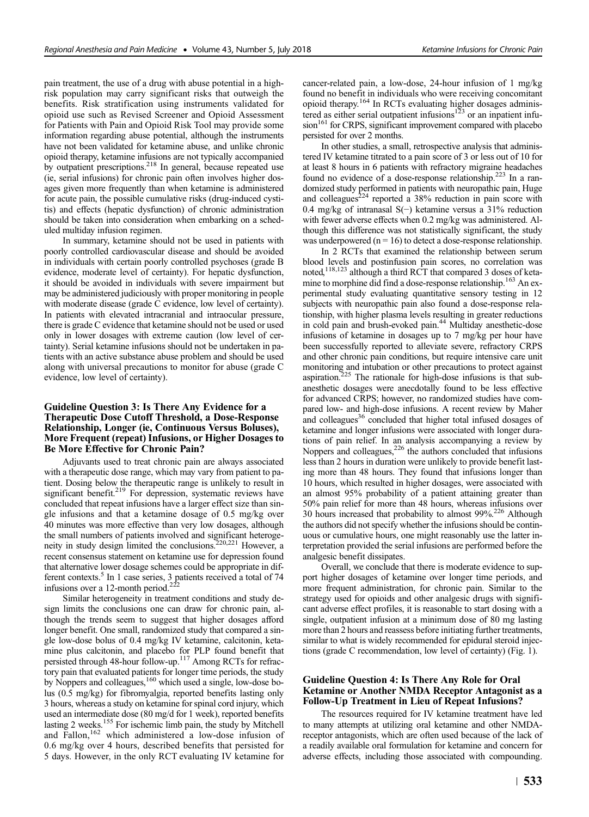pain treatment, the use of a drug with abuse potential in a highrisk population may carry significant risks that outweigh the benefits. Risk stratification using instruments validated for opioid use such as Revised Screener and Opioid Assessment for Patients with Pain and Opioid Risk Tool may provide some information regarding abuse potential, although the instruments have not been validated for ketamine abuse, and unlike chronic opioid therapy, ketamine infusions are not typically accompanied by outpatient prescriptions.<sup>218</sup> In general, because repeated use (ie, serial infusions) for chronic pain often involves higher dosages given more frequently than when ketamine is administered for acute pain, the possible cumulative risks (drug-induced cystitis) and effects (hepatic dysfunction) of chronic administration should be taken into consideration when embarking on a scheduled multiday infusion regimen.

In summary, ketamine should not be used in patients with poorly controlled cardiovascular disease and should be avoided in individuals with certain poorly controlled psychoses (grade B evidence, moderate level of certainty). For hepatic dysfunction, it should be avoided in individuals with severe impairment but may be administered judiciously with proper monitoring in people with moderate disease (grade C evidence, low level of certainty). In patients with elevated intracranial and intraocular pressure, there is grade C evidence that ketamine should not be used or used only in lower dosages with extreme caution (low level of certainty). Serial ketamine infusions should not be undertaken in patients with an active substance abuse problem and should be used along with universal precautions to monitor for abuse (grade C evidence, low level of certainty).

## Guideline Question 3: Is There Any Evidence for a Therapeutic Dose Cutoff Threshold, a Dose-Response Relationship, Longer (ie, Continuous Versus Boluses), More Frequent (repeat) Infusions, or Higher Dosages to Be More Effective for Chronic Pain?

Adjuvants used to treat chronic pain are always associated with a therapeutic dose range, which may vary from patient to patient. Dosing below the therapeutic range is unlikely to result in significant benefit.<sup>219</sup> For depression, systematic reviews have concluded that repeat infusions have a larger effect size than single infusions and that a ketamine dosage of 0.5 mg/kg over 40 minutes was more effective than very low dosages, although the small numbers of patients involved and significant heterogeneity in study design limited the conclusions.220,221 However, a recent consensus statement on ketamine use for depression found that alternative lower dosage schemes could be appropriate in different contexts.<sup>5</sup> In 1 case series, 3 patients received a total of 74 infusions over a 12-month period.<sup>222</sup>

Similar heterogeneity in treatment conditions and study design limits the conclusions one can draw for chronic pain, although the trends seem to suggest that higher dosages afford longer benefit. One small, randomized study that compared a single low-dose bolus of 0.4 mg/kg IV ketamine, calcitonin, ketamine plus calcitonin, and placebo for PLP found benefit that persisted through 48-hour follow-up.<sup>117</sup> Among RCTs for refractory pain that evaluated patients for longer time periods, the study by Noppers and colleagues,<sup>160</sup> which used a single, low-dose bolus (0.5 mg/kg) for fibromyalgia, reported benefits lasting only 3 hours, whereas a study on ketamine for spinal cord injury, which used an intermediate dose (80 mg/d for 1 week), reported benefits<br>lasting 2 weeks.<sup>155</sup> For ischemic limb pain, the study by Mitchell and Fallon,<sup>162</sup> which administered a low-dose infusion of 0.6 mg/kg over 4 hours, described benefits that persisted for 5 days. However, in the only RCT evaluating IV ketamine for cancer-related pain, a low-dose, 24-hour infusion of 1 mg/kg found no benefit in individuals who were receiving concomitant opioid therapy.<sup>164</sup> In RCTs evaluating higher dosages administered as either serial outpatient infusions $123$  or an inpatient infusion<sup>161</sup> for CRPS, significant improvement compared with placebo persisted for over 2 months.

In other studies, a small, retrospective analysis that administered IV ketamine titrated to a pain score of 3 or less out of 10 for at least 8 hours in 6 patients with refractory migraine headaches found no evidence of a dose-response relationship.<sup>223</sup> In a randomized study performed in patients with neuropathic pain, Huge and colleagues<sup> $224$ </sup> reported a 38% reduction in pain score with 0.4 mg/kg of intranasal S(−) ketamine versus a 31% reduction with fewer adverse effects when 0.2 mg/kg was administered. Although this difference was not statistically significant, the study was underpowered ( $n = 16$ ) to detect a dose-response relationship.

In 2 RCTs that examined the relationship between serum blood levels and postinfusion pain scores, no correlation was noted,118,123 although a third RCT that compared 3 doses of ketamine to morphine did find a dose-response relationship.<sup>163</sup> An experimental study evaluating quantitative sensory testing in 12 subjects with neuropathic pain also found a dose-response relationship, with higher plasma levels resulting in greater reductions in cold pain and brush-evoked pain.<sup>44</sup> Multiday anesthetic-dose infusions of ketamine in dosages up to 7 mg/kg per hour have been successfully reported to alleviate severe, refractory CRPS and other chronic pain conditions, but require intensive care unit monitoring and intubation or other precautions to protect against aspiration.<sup>225</sup> The rationale for high-dose infusions is that subanesthetic dosages were anecdotally found to be less effective for advanced CRPS; however, no randomized studies have compared low- and high-dose infusions. A recent review by Maher and colleagues<sup>36</sup> concluded that higher total infused dosages of ketamine and longer infusions were associated with longer durations of pain relief. In an analysis accompanying a review by Noppers and colleagues,<sup>226</sup> the authors concluded that infusions less than 2 hours in duration were unlikely to provide benefit lasting more than 48 hours. They found that infusions longer than 10 hours, which resulted in higher dosages, were associated with an almost 95% probability of a patient attaining greater than 50% pain relief for more than 48 hours, whereas infusions over 30 hours increased that probability to almost 99%.226 Although the authors did not specify whether the infusions should be continuous or cumulative hours, one might reasonably use the latter interpretation provided the serial infusions are performed before the analgesic benefit dissipates.

Overall, we conclude that there is moderate evidence to support higher dosages of ketamine over longer time periods, and more frequent administration, for chronic pain. Similar to the strategy used for opioids and other analgesic drugs with significant adverse effect profiles, it is reasonable to start dosing with a single, outpatient infusion at a minimum dose of 80 mg lasting more than 2 hours and reassess before initiating further treatments, similar to what is widely recommended for epidural steroid injections (grade C recommendation, low level of certainty) (Fig. 1).

# Guideline Question 4: Is There Any Role for Oral Ketamine or Another NMDA Receptor Antagonist as a Follow-Up Treatment in Lieu of Repeat Infusions?

The resources required for IV ketamine treatment have led to many attempts at utilizing oral ketamine and other NMDAreceptor antagonists, which are often used because of the lack of a readily available oral formulation for ketamine and concern for adverse effects, including those associated with compounding.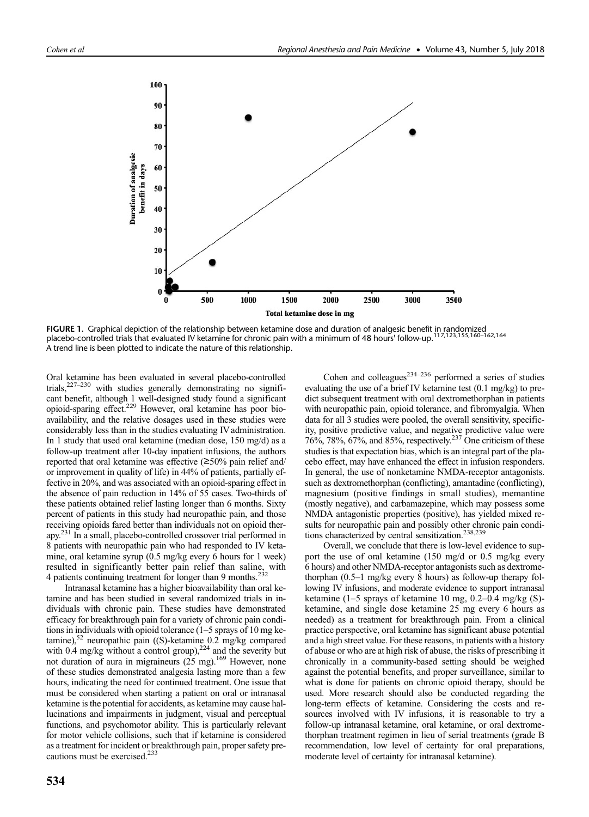

**FIGURE 1.** Graphical depiction of the relationship between ketamine dose and duration of analgesic benefit in randomized<br>placebo-controlled trials that evaluated IV ketamine for chronic pain with a minimum of 48 hours' f A trend line is been plotted to indicate the nature of this relationship.

Oral ketamine has been evaluated in several placebo-controlled trials,<sup>227–230</sup> with studies generally demonstrating no significant benefit, although 1 well-designed study found a significant opioid-sparing effect.229 However, oral ketamine has poor bioavailability, and the relative dosages used in these studies were considerably less than in the studies evaluating IV administration. In 1 study that used oral ketamine (median dose, 150 mg/d) as a follow-up treatment after 10-day inpatient infusions, the authors reported that oral ketamine was effective (≥50% pain relief and/ or improvement in quality of life) in 44% of patients, partially effective in 20%, and was associated with an opioid-sparing effect in the absence of pain reduction in 14% of 55 cases. Two-thirds of these patients obtained relief lasting longer than 6 months. Sixty percent of patients in this study had neuropathic pain, and those receiving opioids fared better than individuals not on opioid therapy.231 In a small, placebo-controlled crossover trial performed in 8 patients with neuropathic pain who had responded to IV ketamine, oral ketamine syrup (0.5 mg/kg every 6 hours for 1 week) resulted in significantly better pain relief than saline, with 4 patients continuing treatment for longer than 9 months.<sup>232</sup>

Intranasal ketamine has a higher bioavailability than oral ketamine and has been studied in several randomized trials in individuals with chronic pain. These studies have demonstrated efficacy for breakthrough pain for a variety of chronic pain conditions in individuals with opioid tolerance (1–5 sprays of 10 mg ketamine), $52$  neuropathic pain ((S)-ketamine 0.2 mg/kg compared with  $0.4$  mg/kg without a control group),<sup>224</sup> and the severity but not duration of aura in migraineurs  $(25 \text{ mg})$ .<sup>169</sup> However, none of these studies demonstrated analgesia lasting more than a few hours, indicating the need for continued treatment. One issue that must be considered when starting a patient on oral or intranasal ketamine is the potential for accidents, as ketamine may cause hallucinations and impairments in judgment, visual and perceptual functions, and psychomotor ability. This is particularly relevant for motor vehicle collisions, such that if ketamine is considered as a treatment for incident or breakthrough pain, proper safety precautions must be exercised.<sup>233</sup>

Cohen and colleagues $^{234-236}$  performed a series of studies evaluating the use of a brief IV ketamine test (0.1 mg/kg) to predict subsequent treatment with oral dextromethorphan in patients with neuropathic pain, opioid tolerance, and fibromyalgia. When data for all 3 studies were pooled, the overall sensitivity, specificity, positive predictive value, and negative predictive value were  $76\%, 78\%, 67\%,$  and  $85\%,$  respectively.<sup>237</sup> One criticism of these studies is that expectation bias, which is an integral part of the placebo effect, may have enhanced the effect in infusion responders. In general, the use of nonketamine NMDA-receptor antagonists. such as dextromethorphan (conflicting), amantadine (conflicting), magnesium (positive findings in small studies), memantine (mostly negative), and carbamazepine, which may possess some NMDA antagonistic properties (positive), has yielded mixed results for neuropathic pain and possibly other chronic pain conditions characterized by central sensitization.<sup>238,239</sup>

Overall, we conclude that there is low-level evidence to support the use of oral ketamine (150 mg/d or 0.5 mg/kg every 6 hours) and other NMDA-receptor antagonists such as dextromethorphan (0.5–1 mg/kg every 8 hours) as follow-up therapy following IV infusions, and moderate evidence to support intranasal ketamine (1–5 sprays of ketamine 10 mg, 0.2–0.4 mg/kg (S) ketamine, and single dose ketamine 25 mg every 6 hours as needed) as a treatment for breakthrough pain. From a clinical practice perspective, oral ketamine has significant abuse potential and a high street value. For these reasons, in patients with a history of abuse or who are at high risk of abuse, the risks of prescribing it chronically in a community-based setting should be weighed against the potential benefits, and proper surveillance, similar to what is done for patients on chronic opioid therapy, should be used. More research should also be conducted regarding the long-term effects of ketamine. Considering the costs and resources involved with IV infusions, it is reasonable to try a follow-up intranasal ketamine, oral ketamine, or oral dextromethorphan treatment regimen in lieu of serial treatments (grade B recommendation, low level of certainty for oral preparations, moderate level of certainty for intranasal ketamine).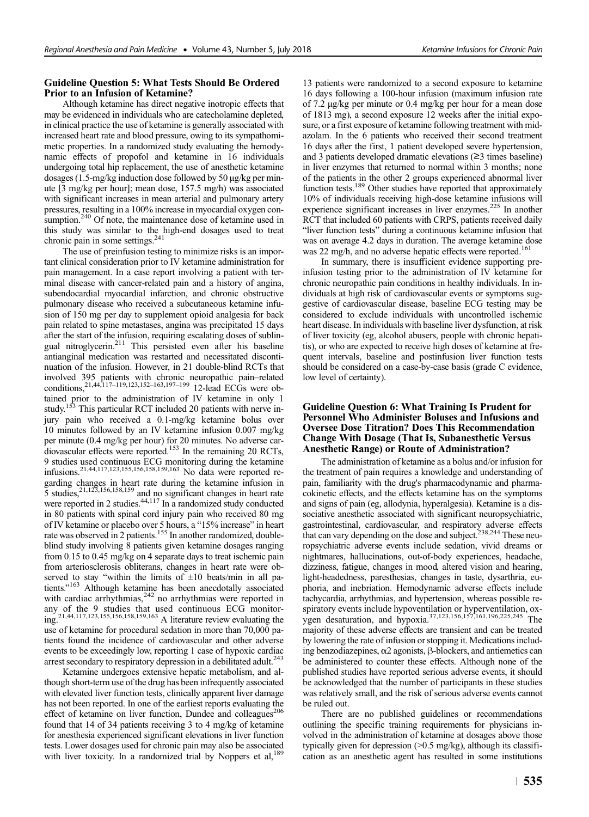# Guideline Question 5: What Tests Should Be Ordered Prior to an Infusion of Ketamine?

Although ketamine has direct negative inotropic effects that may be evidenced in individuals who are catecholamine depleted, in clinical practice the use of ketamine is generally associated with increased heart rate and blood pressure, owing to its sympathomimetic properties. In a randomized study evaluating the hemodynamic effects of propofol and ketamine in 16 individuals undergoing total hip replacement, the use of anesthetic ketamine dosages (1.5-mg/kg induction dose followed by 50 μg/kg per minute [3 mg/kg per hour]; mean dose, 157.5 mg/h) was associated with significant increases in mean arterial and pulmonary artery pressures, resulting in a 100% increase in myocardial oxygen consumption.<sup>240</sup> Of note, the maintenance dose of ketamine used in this study was similar to the high-end dosages used to treat chronic pain in some settings.<sup>241</sup>

The use of preinfusion testing to minimize risks is an important clinical consideration prior to IV ketamine administration for pain management. In a case report involving a patient with terminal disease with cancer-related pain and a history of angina, subendocardial myocardial infarction, and chronic obstructive pulmonary disease who received a subcutaneous ketamine infusion of 150 mg per day to supplement opioid analgesia for back pain related to spine metastases, angina was precipitated 15 days after the start of the infusion, requiring escalating doses of sublingual nitroglycerin.211 This persisted even after his baseline antianginal medication was restarted and necessitated discontinuation of the infusion. However, in 21 double-blind RCTs that involved 395 patients with chronic neuropathic pain–related conditions,21,44,117–119,123,152–163,197–<sup>199</sup> 12-lead ECGs were obtained prior to the administration of IV ketamine in only 1 study.<sup>153</sup> This particular RCT included 20 patients with nerve injury pain who received a 0.1-mg/kg ketamine bolus over 10 minutes followed by an IV ketamine infusion 0.007 mg/kg per minute (0.4 mg/kg per hour) for 20 minutes. No adverse car-<br>diovascular effects were reported.<sup>153</sup> In the remaining 20 RCTs, 9 studies used continuous ECG monitoring during the ketamine infusions.<sup>21,44,117,123,155,156,158,159,163</sup> No data were reported regarding changes in heart rate during the ketamine infusion in 5 studies,<sup>21,123,156,158,159</sup> and no significant changes in heart rate were reported in 2 studies.<sup>44,117</sup> In a randomized study conducted in 80 patients with spinal cord injury pain who received 80 mg of IV ketamine or placebo over 5 hours, a "15% increase" in heart rate was observed in 2 patients.<sup>155</sup> In another randomized, doubleblind study involving 8 patients given ketamine dosages ranging from 0.15 to 0.45 mg/kg on 4 separate days to treat ischemic pain from arteriosclerosis obliterans, changes in heart rate were observed to stay "within the limits of  $\pm 10$  beats/min in all patients."<sup>163</sup> Although ketamine has been anecdotally associated with cardiac arrhythmias,<sup>242</sup> no arrhythmias were reported in any of the 9 studies that used continuous ECG monitor-<br>ing.<sup>21,44,117,123,155,156,158,159,163</sup> A literature review evaluating the use of ketamine for procedural sedation in more than 70,000 patients found the incidence of cardiovascular and other adverse events to be exceedingly low, reporting 1 case of hypoxic cardiac arrest secondary to respiratory depression in a debilitated adult.<sup>243</sup>

Ketamine undergoes extensive hepatic metabolism, and although short-term use of the drug has been infrequently associated with elevated liver function tests, clinically apparent liver damage has not been reported. In one of the earliest reports evaluating the effect of ketamine on liver function, Dundee and colleagues<sup>206</sup> found that 14 of 34 patients receiving 3 to 4 mg/kg of ketamine for anesthesia experienced significant elevations in liver function tests. Lower dosages used for chronic pain may also be associated with liver toxicity. In a randomized trial by Noppers et al,<sup>189</sup>

13 patients were randomized to a second exposure to ketamine 16 days following a 100-hour infusion (maximum infusion rate of 7.2 μg/kg per minute or 0.4 mg/kg per hour for a mean dose of 1813 mg), a second exposure 12 weeks after the initial exposure, or a first exposure of ketamine following treatment with midazolam. In the 6 patients who received their second treatment 16 days after the first, 1 patient developed severe hypertension, and 3 patients developed dramatic elevations (≥3 times baseline) in liver enzymes that returned to normal within 3 months; none of the patients in the other 2 groups experienced abnormal liver function tests.<sup>189</sup> Other studies have reported that approximately 10% of individuals receiving high-dose ketamine infusions will experience significant increases in liver enzymes.<sup>225</sup> In another RCT that included 60 patients with CRPS, patients received daily "liver function tests" during a continuous ketamine infusion that was on average 4.2 days in duration. The average ketamine dose was 22 mg/h, and no adverse hepatic effects were reported.<sup>16</sup>

In summary, there is insufficient evidence supporting preinfusion testing prior to the administration of IV ketamine for chronic neuropathic pain conditions in healthy individuals. In individuals at high risk of cardiovascular events or symptoms suggestive of cardiovascular disease, baseline ECG testing may be considered to exclude individuals with uncontrolled ischemic heart disease. In individuals with baseline liver dysfunction, at risk of liver toxicity (eg, alcohol abusers, people with chronic hepatitis), or who are expected to receive high doses of ketamine at frequent intervals, baseline and postinfusion liver function tests should be considered on a case-by-case basis (grade C evidence, low level of certainty).

# Guideline Question 6: What Training Is Prudent for Personnel Who Administer Boluses and Infusions and Oversee Dose Titration? Does This Recommendation Change With Dosage (That Is, Subanesthetic Versus Anesthetic Range) or Route of Administration?

The administration of ketamine as a bolus and/or infusion for the treatment of pain requires a knowledge and understanding of pain, familiarity with the drug's pharmacodynamic and pharmacokinetic effects, and the effects ketamine has on the symptoms and signs of pain (eg, allodynia, hyperalgesia). Ketamine is a dissociative anesthetic associated with significant neuropsychiatric, gastrointestinal, cardiovascular, and respiratory adverse effects that can vary depending on the dose and subject.<sup>238,244</sup> These neuropsychiatric adverse events include sedation, vivid dreams or nightmares, hallucinations, out-of-body experiences, headache, dizziness, fatigue, changes in mood, altered vision and hearing, light-headedness, paresthesias, changes in taste, dysarthria, euphoria, and inebriation. Hemodynamic adverse effects include tachycardia, arrhythmias, and hypertension, whereas possible respiratory events include hypoventilation or hyperventilation, ox-<br>ygen desaturation, and hypoxia.<sup>37,123,156,157,161,196,225,245</sup> The majority of these adverse effects are transient and can be treated by lowering the rate of infusion or stopping it. Medications including benzodiazepines, α2 agonists, β-blockers, and antiemetics can be administered to counter these effects. Although none of the published studies have reported serious adverse events, it should be acknowledged that the number of participants in these studies was relatively small, and the risk of serious adverse events cannot be ruled out.

There are no published guidelines or recommendations outlining the specific training requirements for physicians involved in the administration of ketamine at dosages above those typically given for depression  $(0.5 \text{ mg/kg})$ , although its classification as an anesthetic agent has resulted in some institutions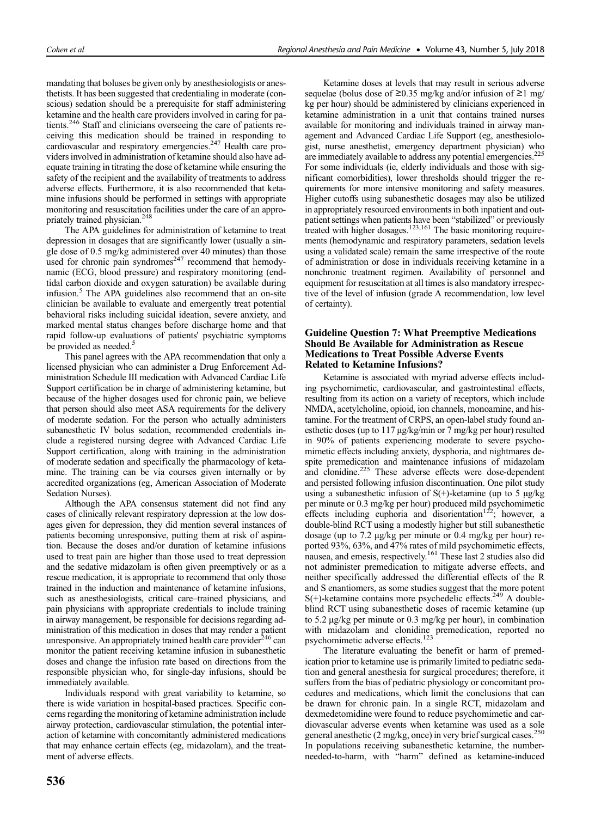mandating that boluses be given only by anesthesiologists or anesthetists. It has been suggested that credentialing in moderate (conscious) sedation should be a prerequisite for staff administering ketamine and the health care providers involved in caring for patients.<sup>246</sup> Staff and clinicians overseeing the care of patients receiving this medication should be trained in responding to cardiovascular and respiratory emergencies.<sup>247</sup> Health care providers involved in administration of ketamine should also have adequate training in titrating the dose of ketamine while ensuring the safety of the recipient and the availability of treatments to address adverse effects. Furthermore, it is also recommended that ketamine infusions should be performed in settings with appropriate monitoring and resuscitation facilities under the care of an appropriately trained physician.248

The APA guidelines for administration of ketamine to treat depression in dosages that are significantly lower (usually a single dose of 0.5 mg/kg administered over 40 minutes) than those used for chronic pain syndromes $247$  recommend that hemodynamic (ECG, blood pressure) and respiratory monitoring (endtidal carbon dioxide and oxygen saturation) be available during infusion.<sup>5</sup> The APA guidelines also recommend that an on-site clinician be available to evaluate and emergently treat potential behavioral risks including suicidal ideation, severe anxiety, and marked mental status changes before discharge home and that rapid follow-up evaluations of patients' psychiatric symptoms be provided as needed.<sup>5</sup>

This panel agrees with the APA recommendation that only a licensed physician who can administer a Drug Enforcement Administration Schedule III medication with Advanced Cardiac Life Support certification be in charge of administering ketamine, but because of the higher dosages used for chronic pain, we believe that person should also meet ASA requirements for the delivery of moderate sedation. For the person who actually administers subanesthetic IV bolus sedation, recommended credentials include a registered nursing degree with Advanced Cardiac Life Support certification, along with training in the administration of moderate sedation and specifically the pharmacology of ketamine. The training can be via courses given internally or by accredited organizations (eg, American Association of Moderate Sedation Nurses).

Although the APA consensus statement did not find any cases of clinically relevant respiratory depression at the low dosages given for depression, they did mention several instances of patients becoming unresponsive, putting them at risk of aspiration. Because the doses and/or duration of ketamine infusions used to treat pain are higher than those used to treat depression and the sedative midazolam is often given preemptively or as a rescue medication, it is appropriate to recommend that only those trained in the induction and maintenance of ketamine infusions, such as anesthesiologists, critical care–trained physicians, and pain physicians with appropriate credentials to include training in airway management, be responsible for decisions regarding administration of this medication in doses that may render a patient unresponsive. An appropriately trained health care provider $^{246}$  can monitor the patient receiving ketamine infusion in subanesthetic doses and change the infusion rate based on directions from the responsible physician who, for single-day infusions, should be immediately available.

Individuals respond with great variability to ketamine, so there is wide variation in hospital-based practices. Specific concerns regarding the monitoring of ketamine administration include airway protection, cardiovascular stimulation, the potential interaction of ketamine with concomitantly administered medications that may enhance certain effects (eg, midazolam), and the treatment of adverse effects.

Ketamine doses at levels that may result in serious adverse sequelae (bolus dose of ≥0.35 mg/kg and/or infusion of ≥1 mg/ kg per hour) should be administered by clinicians experienced in ketamine administration in a unit that contains trained nurses available for monitoring and individuals trained in airway management and Advanced Cardiac Life Support (eg, anesthesiologist, nurse anesthetist, emergency department physician) who are immediately available to address any potential emergencies.<sup>225</sup> For some individuals (ie, elderly individuals and those with significant comorbidities), lower thresholds should trigger the requirements for more intensive monitoring and safety measures. Higher cutoffs using subanesthetic dosages may also be utilized in appropriately resourced environments in both inpatient and outpatient settings when patients have been "stabilized" or previously treated with higher dosages.<sup>123,161</sup> The basic monitoring requirements (hemodynamic and respiratory parameters, sedation levels using a validated scale) remain the same irrespective of the route of administration or dose in individuals receiving ketamine in a nonchronic treatment regimen. Availability of personnel and equipment for resuscitation at all times is also mandatory irrespective of the level of infusion (grade A recommendation, low level of certainty).

# Guideline Question 7: What Preemptive Medications Should Be Available for Administration as Rescue Medications to Treat Possible Adverse Events Related to Ketamine Infusions?

Ketamine is associated with myriad adverse effects including psychomimetic, cardiovascular, and gastrointestinal effects, resulting from its action on a variety of receptors, which include NMDA, acetylcholine, opioid, ion channels, monoamine, and histamine. For the treatment of CRPS, an open-label study found anesthetic doses (up to 117 μg/kg/min or 7 mg/kg per hour) resulted in 90% of patients experiencing moderate to severe psychomimetic effects including anxiety, dysphoria, and nightmares despite premedication and maintenance infusions of midazolam and clonidine.225 These adverse effects were dose-dependent and persisted following infusion discontinuation. One pilot study using a subanesthetic infusion of  $S(+)$ -ketamine (up to 5  $\mu$ g/kg per minute or 0.3 mg/kg per hour) produced mild psychomimetic effects including euphoria and disorientation<sup>122</sup>; however, a double-blind RCT using a modestly higher but still subanesthetic dosage (up to 7.2 μg/kg per minute or 0.4 mg/kg per hour) reported 93%, 63%, and 47% rates of mild psychomimetic effects, nausea, and emesis, respectively.161 These last 2 studies also did not administer premedication to mitigate adverse effects, and neither specifically addressed the differential effects of the R and S enantiomers, as some studies suggest that the more potent  $S(+)$ -ketamine contains more psychedelic effects.<sup>249</sup> A doubleblind RCT using subanesthetic doses of racemic ketamine (up to 5.2 μg/kg per minute or 0.3 mg/kg per hour), in combination with midazolam and clonidine premedication, reported no psychomimetic adverse effects.<sup>123</sup>

The literature evaluating the benefit or harm of premedication prior to ketamine use is primarily limited to pediatric sedation and general anesthesia for surgical procedures; therefore, it suffers from the bias of pediatric physiology or concomitant procedures and medications, which limit the conclusions that can be drawn for chronic pain. In a single RCT, midazolam and dexmedetomidine were found to reduce psychomimetic and cardiovascular adverse events when ketamine was used as a sole general anesthetic  $(2 \text{ mg/kg}, \text{once})$  in very brief surgical cases.<sup>2</sup> In populations receiving subanesthetic ketamine, the numberneeded-to-harm, with "harm" defined as ketamine-induced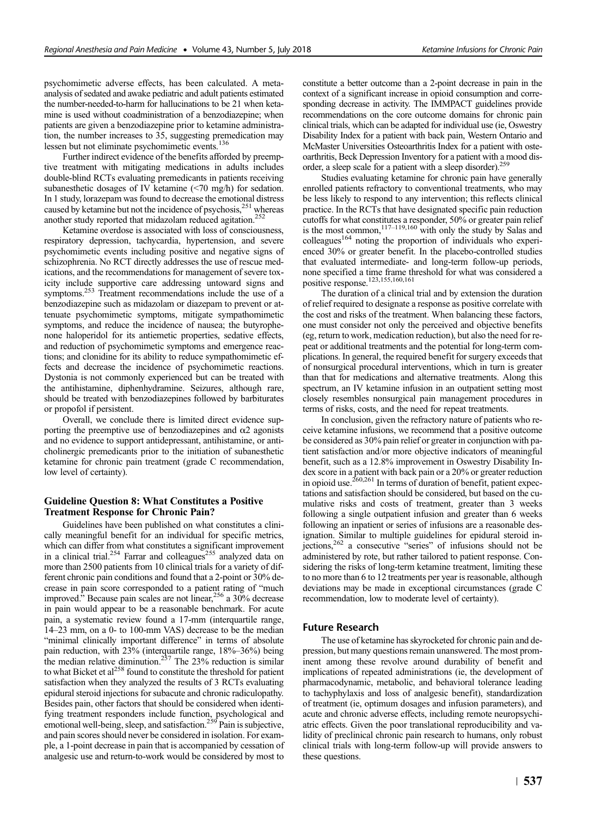psychomimetic adverse effects, has been calculated. A metaanalysis of sedated and awake pediatric and adult patients estimated the number-needed-to-harm for hallucinations to be 21 when ketamine is used without coadministration of a benzodiazepine; when patients are given a benzodiazepine prior to ketamine administration, the number increases to 35, suggesting premedication may lessen but not eliminate psychomimetic events.136

Further indirect evidence of the benefits afforded by preemptive treatment with mitigating medications in adults includes double-blind RCTs evaluating premedicants in patients receiving subanesthetic dosages of IV ketamine (<70 mg/h) for sedation. In 1 study, lorazepam was found to decrease the emotional distress caused by ketamine but not the incidence of psychosis,<sup>251</sup> whereas another study reported that midazolam reduced agitation.<sup>252</sup>

Ketamine overdose is associated with loss of consciousness, respiratory depression, tachycardia, hypertension, and severe psychomimetic events including positive and negative signs of schizophrenia. No RCT directly addresses the use of rescue medications, and the recommendations for management of severe toxicity include supportive care addressing untoward signs and symptoms.<sup>253</sup> Treatment recommendations include the use of a benzodiazepine such as midazolam or diazepam to prevent or attenuate psychomimetic symptoms, mitigate sympathomimetic symptoms, and reduce the incidence of nausea; the butyrophenone haloperidol for its antiemetic properties, sedative effects, and reduction of psychomimetic symptoms and emergence reactions; and clonidine for its ability to reduce sympathomimetic effects and decrease the incidence of psychomimetic reactions. Dystonia is not commonly experienced but can be treated with the antihistamine, diphenhydramine. Seizures, although rare, should be treated with benzodiazepines followed by barbiturates or propofol if persistent.

Overall, we conclude there is limited direct evidence supporting the preemptive use of benzodiazepines and  $\alpha$ 2 agonists and no evidence to support antidepressant, antihistamine, or anticholinergic premedicants prior to the initiation of subanesthetic ketamine for chronic pain treatment (grade C recommendation, low level of certainty).

# Guideline Question 8: What Constitutes a Positive Treatment Response for Chronic Pain?

Guidelines have been published on what constitutes a clinically meaningful benefit for an individual for specific metrics, which can differ from what constitutes a significant improvement in a clinical trial.<sup>254</sup> Farrar and colleagues<sup>255</sup> analyzed data on more than 2500 patients from 10 clinical trials for a variety of different chronic pain conditions and found that a 2-point or 30% decrease in pain score corresponded to a patient rating of "much improved." Because pain scales are not linear,  $256$  a  $30\%$  decrease in pain would appear to be a reasonable benchmark. For acute pain, a systematic review found a 17-mm (interquartile range, 14–23 mm, on a 0- to 100-mm VAS) decrease to be the median "minimal clinically important difference" in terms of absolute pain reduction, with 23% (interquartile range, 18%–36%) being the median relative diminution.<sup>257</sup> The 23% reduction is similar to what Bicket et  $al^{258}$  found to constitute the threshold for patient satisfaction when they analyzed the results of 3 RCTs evaluating epidural steroid injections for subacute and chronic radiculopathy. Besides pain, other factors that should be considered when identifying treatment responders include function, psychological and emotional well-being, sleep, and satisfaction.<sup>259</sup> Pain is subjective, and pain scores should never be considered in isolation. For example, a 1-point decrease in pain that is accompanied by cessation of analgesic use and return-to-work would be considered by most to constitute a better outcome than a 2-point decrease in pain in the context of a significant increase in opioid consumption and corresponding decrease in activity. The IMMPACT guidelines provide recommendations on the core outcome domains for chronic pain clinical trials, which can be adapted for individual use (ie, Oswestry Disability Index for a patient with back pain, Western Ontario and McMaster Universities Osteoarthritis Index for a patient with osteoarthritis, Beck Depression Inventory for a patient with a mood disorder, a sleep scale for a patient with a sleep disorder).<sup>259</sup>

Studies evaluating ketamine for chronic pain have generally enrolled patients refractory to conventional treatments, who may be less likely to respond to any intervention; this reflects clinical practice. In the RCTs that have designated specific pain reduction cutoffs for what constitutes a responder, 50% or greater pain relief is the most common,  $117-119,160$  with only the study by Salas and  $\text{colle}$ eagues<sup>164</sup> noting the proportion of individuals who experienced 30% or greater benefit. In the placebo-controlled studies that evaluated intermediate- and long-term follow-up periods, none specified a time frame threshold for what was considered a positive response.<sup>123,155,160,161</sup>

The duration of a clinical trial and by extension the duration of relief required to designate a response as positive correlate with the cost and risks of the treatment. When balancing these factors, one must consider not only the perceived and objective benefits (eg, return to work, medication reduction), but also the need for repeat or additional treatments and the potential for long-term complications. In general, the required benefit for surgery exceeds that of nonsurgical procedural interventions, which in turn is greater than that for medications and alternative treatments. Along this spectrum, an IV ketamine infusion in an outpatient setting most closely resembles nonsurgical pain management procedures in terms of risks, costs, and the need for repeat treatments.

In conclusion, given the refractory nature of patients who receive ketamine infusions, we recommend that a positive outcome be considered as 30% pain relief or greater in conjunction with patient satisfaction and/or more objective indicators of meaningful benefit, such as a 12.8% improvement in Oswestry Disability Index score in a patient with back pain or a 20% or greater reduction in opioid use.<sup>260,261</sup> In terms of duration of benefit, patient expectations and satisfaction should be considered, but based on the cumulative risks and costs of treatment, greater than 3 weeks following a single outpatient infusion and greater than 6 weeks following an inpatient or series of infusions are a reasonable designation. Similar to multiple guidelines for epidural steroid injections,262 a consecutive "series" of infusions should not be administered by rote, but rather tailored to patient response. Considering the risks of long-term ketamine treatment, limiting these to no more than 6 to 12 treatments per year is reasonable, although deviations may be made in exceptional circumstances (grade C recommendation, low to moderate level of certainty).

# Future Research

The use of ketamine has skyrocketed for chronic pain and depression, but many questions remain unanswered. The most prominent among these revolve around durability of benefit and implications of repeated administrations (ie, the development of pharmacodynamic, metabolic, and behavioral tolerance leading to tachyphylaxis and loss of analgesic benefit), standardization of treatment (ie, optimum dosages and infusion parameters), and acute and chronic adverse effects, including remote neuropsychiatric effects. Given the poor translational reproducibility and validity of preclinical chronic pain research to humans, only robust clinical trials with long-term follow-up will provide answers to these questions.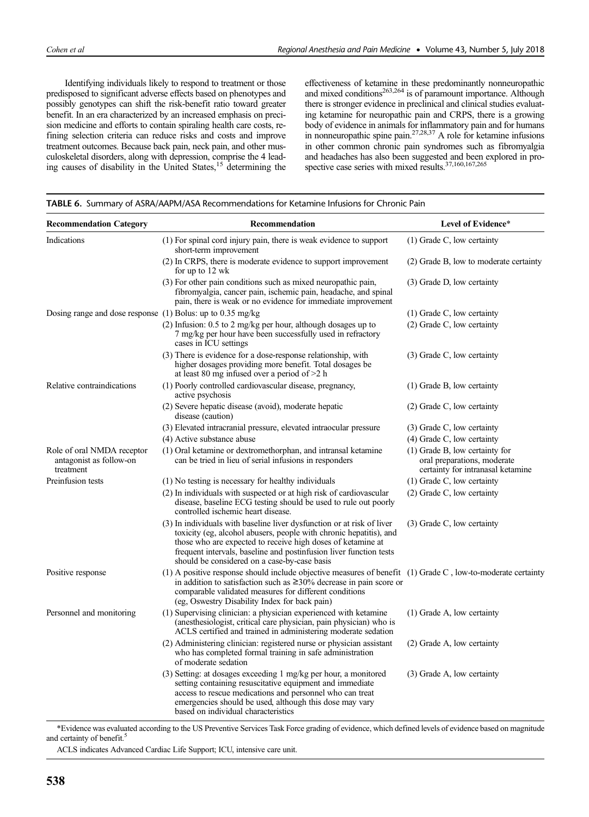Identifying individuals likely to respond to treatment or those predisposed to significant adverse effects based on phenotypes and possibly genotypes can shift the risk-benefit ratio toward greater benefit. In an era characterized by an increased emphasis on precision medicine and efforts to contain spiraling health care costs, refining selection criteria can reduce risks and costs and improve treatment outcomes. Because back pain, neck pain, and other musculoskeletal disorders, along with depression, comprise the 4 leading causes of disability in the United States,15 determining the

effectiveness of ketamine in these predominantly nonneuropathic and mixed conditions<sup>263,264</sup> is of paramount importance. Although there is stronger evidence in preclinical and clinical studies evaluating ketamine for neuropathic pain and CRPS, there is a growing body of evidence in animals for inflammatory pain and for humans in nonneuropathic spine pain.27,28,37 A role for ketamine infusions in other common chronic pain syndromes such as fibromyalgia and headaches has also been suggested and been explored in prospective case series with mixed results.<sup>37,160,167,265</sup>

| <b>Recommendation Category</b>                                     | Recommendation                                                                                                                                                                                                                                                                                                                    | Level of Evidence*                                                                                 |
|--------------------------------------------------------------------|-----------------------------------------------------------------------------------------------------------------------------------------------------------------------------------------------------------------------------------------------------------------------------------------------------------------------------------|----------------------------------------------------------------------------------------------------|
| Indications                                                        | (1) For spinal cord injury pain, there is weak evidence to support<br>short-term improvement                                                                                                                                                                                                                                      | $(1)$ Grade C, low certainty                                                                       |
|                                                                    | (2) In CRPS, there is moderate evidence to support improvement<br>for up to 12 wk                                                                                                                                                                                                                                                 | (2) Grade B, low to moderate certainty                                                             |
|                                                                    | (3) For other pain conditions such as mixed neuropathic pain,<br>fibromyalgia, cancer pain, ischemic pain, headache, and spinal<br>pain, there is weak or no evidence for immediate improvement                                                                                                                                   | (3) Grade D, low certainty                                                                         |
| Dosing range and dose response (1) Bolus: up to 0.35 mg/kg         |                                                                                                                                                                                                                                                                                                                                   | $(1)$ Grade C, low certainty                                                                       |
|                                                                    | $(2)$ Infusion: 0.5 to 2 mg/kg per hour, although dosages up to<br>7 mg/kg per hour have been successfully used in refractory<br>cases in ICU settings                                                                                                                                                                            | $(2)$ Grade C, low certainty                                                                       |
|                                                                    | (3) There is evidence for a dose-response relationship, with<br>higher dosages providing more benefit. Total dosages be<br>at least 80 mg infused over a period of $>2$ h                                                                                                                                                         | (3) Grade C, low certainty                                                                         |
| Relative contraindications                                         | (1) Poorly controlled cardiovascular disease, pregnancy,<br>active psychosis                                                                                                                                                                                                                                                      | $(1)$ Grade B, low certainty                                                                       |
|                                                                    | (2) Severe hepatic disease (avoid), moderate hepatic<br>disease (caution)                                                                                                                                                                                                                                                         | $(2)$ Grade C, low certainty                                                                       |
|                                                                    | (3) Elevated intracranial pressure, elevated intraocular pressure                                                                                                                                                                                                                                                                 | $(3)$ Grade C, low certainty                                                                       |
|                                                                    | (4) Active substance abuse                                                                                                                                                                                                                                                                                                        | $(4)$ Grade C, low certainty                                                                       |
| Role of oral NMDA receptor<br>antagonist as follow-on<br>treatment | (1) Oral ketamine or dextromethorphan, and intransal ketamine<br>can be tried in lieu of serial infusions in responders                                                                                                                                                                                                           | (1) Grade B, low certainty for<br>oral preparations, moderate<br>certainty for intranasal ketamine |
| Preinfusion tests                                                  | (1) No testing is necessary for healthy individuals                                                                                                                                                                                                                                                                               | $(1)$ Grade C, low certainty                                                                       |
|                                                                    | (2) In individuals with suspected or at high risk of cardiovascular<br>disease, baseline ECG testing should be used to rule out poorly<br>controlled ischemic heart disease.                                                                                                                                                      | $(2)$ Grade C, low certainty                                                                       |
|                                                                    | (3) In individuals with baseline liver dysfunction or at risk of liver<br>toxicity (eg, alcohol abusers, people with chronic hepatitis), and<br>those who are expected to receive high doses of ketamine at<br>frequent intervals, baseline and postinfusion liver function tests<br>should be considered on a case-by-case basis | $(3)$ Grade C, low certainty                                                                       |
| Positive response                                                  | (1) A positive response should include objective measures of benefit (1) Grade C, low-to-moderate certainty<br>in addition to satisfaction such as $\geq$ 30% decrease in pain score or<br>comparable validated measures for different conditions<br>(eg, Oswestry Disability Index for back pain)                                |                                                                                                    |
| Personnel and monitoring                                           | (1) Supervising clinician: a physician experienced with ketamine<br>(anesthesiologist, critical care physician, pain physician) who is<br>ACLS certified and trained in administering moderate sedation                                                                                                                           | $(1)$ Grade A, low certainty                                                                       |
|                                                                    | (2) Administering clinician: registered nurse or physician assistant<br>who has completed formal training in safe administration<br>of moderate sedation                                                                                                                                                                          | (2) Grade A, low certainty                                                                         |
|                                                                    | (3) Setting: at dosages exceeding 1 mg/kg per hour, a monitored<br>setting containing resuscitative equipment and immediate<br>access to rescue medications and personnel who can treat<br>emergencies should be used, although this dose may vary<br>based on individual characteristics                                         | (3) Grade A, low certainty                                                                         |

### TABLE 6. Summary of ASRA/AAPM/ASA Recommendations for Ketamine Infusions for Chronic Pain

\*Evidence was evaluated according to the US Preventive Services Task Force grading of evidence, which defined levels of evidence based on magnitude and certainty of benefit.<sup>5</sup>

ACLS indicates Advanced Cardiac Life Support; ICU, intensive care unit.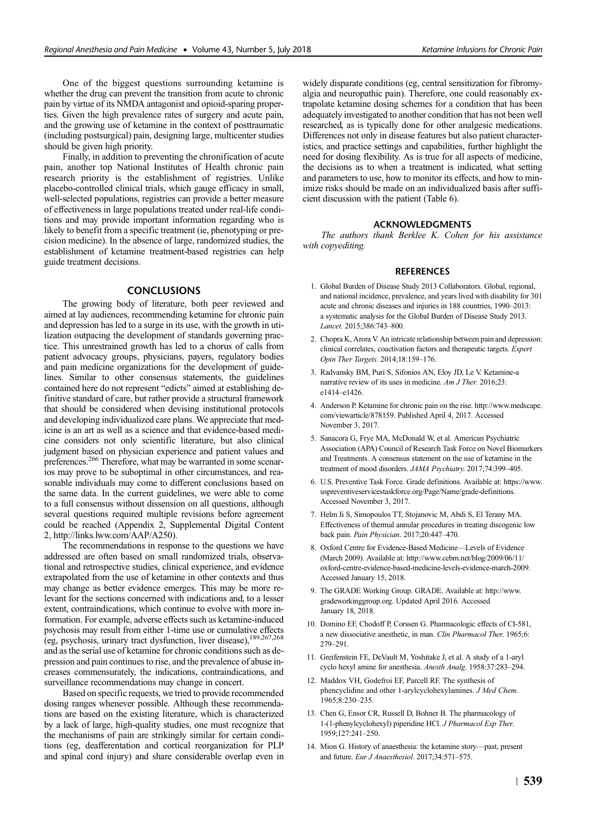One of the biggest questions surrounding ketamine is whether the drug can prevent the transition from acute to chronic pain by virtue of its NMDA antagonist and opioid-sparing properties. Given the high prevalence rates of surgery and acute pain, and the growing use of ketamine in the context of posttraumatic (including postsurgical) pain, designing large, multicenter studies should be given high priority.

Finally, in addition to preventing the chronification of acute pain, another top National Institutes of Health chronic pain research priority is the establishment of registries. Unlike placebo-controlled clinical trials, which gauge efficacy in small, well-selected populations, registries can provide a better measure of effectiveness in large populations treated under real-life conditions and may provide important information regarding who is likely to benefit from a specific treatment (ie, phenotyping or precision medicine). In the absence of large, randomized studies, the establishment of ketamine treatment-based registries can help guide treatment decisions.

# **CONCLUSIONS**

The growing body of literature, both peer reviewed and aimed at lay audiences, recommending ketamine for chronic pain and depression has led to a surge in its use, with the growth in utilization outpacing the development of standards governing practice. This unrestrained growth has led to a chorus of calls from patient advocacy groups, physicians, payers, regulatory bodies and pain medicine organizations for the development of guidelines. Similar to other consensus statements, the guidelines contained here do not represent "edicts" aimed at establishing definitive standard of care, but rather provide a structural framework that should be considered when devising institutional protocols and developing individualized care plans. We appreciate that medicine is an art as well as a science and that evidence-based medicine considers not only scientific literature, but also clinical judgment based on physician experience and patient values and preferences.<sup>266</sup> Therefore, what may be warranted in some scenarios may prove to be suboptimal in other circumstances, and reasonable individuals may come to different conclusions based on the same data. In the current guidelines, we were able to come to a full consensus without dissension on all questions, although several questions required multiple revisions before agreement could be reached (Appendix 2, Supplemental Digital Content 2,<http://links.lww.com/AAP/A250>).

The recommendations in response to the questions we have addressed are often based on small randomized trials, observational and retrospective studies, clinical experience, and evidence extrapolated from the use of ketamine in other contexts and thus may change as better evidence emerges. This may be more relevant for the sections concerned with indications and, to a lesser extent, contraindications, which continue to evolve with more information. For example, adverse effects such as ketamine-induced psychosis may result from either 1-time use or cumulative effects (eg, psychosis, urinary tract dysfunction, liver disease),<sup>189,267,268</sup> and as the serial use of ketamine for chronic conditions such as depression and pain continues to rise, and the prevalence of abuse increases commensurately, the indications, contraindications, and surveillance recommendations may change in concert.

Based on specific requests, we tried to provide recommended dosing ranges whenever possible. Although these recommendations are based on the existing literature, which is characterized by a lack of large, high-quality studies, one must recognize that the mechanisms of pain are strikingly similar for certain conditions (eg, deafferentation and cortical reorganization for PLP and spinal cord injury) and share considerable overlap even in widely disparate conditions (eg, central sensitization for fibromyalgia and neuropathic pain). Therefore, one could reasonably extrapolate ketamine dosing schemes for a condition that has been adequately investigated to another condition that has not been well researched, as is typically done for other analgesic medications. Differences not only in disease features but also patient characteristics, and practice settings and capabilities, further highlight the need for dosing flexibility. As is true for all aspects of medicine, the decisions as to when a treatment is indicated, what setting and parameters to use, how to monitor its effects, and how to minimize risks should be made on an individualized basis after sufficient discussion with the patient (Table 6).

# ACKNOWLEDGMENTS

The authors thank Berklee K. Cohen for his assistance with copyediting.

# **REFERENCES**

- 1. Global Burden of Disease Study 2013 Collaborators. Global, regional, and national incidence, prevalence, and years lived with disability for 301 acute and chronic diseases and injuries in 188 countries, 1990–2013: a systematic analysis for the Global Burden of Disease Study 2013. Lancet. 2015;386:743–800.
- 2. Chopra K, Arora V. An intricate relationship between pain and depression: clinical correlates, coactivation factors and therapeutic targets. Expert Opin Ther Targets. 2014;18:159–176.
- 3. Radvansky BM, Puri S, Sifonios AN, Eloy JD, Le V. Ketamine-a narrative review of its uses in medicine. Am J Ther. 2016:23: e1414–e1426.
- 4. Anderson P. Ketamine for chronic pain on the rise. [http://www.medscape.](http://www.medscape.com/viewarticle/878159) [com/viewarticle/878159](http://www.medscape.com/viewarticle/878159). Published April 4, 2017. Accessed November 3, 2017.
- 5. Sanacora G, Frye MA, McDonald W, et al. American Psychiatric Association (APA) Council of Research Task Force on Novel Biomarkers and Treatments. A consensus statement on the use of ketamine in the treatment of mood disorders. JAMA Psychiatry. 2017;74:399-405.
- 6. U.S. Preventive Task Force. Grade definitions. Available at: [https://www.](https://www.uspreventiveservicestaskforce.org/Page/Name/grade-definitions) [uspreventiveservicestaskforce.org/Page/Name/grade-definitions](https://www.uspreventiveservicestaskforce.org/Page/Name/grade-definitions). Accessed November 3, 2017.
- 7. Helm Ii S, Simopoulos TT, Stojanovic M, Abdi S, El Terany MA. Effectiveness of thermal annular procedures in treating discogenic low back pain. Pain Physician. 2017;20:447–470.
- 8. Oxford Centre for Evidence-Based Medicine—Levels of Evidence (March 2009). Available at: [http://www.cebm.net/blog/2009/06/11/](http://www.cebm.net/blog/2009/06/11/oxford-centre-evidence-based-medicine-levels-evidence-march-2009) [oxford-centre-evidence-based-medicine-levels-evidence-march-2009.](http://www.cebm.net/blog/2009/06/11/oxford-centre-evidence-based-medicine-levels-evidence-march-2009) Accessed January 15, 2018.
- 9. The GRADE Working Group. GRADE. Available at: [http://www.](http://www.gradeworkinggroup.org) [gradeworkinggroup.org.](http://www.gradeworkinggroup.org) Updated April 2016. Accessed January 18, 2018.
- 10. Domino EF, Chodoff P, Corssen G. Pharmacologic effects of CI-581, a new dissociative anesthetic, in man. Clin Pharmacol Ther. 1965;6: 279–291.
- 11. Greifenstein FE, DeVault M, Yoshitake J, et al. A study of a 1-aryl cyclo hexyl amine for anesthesia. Anesth Analg. 1958:37:283–294.
- 12. Maddox VH, Godefroi EF, Parcell RF. The synthesis of phencyclidine and other 1-arylcyclohexylamines. J Med Chem. 1965;8:230–235.
- 13. Chen G, Ensor CR, Russell D, Bohner B. The pharmacology of 1-(1-phenylcyclohexyl) piperidine HCl. J Pharmacol Exp Ther. 1959;127:241–250.
- 14. Mion G. History of anaesthesia: the ketamine story—past, present and future. Eur J Anaesthesiol. 2017;34:571–575.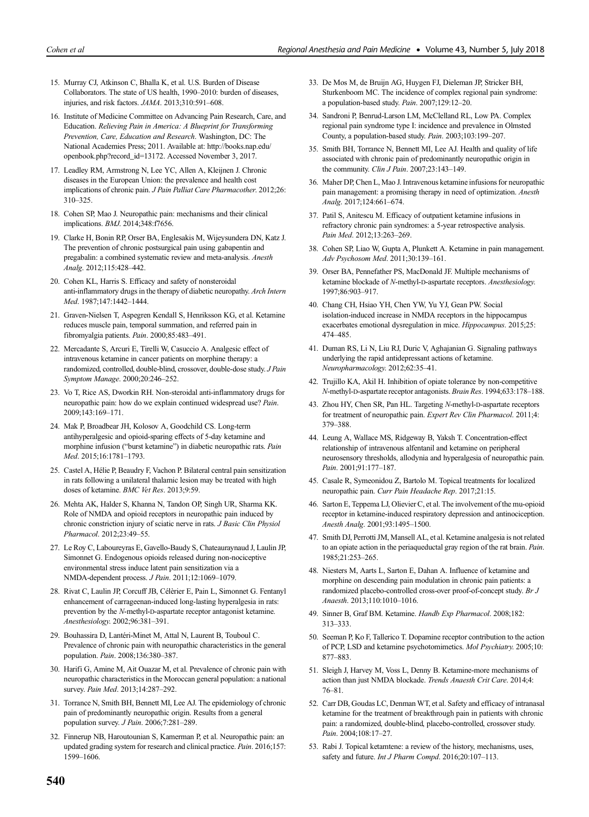- 15. Murray CJ, Atkinson C, Bhalla K, et al. U.S. Burden of Disease Collaborators. The state of US health, 1990–2010: burden of diseases, injuries, and risk factors. JAMA. 2013;310:591–608.
- 16. Institute of Medicine Committee on Advancing Pain Research, Care, and Education. Relieving Pain in America: A Blueprint for Transforming Prevention, Care, Education and Research. Washington, DC: The National Academies Press; 2011. Available at: [http://books.nap.edu/](http://books.nap.edu/openbook.php?record_id=13172) [openbook.php?record\\_id=13172.](http://books.nap.edu/openbook.php?record_id=13172) Accessed November 3, 2017.
- 17. Leadley RM, Armstrong N, Lee YC, Allen A, Kleijnen J. Chronic diseases in the European Union: the prevalence and health cost implications of chronic pain. J Pain Palliat Care Pharmacother. 2012;26: 310–325.
- 18. Cohen SP, Mao J. Neuropathic pain: mechanisms and their clinical implications. BMJ. 2014;348:f7656.
- 19. Clarke H, Bonin RP, Orser BA, Englesakis M, Wijeysundera DN, Katz J. The prevention of chronic postsurgical pain using gabapentin and pregabalin: a combined systematic review and meta-analysis. Anesth Analg. 2012;115:428–442.
- 20. Cohen KL, Harris S. Efficacy and safety of nonsteroidal anti-inflammatory drugs in the therapy of diabetic neuropathy. Arch Intern Med. 1987;147:1442–1444.
- 21. Graven-Nielsen T, Aspegren Kendall S, Henriksson KG, et al. Ketamine reduces muscle pain, temporal summation, and referred pain in fibromyalgia patients. Pain. 2000;85:483–491.
- 22. Mercadante S, Arcuri E, Tirelli W, Casuccio A. Analgesic effect of intravenous ketamine in cancer patients on morphine therapy: a randomized, controlled, double-blind, crossover, double-dose study. J Pain Symptom Manage. 2000;20:246–252.
- 23. Vo T, Rice AS, Dworkin RH. Non-steroidal anti-inflammatory drugs for neuropathic pain: how do we explain continued widespread use? Pain. 2009;143:169–171.
- 24. Mak P, Broadbear JH, Kolosov A, Goodchild CS. Long-term antihyperalgesic and opioid-sparing effects of 5-day ketamine and morphine infusion ("burst ketamine") in diabetic neuropathic rats. Pain Med. 2015;16:1781–1793.
- 25. Castel A, Hélie P, Beaudry F, Vachon P. Bilateral central pain sensitization in rats following a unilateral thalamic lesion may be treated with high doses of ketamine. BMC Vet Res. 2013;9:59.
- 26. Mehta AK, Halder S, Khanna N, Tandon OP, Singh UR, Sharma KK. Role of NMDA and opioid receptors in neuropathic pain induced by chronic constriction injury of sciatic nerve in rats. J Basic Clin Physiol Pharmacol. 2012;23:49–55.
- 27. Le Roy C, Laboureyras E, Gavello-Baudy S, Chateauraynaud J, Laulin JP, Simonnet G. Endogenous opioids released during non-nociceptive environmental stress induce latent pain sensitization via a NMDA-dependent process. J Pain. 2011;12:1069–1079.
- 28. Rivat C, Laulin JP, Corcuff JB, Célèrier E, Pain L, Simonnet G. Fentanyl enhancement of carrageenan-induced long-lasting hyperalgesia in rats: prevention by the N-methyl-D-aspartate receptor antagonist ketamine. Anesthesiology. 2002;96:381–391.
- 29. Bouhassira D, Lantéri-Minet M, Attal N, Laurent B, Touboul C. Prevalence of chronic pain with neuropathic characteristics in the general population. Pain. 2008;136:380–387.
- 30. Harifi G, Amine M, Ait Ouazar M, et al. Prevalence of chronic pain with neuropathic characteristics in the Moroccan general population: a national survey. Pain Med. 2013;14:287–292.
- 31. Torrance N, Smith BH, Bennett MI, Lee AJ. The epidemiology of chronic pain of predominantly neuropathic origin. Results from a general population survey. J Pain. 2006;7:281–289.
- 32. Finnerup NB, Haroutounian S, Kamerman P, et al. Neuropathic pain: an updated grading system for research and clinical practice. Pain. 2016;157: 1599–1606.
- 33. De Mos M, de Bruijn AG, Huygen FJ, Dieleman JP, Stricker BH, Sturkenboom MC. The incidence of complex regional pain syndrome: a population-based study. Pain. 2007;129:12–20.
- 34. Sandroni P, Benrud-Larson LM, McClelland RL, Low PA. Complex regional pain syndrome type I: incidence and prevalence in Olmsted County, a population-based study. Pain. 2003;103:199–207.
- 35. Smith BH, Torrance N, Bennett MI, Lee AJ. Health and quality of life associated with chronic pain of predominantly neuropathic origin in the community. Clin J Pain. 2007;23:143–149.
- 36. Maher DP, Chen L, Mao J. Intravenous ketamine infusions for neuropathic pain management: a promising therapy in need of optimization. Anesth Analg. 2017;124:661–674.
- 37. Patil S, Anitescu M. Efficacy of outpatient ketamine infusions in refractory chronic pain syndromes: a 5-year retrospective analysis. Pain Med. 2012;13:263–269.
- 38. Cohen SP, Liao W, Gupta A, Plunkett A. Ketamine in pain management. Adv Psychosom Med. 2011;30:139–161.
- 39. Orser BA, Pennefather PS, MacDonald JF. Multiple mechanisms of ketamine blockade of N-methyl-D-aspartate receptors. Anesthesiology. 1997;86:903–917.
- 40. Chang CH, Hsiao YH, Chen YW, Yu YJ, Gean PW. Social isolation-induced increase in NMDA receptors in the hippocampus exacerbates emotional dysregulation in mice. Hippocampus. 2015;25: 474–485.
- 41. Duman RS, Li N, Liu RJ, Duric V, Aghajanian G. Signaling pathways underlying the rapid antidepressant actions of ketamine. Neuropharmacology. 2012;62:35–41.
- 42. Trujillo KA, Akil H. Inhibition of opiate tolerance by non-competitive N-methyl-D-aspartate receptor antagonists. Brain Res. 1994;633:178–188.
- 43. Zhou HY, Chen SR, Pan HL. Targeting N-methyl-D-aspartate receptors for treatment of neuropathic pain. Expert Rev Clin Pharmacol. 2011;4: 379–388.
- 44. Leung A, Wallace MS, Ridgeway B, Yaksh T. Concentration-effect relationship of intravenous alfentanil and ketamine on peripheral neurosensory thresholds, allodynia and hyperalgesia of neuropathic pain. Pain. 2001;91:177–187.
- 45. Casale R, Symeonidou Z, Bartolo M. Topical treatments for localized neuropathic pain. Curr Pain Headache Rep. 2017;21:15.
- 46. Sarton E, Teppema LJ, Olievier C, et al. The involvement of the mu-opioid receptor in ketamine-induced respiratory depression and antinociception. Anesth Analg. 2001;93:1495–1500.
- 47. Smith DJ, Perrotti JM, Mansell AL, et al. Ketamine analgesia is not related to an opiate action in the periaqueductal gray region of the rat brain. Pain. 1985;21:253–265.
- 48. Niesters M, Aarts L, Sarton E, Dahan A. Influence of ketamine and morphine on descending pain modulation in chronic pain patients: a randomized placebo-controlled cross-over proof-of-concept study. Br J Anaesth. 2013;110:1010–1016.
- 49. Sinner B, Graf BM. Ketamine. Handb Exp Pharmacol. 2008;182: 313–333.
- 50. Seeman P, Ko F, Tallerico T. Dopamine receptor contribution to the action of PCP, LSD and ketamine psychotomimetics. Mol Psychiatry. 2005;10: 877–883.
- 51. Sleigh J, Harvey M, Voss L, Denny B. Ketamine-more mechanisms of action than just NMDA blockade. Trends Anaesth Crit Care. 2014;4: 76–81.
- 52. Carr DB, Goudas LC, Denman WT, et al. Safety and efficacy of intranasal ketamine for the treatment of breakthrough pain in patients with chronic pain: a randomized, double-blind, placebo-controlled, crossover study. Pain. 2004;108:17–27.
- 53. Rabi J. Topical ketamtene: a review of the history, mechanisms, uses, safety and future. Int J Pharm Compd. 2016;20:107-113.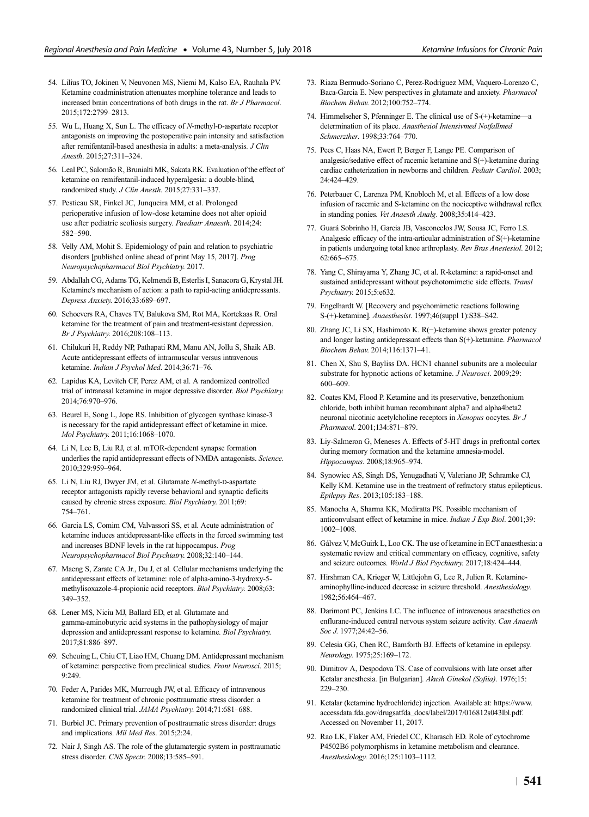- 54. Lilius TO, Jokinen V, Neuvonen MS, Niemi M, Kalso EA, Rauhala PV. Ketamine coadministration attenuates morphine tolerance and leads to increased brain concentrations of both drugs in the rat. Br J Pharmacol. 2015;172:2799–2813.
- 55. Wu L, Huang X, Sun L. The efficacy of N-methyl-D-aspartate receptor antagonists on improving the postoperative pain intensity and satisfaction after remifentanil-based anesthesia in adults: a meta-analysis. J Clin Anesth. 2015;27:311–324.
- 56. Leal PC, Salomão R, Brunialti MK, Sakata RK. Evaluation of the effect of ketamine on remifentanil-induced hyperalgesia: a double-blind, randomized study. J Clin Anesth. 2015;27:331–337.
- 57. Pestieau SR, Finkel JC, Junqueira MM, et al. Prolonged perioperative infusion of low-dose ketamine does not alter opioid use after pediatric scoliosis surgery. Paediatr Anaesth. 2014;24: 582–590.
- 58. Velly AM, Mohit S. Epidemiology of pain and relation to psychiatric disorders [published online ahead of print May 15, 2017]. Prog Neuropsychopharmacol Biol Psychiatry. 2017.
- 59. Abdallah CG, Adams TG, Kelmendi B, Esterlis I, Sanacora G, Krystal JH. Ketamine's mechanism of action: a path to rapid-acting antidepressants. Depress Anxiety. 2016;33:689–697.
- 60. Schoevers RA, Chaves TV, Balukova SM, Rot MA, Kortekaas R. Oral ketamine for the treatment of pain and treatment-resistant depression. Br J Psychiatry. 2016;208:108–113.
- 61. Chilukuri H, Reddy NP, Pathapati RM, Manu AN, Jollu S, Shaik AB. Acute antidepressant effects of intramuscular versus intravenous ketamine. Indian J Psychol Med. 2014;36:71–76.
- 62. Lapidus KA, Levitch CF, Perez AM, et al. A randomized controlled trial of intranasal ketamine in major depressive disorder. Biol Psychiatry. 2014;76:970–976.
- 63. Beurel E, Song L, Jope RS. Inhibition of glycogen synthase kinase-3 is necessary for the rapid antidepressant effect of ketamine in mice. Mol Psychiatry. 2011;16:1068–1070.
- 64. Li N, Lee B, Liu RJ, et al. mTOR-dependent synapse formation underlies the rapid antidepressant effects of NMDA antagonists. Science. 2010;329:959–964.
- 65. Li N, Liu RJ, Dwyer JM, et al. Glutamate N-methyl-D-aspartate receptor antagonists rapidly reverse behavioral and synaptic deficits caused by chronic stress exposure. Biol Psychiatry. 2011;69: 754–761.
- 66. Garcia LS, Comim CM, Valvassori SS, et al. Acute administration of ketamine induces antidepressant-like effects in the forced swimming test and increases BDNF levels in the rat hippocampus. Prog Neuropsychopharmacol Biol Psychiatry. 2008;32:140–144.
- 67. Maeng S, Zarate CA Jr., Du J, et al. Cellular mechanisms underlying the antidepressant effects of ketamine: role of alpha-amino-3-hydroxy-5 methylisoxazole-4-propionic acid receptors. Biol Psychiatry. 2008;63: 349–352.
- 68. Lener MS, Niciu MJ, Ballard ED, et al. Glutamate and gamma-aminobutyric acid systems in the pathophysiology of major depression and antidepressant response to ketamine. Biol Psychiatry. 2017;81:886–897.
- 69. Scheuing L, Chiu CT, Liao HM, Chuang DM. Antidepressant mechanism of ketamine: perspective from preclinical studies. Front Neurosci. 2015; 9:249.
- 70. Feder A, Parides MK, Murrough JW, et al. Efficacy of intravenous ketamine for treatment of chronic posttraumatic stress disorder: a randomized clinical trial. JAMA Psychiatry. 2014;71:681–688.
- 71. Burbiel JC. Primary prevention of posttraumatic stress disorder: drugs and implications. Mil Med Res. 2015;2:24.
- 72. Nair J, Singh AS. The role of the glutamatergic system in posttraumatic stress disorder. CNS Spectr. 2008;13:585–591.
- 73. Riaza Bermudo-Soriano C, Perez-Rodriguez MM, Vaquero-Lorenzo C, Baca-Garcia E. New perspectives in glutamate and anxiety. Pharmacol Biochem Behav. 2012;100:752–774.
- 74. Himmelseher S, Pfenninger E. The clinical use of S-(+)-ketamine—a determination of its place. Anasthesiol Intensivmed Notfallmed Schmerzther. 1998;33:764–770.
- 75. Pees C, Haas NA, Ewert P, Berger F, Lange PE. Comparison of analgesic/sedative effect of racemic ketamine and S(+)-ketamine during cardiac catheterization in newborns and children. Pediatr Cardiol. 2003; 24:424–429.
- 76. Peterbauer C, Larenza PM, Knobloch M, et al. Effects of a low dose infusion of racemic and S-ketamine on the nociceptive withdrawal reflex in standing ponies. Vet Anaesth Analg. 2008;35:414–423.
- 77. Guará Sobrinho H, Garcia JB, Vasconcelos JW, Sousa JC, Ferro LS. Analgesic efficacy of the intra-articular administration of S(+)-ketamine in patients undergoing total knee arthroplasty. Rev Bras Anestesiol. 2012; 62:665–675.
- 78. Yang C, Shirayama Y, Zhang JC, et al. R-ketamine: a rapid-onset and sustained antidepressant without psychotomimetic side effects. Transl Psychiatry. 2015;5:e632.
- 79. Engelhardt W. [Recovery and psychomimetic reactions following S-(+)-ketamine]. Anaesthesist. 1997;46(suppl 1):S38–S42.
- 80. Zhang JC, Li SX, Hashimoto K. R(−)-ketamine shows greater potency and longer lasting antidepressant effects than S(+)-ketamine. Pharmacol Biochem Behav. 2014;116:1371–41.
- 81. Chen X, Shu S, Bayliss DA. HCN1 channel subunits are a molecular substrate for hypnotic actions of ketamine. *J Neurosci*. 2009;29: 600–609.
- 82. Coates KM, Flood P. Ketamine and its preservative, benzethonium chloride, both inhibit human recombinant alpha7 and alpha4beta2 neuronal nicotinic acetylcholine receptors in Xenopus oocytes. Br J Pharmacol. 2001;134:871–879.
- 83. Liy-Salmeron G, Meneses A. Effects of 5-HT drugs in prefrontal cortex during memory formation and the ketamine amnesia-model. Hippocampus. 2008;18:965–974.
- 84. Synowiec AS, Singh DS, Yenugadhati V, Valeriano JP, Schramke CJ, Kelly KM. Ketamine use in the treatment of refractory status epilepticus. Epilepsy Res. 2013;105:183–188.
- 85. Manocha A, Sharma KK, Mediratta PK. Possible mechanism of anticonvulsant effect of ketamine in mice. Indian J Exp Biol. 2001;39: 1002–1008.
- 86. Gálvez V, McGuirk L, Loo CK. The use of ketamine in ECT anaesthesia: a systematic review and critical commentary on efficacy, cognitive, safety and seizure outcomes. World J Biol Psychiatry. 2017;18:424–444.
- 87. Hirshman CA, Krieger W, Littlejohn G, Lee R, Julien R. Ketamineaminophylline-induced decrease in seizure threshold. Anesthesiology. 1982;56:464–467.
- 88. Darimont PC, Jenkins LC. The influence of intravenous anaesthetics on enflurane-induced central nervous system seizure activity. Can Anaesth Soc J. 1977;24:42-56.
- 89. Celesia GG, Chen RC, Bamforth BJ. Effects of ketamine in epilepsy. Neurology. 1975;25:169–172.
- 90. Dimitrov A, Despodova TS. Case of convulsions with late onset after Ketalar anesthesia. [in Bulgarian]. Akush Ginekol (Sofiia). 1976;15: 229–230.
- 91. Ketalar (ketamine hydrochloride) injection. Available at: [https://www.](https://www.accessdata.fda.gov/drugsatfda_docs/label/2017/016812s043lbl.pdf) [accessdata.fda.gov/drugsatfda\\_docs/label/2017/016812s043lbl.pdf.](https://www.accessdata.fda.gov/drugsatfda_docs/label/2017/016812s043lbl.pdf) Accessed on November 11, 2017.
- 92. Rao LK, Flaker AM, Friedel CC, Kharasch ED. Role of cytochrome P4502B6 polymorphisms in ketamine metabolism and clearance. Anesthesiology. 2016;125:1103–1112.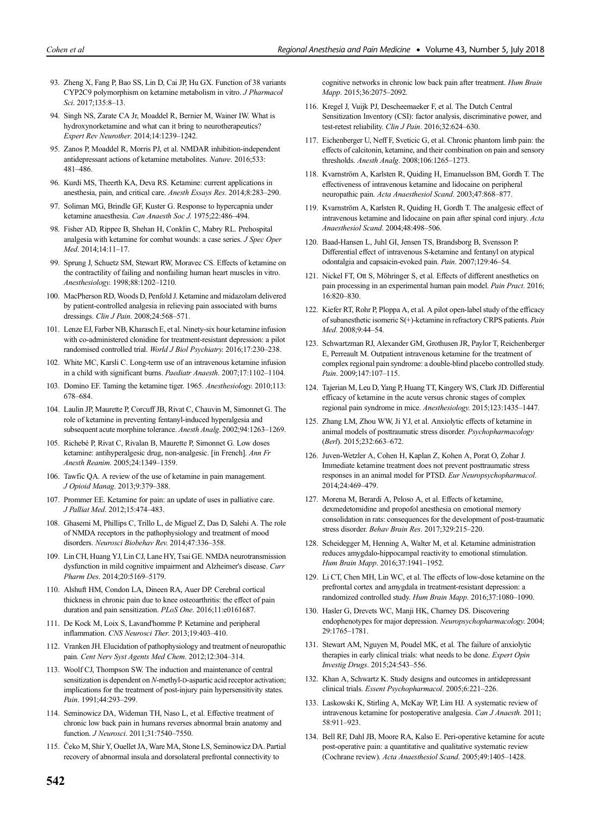- 93. Zheng X, Fang P, Bao SS, Lin D, Cai JP, Hu GX. Function of 38 variants CYP2C9 polymorphism on ketamine metabolism in vitro. J Pharmacol Sci. 2017:135:8-13.
- 94. Singh NS, Zarate CA Jr, Moaddel R, Bernier M, Wainer IW. What is hydroxynorketamine and what can it bring to neurotherapeutics? Expert Rev Neurother. 2014;14:1239–1242.
- 95. Zanos P, Moaddel R, Morris PJ, et al. NMDAR inhibition-independent antidepressant actions of ketamine metabolites. Nature. 2016;533: 481–486.
- 96. Kurdi MS, Theerth KA, Deva RS. Ketamine: current applications in anesthesia, pain, and critical care. Anesth Essays Res. 2014;8:283–290.
- 97. Soliman MG, Brindle GF, Kuster G. Response to hypercapnia under ketamine anaesthesia. Can Anaesth Soc J. 1975;22:486–494.
- 98. Fisher AD, Rippee B, Shehan H, Conklin C, Mabry RL. Prehospital analgesia with ketamine for combat wounds: a case series. J Spec Oper Med. 2014;14:11–17.
- 99. Sprung J, Schuetz SM, Stewart RW, Moravec CS. Effects of ketamine on the contractility of failing and nonfailing human heart muscles in vitro. Anesthesiology. 1998;88:1202–1210.
- 100. MacPherson RD, Woods D, Penfold J. Ketamine and midazolam delivered by patient-controlled analgesia in relieving pain associated with burns dressings. Clin J Pain. 2008;24:568–571.
- 101. Lenze EJ, Farber NB, Kharasch E, et al. Ninety-six hour ketamine infusion with co-administered clonidine for treatment-resistant depression: a pilot randomised controlled trial. World J Biol Psychiatry. 2016;17:230–238.
- 102. White MC, Karsli C. Long-term use of an intravenous ketamine infusion in a child with significant burns. Paediatr Anaesth. 2007;17:1102–1104.
- 103. Domino EF. Taming the ketamine tiger. 1965. Anesthesiology. 2010;113: 678–684.
- 104. Laulin JP, Maurette P, Corcuff JB, Rivat C, Chauvin M, Simonnet G. The role of ketamine in preventing fentanyl-induced hyperalgesia and subsequent acute morphine tolerance. Anesth Analg. 2002;94:1263–1269.
- 105. Richebé P, Rivat C, Rivalan B, Maurette P, Simonnet G. Low doses ketamine: antihyperalgesic drug, non-analgesic. [in French]. Ann Fr Anesth Reanim. 2005;24:1349–1359.
- 106. Tawfic QA. A review of the use of ketamine in pain management. J Opioid Manag. 2013;9:379–388.
- 107. Prommer EE. Ketamine for pain: an update of uses in palliative care. J Palliat Med. 2012;15:474–483.
- 108. Ghasemi M, Phillips C, Trillo L, de Miguel Z, Das D, Salehi A. The role of NMDA receptors in the pathophysiology and treatment of mood disorders. Neurosci Biobehav Rev. 2014;47:336–358.
- 109. Lin CH, Huang YJ, Lin CJ, Lane HY, Tsai GE. NMDA neurotransmission dysfunction in mild cognitive impairment and Alzheimer's disease. Curr Pharm Des. 2014;20:5169–5179.
- 110. Alshuft HM, Condon LA, Dineen RA, Auer DP. Cerebral cortical thickness in chronic pain due to knee osteoarthritis: the effect of pain duration and pain sensitization. PLoS One. 2016;11:e0161687.
- 111. De Kock M, Loix S, Lavand'homme P. Ketamine and peripheral inflammation. CNS Neurosci Ther. 2013;19:403–410.
- 112. Vranken JH. Elucidation of pathophysiology and treatment of neuropathic pain. Cent Nerv Syst Agents Med Chem. 2012;12:304–314.
- 113. Woolf CJ, Thompson SW. The induction and maintenance of central sensitization is dependent on N-methyl-D-aspartic acid receptor activation; implications for the treatment of post-injury pain hypersensitivity states. Pain. 1991;44:293–299.
- 114. Seminowicz DA, Wideman TH, Naso L, et al. Effective treatment of chronic low back pain in humans reverses abnormal brain anatomy and function. J Neurosci. 2011;31:7540–7550.
- 115. Čeko M, Shir Y, Ouellet JA, Ware MA, Stone LS, Seminowicz DA. Partial recovery of abnormal insula and dorsolateral prefrontal connectivity to

cognitive networks in chronic low back pain after treatment. Hum Brain Mapp. 2015;36:2075–2092.

- 116. Kregel J, Vuijk PJ, Descheemaeker F, et al. The Dutch Central Sensitization Inventory (CSI): factor analysis, discriminative power, and test-retest reliability. Clin J Pain. 2016;32:624–630.
- 117. Eichenberger U, Neff F, Sveticic G, et al. Chronic phantom limb pain: the effects of calcitonin, ketamine, and their combination on pain and sensory thresholds. Anesth Analg. 2008;106:1265–1273.
- 118. Kvarnström A, Karlsten R, Quiding H, Emanuelsson BM, Gordh T. The effectiveness of intravenous ketamine and lidocaine on peripheral neuropathic pain. Acta Anaesthesiol Scand. 2003;47:868–877.
- 119. Kvarnström A, Karlsten R, Quiding H, Gordh T. The analgesic effect of intravenous ketamine and lidocaine on pain after spinal cord injury. Acta Anaesthesiol Scand. 2004;48:498–506.
- 120. Baad-Hansen L, Juhl GI, Jensen TS, Brandsborg B, Svensson P. Differential effect of intravenous S-ketamine and fentanyl on atypical odontalgia and capsaicin-evoked pain. Pain. 2007;129:46–54.
- 121. Nickel FT, Ott S, Möhringer S, et al. Effects of different anesthetics on pain processing in an experimental human pain model. Pain Pract. 2016; 16:820–830.
- 122. Kiefer RT, Rohr P, Ploppa A, et al. A pilot open-label study of the efficacy of subanesthetic isomeric S(+)-ketamine in refractory CRPS patients. Pain Med. 2008;9:44–54.
- 123. Schwartzman RJ, Alexander GM, Grothusen JR, Paylor T, Reichenberger E, Perreault M. Outpatient intravenous ketamine for the treatment of complex regional pain syndrome: a double-blind placebo controlled study. Pain. 2009;147:107–115.
- 124. Tajerian M, Leu D, Yang P, Huang TT, Kingery WS, Clark JD. Differential efficacy of ketamine in the acute versus chronic stages of complex regional pain syndrome in mice. Anesthesiology. 2015;123:1435–1447.
- 125. Zhang LM, Zhou WW, Ji YJ, et al. Anxiolytic effects of ketamine in animal models of posttraumatic stress disorder. Psychopharmacology (Berl). 2015;232:663–672.
- 126. Juven-Wetzler A, Cohen H, Kaplan Z, Kohen A, Porat O, Zohar J. Immediate ketamine treatment does not prevent posttraumatic stress responses in an animal model for PTSD. Eur Neuropsychopharmacol. 2014;24:469–479.
- 127. Morena M, Berardi A, Peloso A, et al. Effects of ketamine, dexmedetomidine and propofol anesthesia on emotional memory consolidation in rats: consequences for the development of post-traumatic stress disorder. Behav Brain Res. 2017;329:215–220.
- 128. Scheidegger M, Henning A, Walter M, et al. Ketamine administration reduces amygdalo-hippocampal reactivity to emotional stimulation. Hum Brain Mapp. 2016;37:1941–1952.
- 129. Li CT, Chen MH, Lin WC, et al. The effects of low-dose ketamine on the prefrontal cortex and amygdala in treatment-resistant depression: a randomized controlled study. Hum Brain Mapp. 2016;37:1080–1090.
- 130. Hasler G, Drevets WC, Manji HK, Charney DS. Discovering endophenotypes for major depression. Neuropsychopharmacology. 2004; 29:1765–1781.
- 131. Stewart AM, Nguyen M, Poudel MK, et al. The failure of anxiolytic therapies in early clinical trials: what needs to be done. Expert Opin Investig Drugs. 2015;24:543–556.
- 132. Khan A, Schwartz K. Study designs and outcomes in antidepressant clinical trials. Essent Psychopharmacol. 2005;6:221–226.
- 133. Laskowski K, Stirling A, McKay WP, Lim HJ. A systematic review of intravenous ketamine for postoperative analgesia. Can J Anaesth. 2011; 58:911–923.
- 134. Bell RF, Dahl JB, Moore RA, Kalso E. Peri-operative ketamine for acute post-operative pain: a quantitative and qualitative systematic review (Cochrane review). Acta Anaesthesiol Scand. 2005;49:1405–1428.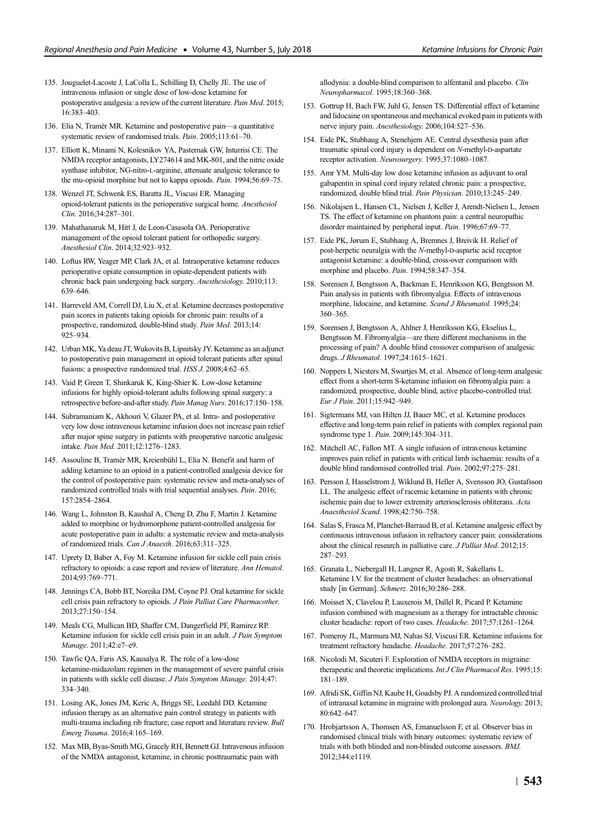- 135. Jouguelet-Lacoste J, LaColla L, Schilling D, Chelly JE. The use of intravenous infusion or single dose of low-dose ketamine for postoperative analgesia: a review of the current literature. Pain Med. 2015; 16:383–403.
- 136. Elia N, Tramèr MR. Ketamine and postoperative pain—a quantitative systematic review of randomised trials. Pain. 2005;113:61–70.
- 137. Elliott K, Minami N, Kolesnikov YA, Pasternak GW, Inturrisi CE. The NMDA receptor antagonists, LY274614 and MK-801, and the nitric oxide synthase inhibitor, NG-nitro-L-arginine, attenuate analgesic tolerance to the mu-opioid morphine but not to kappa opioids. Pain. 1994;56:69–75.
- 138. Wenzel JT, Schwenk ES, Baratta JL, Viscusi ER. Managing opioid-tolerant patients in the perioperative surgical home. Anesthesiol Clin. 2016;34:287–301.
- 139. Mahathanaruk M, Hitt J, de Leon-Casasola OA. Perioperative management of the opioid tolerant patient for orthopedic surgery. Anesthesiol Clin. 2014;32:923–932.
- 140. Loftus RW, Yeager MP, Clark JA, et al. Intraoperative ketamine reduces perioperative opiate consumption in opiate-dependent patients with chronic back pain undergoing back surgery. Anesthesiology. 2010;113: 639–646.
- 141. Barreveld AM, Correll DJ, Liu X, et al. Ketamine decreases postoperative pain scores in patients taking opioids for chronic pain: results of a prospective, randomized, double-blind study. Pain Med. 2013;14: 925–934.
- 142. Urban MK, Ya deau JT, Wukovits B, Lipnitsky JY. Ketamine as an adjunct to postoperative pain management in opioid tolerant patients after spinal fusions: a prospective randomized trial. HSS J. 2008;4:62–65.
- 143. Vaid P, Green T, Shinkaruk K, King-Shier K. Low-dose ketamine infusions for highly opioid-tolerant adults following spinal surgery: a retrospective before-and-after study. Pain Manag Nurs. 2016;17:150–158.
- 144. Subramaniam K, Akhouri V, Glazer PA, et al. Intra- and postoperative very low dose intravenous ketamine infusion does not increase pain relief after major spine surgery in patients with preoperative narcotic analgesic intake. Pain Med. 2011;12:1276–1283.
- 145. Assouline B, Tramèr MR, Kreienbühl L, Elia N. Benefit and harm of adding ketamine to an opioid in a patient-controlled analgesia device for the control of postoperative pain: systematic review and meta-analyses of randomized controlled trials with trial sequential analyses. Pain. 2016; 157:2854–2864.
- 146. Wang L, Johnston B, Kaushal A, Cheng D, Zhu F, Martin J. Ketamine added to morphine or hydromorphone patient-controlled analgesia for acute postoperative pain in adults: a systematic review and meta-analysis of randomized trials. Can J Anaesth. 2016;63:311–325.
- 147. Uprety D, Baber A, Foy M. Ketamine infusion for sickle cell pain crisis refractory to opioids: a case report and review of literature. Ann Hematol. 2014;93:769–771.
- 148. Jennings CA, Bobb BT, Noreika DM, Coyne PJ. Oral ketamine for sickle cell crisis pain refractory to opioids. J Pain Palliat Care Pharmacother. 2013;27:150–154.
- 149. Meals CG, Mullican BD, Shaffer CM, Dangerfield PF, Ramirez RP. Ketamine infusion for sickle cell crisis pain in an adult. J Pain Symptom Manage. 2011;42:e7–e9.
- 150. Tawfic QA, Faris AS, Kausalya R. The role of a low-dose ketamine-midazolam regimen in the management of severe painful crisis in patients with sickle cell disease. J Pain Symptom Manage. 2014;47: 334–340.
- 151. Losing AK, Jones JM, Keric A, Briggs SE, Leedahl DD. Ketamine infusion therapy as an alternative pain control strategy in patients with multi-trauma including rib fracture; case report and literature review. Bull Emerg Trauma. 2016;4:165–169.
- 152. Max MB, Byas-Smith MG, Gracely RH, Bennett GJ. Intravenous infusion of the NMDA antagonist, ketamine, in chronic posttraumatic pain with

allodynia: a double-blind comparison to alfentanil and placebo. Clin Neuropharmacol. 1995;18:360–368.

- 153. Gottrup H, Bach FW, Juhl G, Jensen TS. Differential effect of ketamine and lidocaine on spontaneous and mechanical evoked pain in patients with nerve injury pain. Anesthesiology. 2006;104:527–536.
- 154. Eide PK, Stubhaug A, Stenehjem AE. Central dysesthesia pain after traumatic spinal cord injury is dependent on N-methyl-D-aspartate receptor activation. Neurosurgery. 1995;37:1080–1087.
- 155. Amr YM. Multi-day low dose ketamine infusion as adjuvant to oral gabapentin in spinal cord injury related chronic pain: a prospective, randomized, double blind trial. Pain Physician. 2010;13:245–249.
- 156. Nikolajsen L, Hansen CL, Nielsen J, Keller J, Arendt-Nielsen L, Jensen TS. The effect of ketamine on phantom pain: a central neuropathic disorder maintained by peripheral input. Pain. 1996;67:69–77.
- 157. Eide PK, Jørum E, Stubhaug A, Bremnes J, Breivik H. Relief of post-herpetic neuralgia with the N-methyl-D-aspartic acid receptor antagonist ketamine: a double-blind, cross-over comparison with morphine and placebo. Pain. 1994;58:347–354.
- 158. Sorensen J, Bengtsson A, Backman E, Henriksson KG, Bengtsson M. Pain analysis in patients with fibromyalgia. Effects of intravenous morphine, lidocaine, and ketamine. Scand J Rheumatol. 1995;24: 360–365.
- 159. Sorensen J, Bengtsson A, Ahlner J, Henriksson KG, Ekselius L, Bengtsson M. Fibromyalgia—are there different mechanisms in the processing of pain? A double blind crossover comparison of analgesic drugs. J Rheumatol. 1997;24:1615–1621.
- 160. Noppers I, Niesters M, Swartjes M, et al. Absence of long-term analgesic effect from a short-term S-ketamine infusion on fibromyalgia pain: a randomized, prospective, double blind, active placebo-controlled trial. Eur J Pain. 2011;15:942–949.
- 161. Sigtermans MJ, van Hilten JJ, Bauer MC, et al. Ketamine produces effective and long-term pain relief in patients with complex regional pain syndrome type 1. Pain. 2009;145:304–311.
- 162. Mitchell AC, Fallon MT. A single infusion of intravenous ketamine improves pain relief in patients with critical limb ischaemia: results of a double blind randomised controlled trial. Pain. 2002;97:275–281.
- 163. Persson J, Hasselstrom J, Wiklund B, Heller A, Svensson JO, Gustafsson LL. The analgesic effect of racemic ketamine in patients with chronic ischemic pain due to lower extremity arteriosclerosis obliterans. Acta Anaesthesiol Scand. 1998;42:750–758.
- 164. Salas S, Frasca M, Planchet-Barraud B, et al. Ketamine analgesic effect by continuous intravenous infusion in refractory cancer pain: considerations about the clinical research in palliative care. *J Palliat Med.* 2012;15: 287–293.
- 165. Granata L, Niebergall H, Langner R, Agosti R, Sakellaris L. Ketamine I.V. for the treatment of cluster headaches: an observational study [in German]. Schmerz. 2016;30:286–288.
- 166. Moisset X, Clavelou P, Lauxerois M, Dallel R, Picard P. Ketamine infusion combined with magnesium as a therapy for intractable chronic cluster headache: report of two cases. Headache. 2017;57:1261–1264.
- 167. Pomeroy JL, Marmura MJ, Nahas SJ, Viscusi ER. Ketamine infusions for treatment refractory headache. Headache. 2017;57:276–282.
- 168. Nicolodi M, Sicuteri F. Exploration of NMDA receptors in migraine: therapeutic and theoretic implications. Int J Clin Pharmacol Res. 1995;15: 181–189.
- 169. Afridi SK, Giffin NJ, Kaube H, Goadsby PJ. A randomized controlled trial of intranasal ketamine in migraine with prolonged aura. Neurology. 2013; 80:642–647.
- 170. Hrobjartsson A, Thomsen AS, Emanuelsson F, et al. Observer bias in randomised clinical trials with binary outcomes: systematic review of trials with both blinded and non-blinded outcome assessors. BMJ. 2012;344:e1119.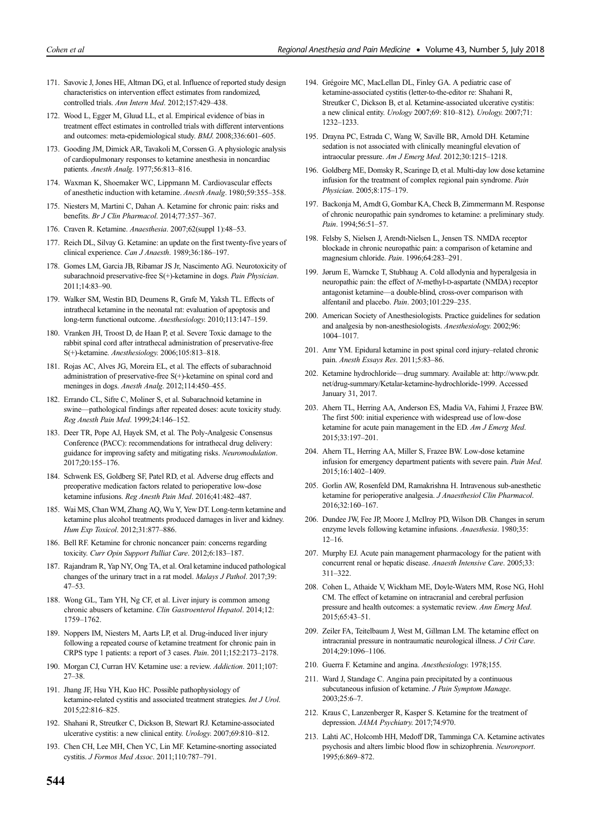- 171. Savovic J, Jones HE, Altman DG, et al. Influence of reported study design characteristics on intervention effect estimates from randomized, controlled trials. Ann Intern Med. 2012;157:429–438.
- 172. Wood L, Egger M, Gluud LL, et al. Empirical evidence of bias in treatment effect estimates in controlled trials with different interventions and outcomes: meta-epidemiological study. BMJ. 2008;336:601–605.
- 173. Gooding JM, Dimick AR, Tavakoli M, Corssen G. A physiologic analysis of cardiopulmonary responses to ketamine anesthesia in noncardiac patients. Anesth Analg. 1977;56:813–816.
- 174. Waxman K, Shoemaker WC, Lippmann M. Cardiovascular effects of anesthetic induction with ketamine. Anesth Analg. 1980;59:355–358.
- 175. Niesters M, Martini C, Dahan A. Ketamine for chronic pain: risks and benefits. Br J Clin Pharmacol. 2014;77:357–367.
- 176. Craven R. Ketamine. Anaesthesia. 2007;62(suppl 1):48–53.
- 177. Reich DL, Silvay G. Ketamine: an update on the first twenty-five years of clinical experience. Can J Anaesth. 1989;36:186–197.
- 178. Gomes LM, Garcia JB, Ribamar JS Jr, Nascimento AG. Neurotoxicity of subarachnoid preservative-free S(+)-ketamine in dogs. Pain Physician. 2011;14:83–90.
- 179. Walker SM, Westin BD, Deumens R, Grafe M, Yaksh TL. Effects of intrathecal ketamine in the neonatal rat: evaluation of apoptosis and long-term functional outcome. Anesthesiology. 2010;113:147–159.
- 180. Vranken JH, Troost D, de Haan P, et al. Severe Toxic damage to the rabbit spinal cord after intrathecal administration of preservative-free S(+)-ketamine. Anesthesiology. 2006;105:813–818.
- 181. Rojas AC, Alves JG, Moreira EL, et al. The effects of subarachnoid administration of preservative-free S(+)-ketamine on spinal cord and meninges in dogs. Anesth Analg. 2012;114:450–455.
- 182. Errando CL, Sifre C, Moliner S, et al. Subarachnoid ketamine in swine—pathological findings after repeated doses: acute toxicity study. Reg Anesth Pain Med. 1999;24:146–152.
- 183. Deer TR, Pope AJ, Hayek SM, et al. The Poly-Analgesic Consensus Conference (PACC): recommendations for intrathecal drug delivery: guidance for improving safety and mitigating risks. Neuromodulation. 2017;20:155–176.
- 184. Schwenk ES, Goldberg SF, Patel RD, et al. Adverse drug effects and preoperative medication factors related to perioperative low-dose ketamine infusions. Reg Anesth Pain Med. 2016;41:482–487.
- 185. Wai MS, Chan WM, Zhang AQ, Wu Y, Yew DT. Long-term ketamine and ketamine plus alcohol treatments produced damages in liver and kidney. Hum Exp Toxicol. 2012;31:877–886.
- 186. Bell RF. Ketamine for chronic noncancer pain: concerns regarding toxicity. Curr Opin Support Palliat Care. 2012;6:183–187.
- 187. Rajandram R, Yap NY, Ong TA, et al. Oral ketamine induced pathological changes of the urinary tract in a rat model. Malays J Pathol. 2017;39: 47–53.
- 188. Wong GL, Tam YH, Ng CF, et al. Liver injury is common among chronic abusers of ketamine. Clin Gastroenterol Hepatol. 2014;12: 1759–1762.
- 189. Noppers IM, Niesters M, Aarts LP, et al. Drug-induced liver injury following a repeated course of ketamine treatment for chronic pain in CRPS type 1 patients: a report of 3 cases. Pain. 2011;152:2173–2178.
- 190. Morgan CJ, Curran HV. Ketamine use: a review. Addiction. 2011;107: 27–38.
- 191. Jhang JF, Hsu YH, Kuo HC. Possible pathophysiology of ketamine-related cystitis and associated treatment strategies. Int J Urol. 2015;22:816–825.
- 192. Shahani R, Streutker C, Dickson B, Stewart RJ. Ketamine-associated ulcerative cystitis: a new clinical entity. Urology. 2007;69:810–812.
- 193. Chen CH, Lee MH, Chen YC, Lin MF. Ketamine-snorting associated cystitis. J Formos Med Assoc. 2011;110:787–791.
- 194. Grégoire MC, MacLellan DL, Finley GA. A pediatric case of ketamine-associated cystitis (letter-to-the-editor re: Shahani R, Streutker C, Dickson B, et al. Ketamine-associated ulcerative cystitis: a new clinical entity. Urology 2007;69: 810–812). Urology. 2007;71: 1232–1233.
- 195. Drayna PC, Estrada C, Wang W, Saville BR, Arnold DH. Ketamine sedation is not associated with clinically meaningful elevation of intraocular pressure. Am J Emerg Med. 2012;30:1215–1218.
- 196. Goldberg ME, Domsky R, Scaringe D, et al. Multi-day low dose ketamine infusion for the treatment of complex regional pain syndrome. Pain Physician. 2005;8:175–179.
- 197. Backonja M, Arndt G, Gombar KA, Check B, Zimmermann M. Response of chronic neuropathic pain syndromes to ketamine: a preliminary study. Pain. 1994;56:51–57.
- 198. Felsby S, Nielsen J, Arendt-Nielsen L, Jensen TS. NMDA receptor blockade in chronic neuropathic pain: a comparison of ketamine and magnesium chloride. Pain. 1996;64:283–291.
- 199. Jørum E, Warncke T, Stubhaug A. Cold allodynia and hyperalgesia in neuropathic pain: the effect of N-methyl-D-aspartate (NMDA) receptor antagonist ketamine—a double-blind, cross-over comparison with alfentanil and placebo. Pain. 2003;101:229–235.
- 200. American Society of Anesthesiologists. Practice guidelines for sedation and analgesia by non-anesthesiologists. Anesthesiology. 2002;96: 1004–1017.
- 201. Amr YM. Epidural ketamine in post spinal cord injury–related chronic pain. Anesth Essays Res. 2011;5:83–86.
- 202. Ketamine hydrochloride—drug summary. Available at: [http://www.pdr.](http://www.pdr.net/drug-summary/Ketalar-ketamine-hydrochloride-1999) [net/drug-summary/Ketalar-ketamine-hydrochloride-1999](http://www.pdr.net/drug-summary/Ketalar-ketamine-hydrochloride-1999). Accessed January 31, 2017.
- 203. Ahern TL, Herring AA, Anderson ES, Madia VA, Fahimi J, Frazee BW. The first 500: initial experience with widespread use of low-dose ketamine for acute pain management in the ED. Am J Emerg Med. 2015;33:197–201.
- 204. Ahern TL, Herring AA, Miller S, Frazee BW. Low-dose ketamine infusion for emergency department patients with severe pain. Pain Med. 2015;16:1402–1409.
- 205. Gorlin AW, Rosenfeld DM, Ramakrishna H. Intravenous sub-anesthetic ketamine for perioperative analgesia. J Anaesthesiol Clin Pharmacol. 2016;32:160–167.
- 206. Dundee JW, Fee JP, Moore J, McIlroy PD, Wilson DB. Changes in serum enzyme levels following ketamine infusions. Anaesthesia. 1980;35: 12–16.
- 207. Murphy EJ. Acute pain management pharmacology for the patient with concurrent renal or hepatic disease. Anaesth Intensive Care. 2005;33: 311–322.
- 208. Cohen L, Athaide V, Wickham ME, Doyle-Waters MM, Rose NG, Hohl CM. The effect of ketamine on intracranial and cerebral perfusion pressure and health outcomes: a systematic review. Ann Emerg Med. 2015;65:43–51.
- 209. Zeiler FA, Teitelbaum J, West M, Gillman LM. The ketamine effect on intracranial pressure in nontraumatic neurological illness. J Crit Care. 2014;29:1096–1106.
- 210. Guerra F. Ketamine and angina. Anesthesiology. 1978;155.
- 211. Ward J, Standage C. Angina pain precipitated by a continuous subcutaneous infusion of ketamine. J Pain Symptom Manage. 2003;25:6–7.
- 212. Kraus C, Lanzenberger R, Kasper S. Ketamine for the treatment of depression. JAMA Psychiatry. 2017;74:970.
- 213. Lahti AC, Holcomb HH, Medoff DR, Tamminga CA. Ketamine activates psychosis and alters limbic blood flow in schizophrenia. Neuroreport. 1995;6:869–872.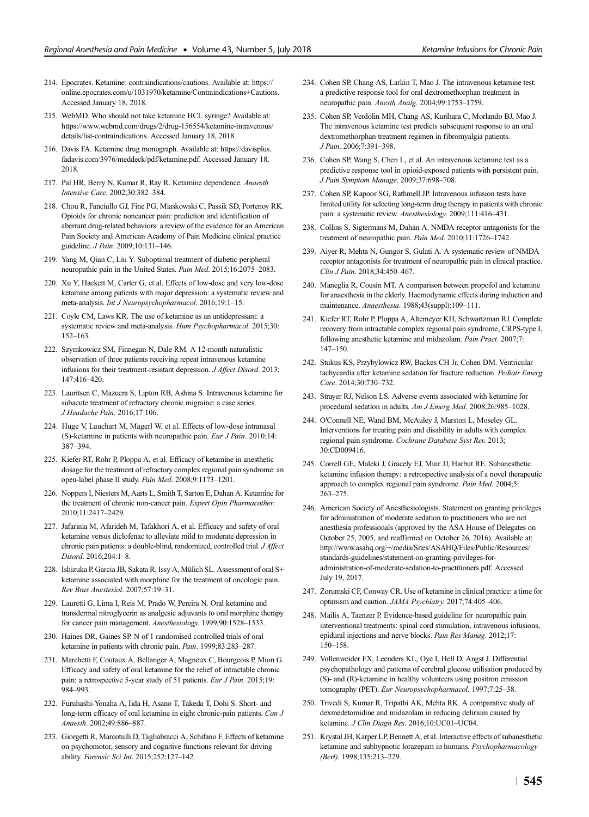- 214. Epocrates. Ketamine: contraindications/cautions. Available at: [https://](https://online.epocrates.com/u/1031970/ketamine/Contraindications+Cautions) [online.epocrates.com/u/1031970/ketamine/Contraindications+Cautions](https://online.epocrates.com/u/1031970/ketamine/Contraindications+Cautions). Accessed January 18, 2018.
- 215. WebMD. Who should not take ketamine HCL syringe? Available at: [https://www.webmd.com/drugs/2/drug-156554/ketamine-intravenous/](https://www.webmd.com/drugs/2/drug-156554/ketamine-intravenous/details/list-contraindications) [details/list-contraindications.](https://www.webmd.com/drugs/2/drug-156554/ketamine-intravenous/details/list-contraindications) Accessed January 18, 2018.
- 216. Davis FA. Ketamine drug monograph. Available at: [https://davisplus.](https://davisplus.fadavis.com/3976/meddeck/pdf/ketamine.pdf) [fadavis.com/3976/meddeck/pdf/ketamine.pdf.](https://davisplus.fadavis.com/3976/meddeck/pdf/ketamine.pdf) Accessed January 18, 2018.
- 217. Pal HR, Berry N, Kumar R, Ray R. Ketamine dependence. Anaesth Intensive Care. 2002;30:382–384.
- 218. Chou R, Fanciullo GJ, Fine PG, Miaskowski C, Passik SD, Portenoy RK. Opioids for chronic noncancer pain: prediction and identification of aberrant drug-related behaviors: a review of the evidence for an American Pain Society and American Academy of Pain Medicine clinical practice guideline. J Pain. 2009;10:131–146.
- 219. Yang M, Qian C, Liu Y. Suboptimal treatment of diabetic peripheral neuropathic pain in the United States. Pain Med. 2015;16:2075–2083.
- 220. Xu Y, Hackett M, Carter G, et al. Effects of low-dose and very low-dose ketamine among patients with major depression: a systematic review and meta-analysis. Int J Neuropsychopharmacol. 2016;19:1–15.
- 221. Coyle CM, Laws KR. The use of ketamine as an antidepressant: a systematic review and meta-analysis. Hum Psychopharmacol. 2015;30: 152–163.
- 222. Szymkowicz SM, Finnegan N, Dale RM. A 12-month naturalistic observation of three patients receiving repeat intravenous ketamine infusions for their treatment-resistant depression. J Affect Disord. 2013; 147:416–420.
- 223. Lauritsen C, Mazuera S, Lipton RB, Ashina S. Intravenous ketamine for subacute treatment of refractory chronic migraine: a case series. J Headache Pain. 2016;17:106.
- 224. Huge V, Lauchart M, Magerl W, et al. Effects of low-dose intranasal (S)-ketamine in patients with neuropathic pain. Eur J Pain. 2010;14: 387–394.
- 225. Kiefer RT, Rohr P, Ploppa A, et al. Efficacy of ketamine in anesthetic dosage for the treatment of refractory complex regional pain syndrome: an open-label phase II study. Pain Med. 2008;9:1173–1201.
- 226. Noppers I, Niesters M, Aarts L, Smith T, Sarton E, Dahan A. Ketamine for the treatment of chronic non-cancer pain. Expert Opin Pharmacother. 2010;11:2417–2429.
- 227. Jafarinia M, Afarideh M, Tafakhori A, et al. Efficacy and safety of oral ketamine versus diclofenac to alleviate mild to moderate depression in chronic pain patients: a double-blind, randomized, controlled trial. J Affect Disord. 2016;204:1–8.
- 228. Ishizuka P, Garcia JB, Sakata R, Issy A, Mülich SL. Assessment of oral S+ ketamine associated with morphine for the treatment of oncologic pain. Rev Bras Anestesiol. 2007;57:19–31.
- 229. Lauretti G, Lima I, Reis M, Prado W, Pereira N. Oral ketamine and transdermal nitroglycerin as analgesic adjuvants to oral morphine therapy for cancer pain management. Anesthesiology. 1999;90:1528–1533.
- 230. Haines DR, Gaines SP. N of 1 randomised controlled trials of oral ketamine in patients with chronic pain. Pain. 1999;83:283–287.
- 231. Marchetti F, Coutaux A, Bellanger A, Magneux C, Bourgeois P, Mion G. Efficacy and safety of oral ketamine for the relief of intractable chronic pain: a retrospective 5-year study of 51 patients. Eur J Pain. 2015;19: 984–993.
- 232. Furuhashi-Yonaha A, Iida H, Asano T, Takeda T, Dohi S. Short- and long-term efficacy of oral ketamine in eight chronic-pain patients. Can J Anaesth. 2002;49:886–887.
- 233. Giorgetti R, Marcotulli D, Tagliabracci A, Schifano F. Effects of ketamine on psychomotor, sensory and cognitive functions relevant for driving ability. Forensic Sci Int. 2015;252:127–142.
- 234. Cohen SP, Chang AS, Larkin T, Mao J. The intravenous ketamine test: a predictive response tool for oral dextromethorphan treatment in neuropathic pain. Anesth Analg. 2004;99:1753–1759.
- 235. Cohen SP, Verdolin MH, Chang AS, Kurihara C, Morlando BJ, Mao J. The intravenous ketamine test predicts subsequent response to an oral dextromethorphan treatment regimen in fibromyalgia patients. J Pain. 2006;7:391–398.
- 236. Cohen SP, Wang S, Chen L, et al. An intravenous ketamine test as a predictive response tool in opioid-exposed patients with persistent pain. J Pain Symptom Manage. 2009;37:698–708.
- 237. Cohen SP, Kapoor SG, Rathmell JP. Intravenous infusion tests have limited utility for selecting long-term drug therapy in patients with chronic pain: a systematic review. Anesthesiology. 2009;111:416–431.
- 238. Collins S, Sigtermans M, Dahan A. NMDA receptor antagonists for the treatment of neuropathic pain. Pain Med. 2010;11:1726–1742.
- 239. Aiyer R, Mehta N, Gungor S, Gulati A. A systematic review of NMDA receptor antagonists for treatment of neuropathic pain in clinical practice. Clin J Pain. 2018;34:450–467.
- 240. Maneglia R, Cousin MT. A comparison between propofol and ketamine for anaesthesia in the elderly. Haemodynamic effects during induction and maintenance. Anaesthesia. 1988;43(suppl):109–111.
- 241. Kiefer RT, Rohr P, Ploppa A, Altemeyer KH, Schwartzman RJ. Complete recovery from intractable complex regional pain syndrome, CRPS-type I, following anesthetic ketamine and midazolam. Pain Pract. 2007;7: 147–150.
- 242. Stukus KS, Przybylowicz RW, Backes CH Jr, Cohen DM. Ventricular tachycardia after ketamine sedation for fracture reduction. Pediatr Emerg Care. 2014;30:730–732.
- 243. Strayer RJ, Nelson LS. Adverse events associated with ketamine for procedural sedation in adults. Am J Emerg Med. 2008;26:985–1028.
- 244. O'Connell NE, Wand BM, McAuley J, Marston L, Moseley GL. Interventions for treating pain and disability in adults with complex regional pain syndrome. Cochrane Database Syst Rev. 2013; 30:CD009416.
- 245. Correll GE, Maleki J, Gracely EJ, Muir JJ, Harbut RE. Subanesthetic ketamine infusion therapy: a retrospective analysis of a novel therapeutic approach to complex regional pain syndrome. Pain Med. 2004;5: 263–275.
- 246. American Society of Anesthesiologists. Statement on granting privileges for administration of moderate sedation to practitioners who are not anesthesia professionals (approved by the ASA House of Delegates on October 25, 2005, and reaffirmed on October 26, 2016). Available at: [http://www.asahq.org/~/media/Sites/ASAHQ/Files/Public/Resources/](http://www.asahq.org/~/media/Sites/ASAHQ/Files/Public/Resources/standards-guidelines/statement-on-granting-privileges-for-administration-of-moderate-sedation-to-practitioners.pdf) [standards-guidelines/statement-on-granting-privileges-for](http://www.asahq.org/~/media/Sites/ASAHQ/Files/Public/Resources/standards-guidelines/statement-on-granting-privileges-for-administration-of-moderate-sedation-to-practitioners.pdf)[administration-of-moderate-sedation-to-practitioners.pdf](http://www.asahq.org/~/media/Sites/ASAHQ/Files/Public/Resources/standards-guidelines/statement-on-granting-privileges-for-administration-of-moderate-sedation-to-practitioners.pdf). Accessed July 19, 2017.
- 247. Zorumski CF, Conway CR. Use of ketamine in clinical practice: a time for optimism and caution. JAMA Psychiatry. 2017;74:405–406.
- 248. Mailis A, Taenzer P. Evidence-based guideline for neuropathic pain interventional treatments: spinal cord stimulation, intravenous infusions, epidural injections and nerve blocks. Pain Res Manag. 2012;17: 150–158.
- 249. Vollenweider FX, Leenders KL, Oye I, Hell D, Angst J. Differential psychopathology and patterns of cerebral glucose utilisation produced by (S)- and (R)-ketamine in healthy volunteers using positron emission tomography (PET). Eur Neuropsychopharmacol. 1997;7:25–38.
- 250. Trivedi S, Kumar R, Tripathi AK, Mehta RK. A comparative study of dexmedetomidine and midazolam in reducing delirium caused by ketamine. J Clin Diagn Res. 2016;10:UC01–UC04.
- 251. Krystal JH, Karper LP, Bennett A, et al. Interactive effects of subanesthetic ketamine and subhypnotic lorazepam in humans. Psychopharmacology (Berl). 1998;135:213–229.